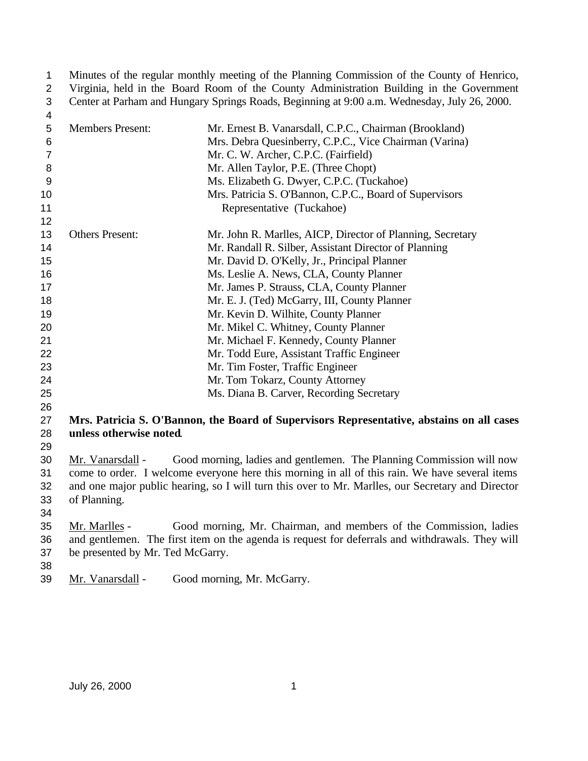1 Minutes of the regular monthly meeting of the Planning Commission of the County of Henrico,<br>2 Virginia, held in the Board Room of the County Administration Building in the Government 2 Virginia, held in the Board Room of the County Administration Building in the Government<br>3 Center at Parham and Hungary Springs Roads, Beginning at 9:00 a.m. Wednesday, July 26, 2000. Center at Parham and Hungary Springs Roads, Beginning at 9:00 a.m. Wednesday, July 26, 2000.

| 4              |                                  |                                                                                                   |
|----------------|----------------------------------|---------------------------------------------------------------------------------------------------|
| 5              | <b>Members Present:</b>          | Mr. Ernest B. Vanarsdall, C.P.C., Chairman (Brookland)                                            |
| 6              |                                  | Mrs. Debra Quesinberry, C.P.C., Vice Chairman (Varina)                                            |
| $\overline{7}$ |                                  | Mr. C. W. Archer, C.P.C. (Fairfield)                                                              |
| 8              |                                  | Mr. Allen Taylor, P.E. (Three Chopt)                                                              |
| 9              |                                  | Ms. Elizabeth G. Dwyer, C.P.C. (Tuckahoe)                                                         |
| 10             |                                  | Mrs. Patricia S. O'Bannon, C.P.C., Board of Supervisors                                           |
| 11             |                                  | Representative (Tuckahoe)                                                                         |
| 12             |                                  |                                                                                                   |
| 13             | <b>Others Present:</b>           | Mr. John R. Marlles, AICP, Director of Planning, Secretary                                        |
| 14             |                                  | Mr. Randall R. Silber, Assistant Director of Planning                                             |
| 15             |                                  | Mr. David D. O'Kelly, Jr., Principal Planner                                                      |
| 16             |                                  | Ms. Leslie A. News, CLA, County Planner                                                           |
| 17             |                                  | Mr. James P. Strauss, CLA, County Planner                                                         |
| 18             |                                  | Mr. E. J. (Ted) McGarry, III, County Planner                                                      |
| 19             |                                  | Mr. Kevin D. Wilhite, County Planner                                                              |
| 20             |                                  | Mr. Mikel C. Whitney, County Planner                                                              |
| 21             |                                  | Mr. Michael F. Kennedy, County Planner                                                            |
| 22             |                                  | Mr. Todd Eure, Assistant Traffic Engineer                                                         |
| 23             |                                  | Mr. Tim Foster, Traffic Engineer                                                                  |
| 24             |                                  | Mr. Tom Tokarz, County Attorney                                                                   |
| 25             |                                  | Ms. Diana B. Carver, Recording Secretary                                                          |
| 26             |                                  |                                                                                                   |
| 27             |                                  | Mrs. Patricia S. O'Bannon, the Board of Supervisors Representative, abstains on all cases         |
| 28             | unless otherwise noted.          |                                                                                                   |
| 29             |                                  |                                                                                                   |
| 30             | Mr. Vanarsdall -                 | Good morning, ladies and gentlemen. The Planning Commission will now                              |
| 31             |                                  | come to order. I welcome everyone here this morning in all of this rain. We have several items    |
| 32             |                                  | and one major public hearing, so I will turn this over to Mr. Marlles, our Secretary and Director |
| 33             | of Planning.                     |                                                                                                   |
| 34             |                                  |                                                                                                   |
| 35             | Mr. Marlles -                    | Good morning, Mr. Chairman, and members of the Commission, ladies                                 |
| 36             |                                  | and gentlemen. The first item on the agenda is request for deferrals and withdrawals. They will   |
| 37             | be presented by Mr. Ted McGarry. |                                                                                                   |
| 38             |                                  |                                                                                                   |

Mr. Vanarsdall - Good morning, Mr. McGarry.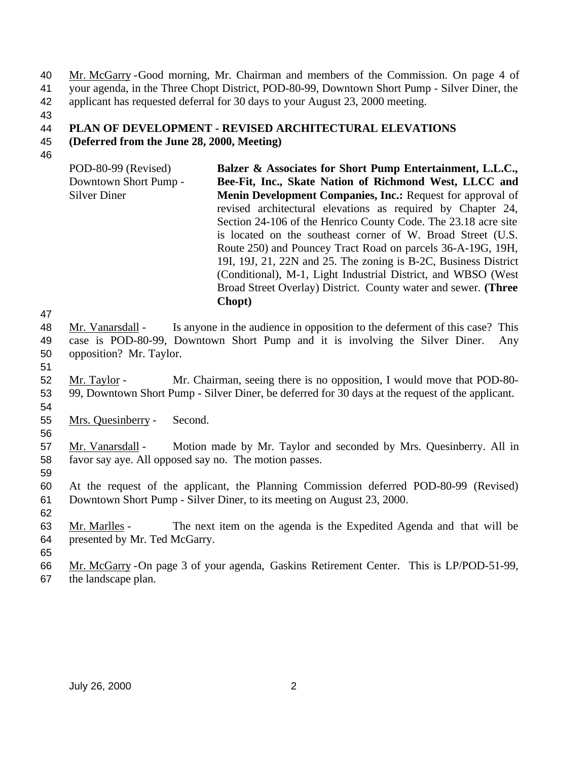Mr. McGarry -Good morning, Mr. Chairman and members of the Commission. On page 4 of your agenda, in the Three Chopt District, POD-80-99, Downtown Short Pump - Silver Diner, the applicant has requested deferral for 30 days to your August 23, 2000 meeting.

# **PLAN OF DEVELOPMENT - REVISED ARCHITECTURAL ELEVATIONS**

- **(Deferred from the June 28, 2000, Meeting)**
- 
- POD-80-99 (Revised) Downtown Short Pump - Silver Diner **Balzer & Associates for Short Pump Entertainment, L.L.C., Bee-Fit, Inc., Skate Nation of Richmond West, LLCC and Menin Development Companies, Inc.:** Request for approval of revised architectural elevations as required by Chapter 24, Section 24-106 of the Henrico County Code. The 23.18 acre site is located on the southeast corner of W. Broad Street (U.S. Route 250) and Pouncey Tract Road on parcels 36-A-19G, 19H, 19I, 19J, 21, 22N and 25. The zoning is B-2C, Business District (Conditional), M-1, Light Industrial District, and WBSO (West Broad Street Overlay) District. County water and sewer. **(Three Chopt)**

- 48 Mr. Vanarsdall Is anyone in the audience in opposition to the deferment of this case? This case is POD-80-99, Downtown Short Pump and it is involving the Silver Diner. Any opposition? Mr. Taylor.
- 
- Mr. Taylor Mr. Chairman, seeing there is no opposition, I would move that POD-80- 99, Downtown Short Pump - Silver Diner, be deferred for 30 days at the request of the applicant.
- Mrs. Quesinberry Second.
- 

 Mr. Vanarsdall - Motion made by Mr. Taylor and seconded by Mrs. Quesinberry. All in favor say aye. All opposed say no. The motion passes.

 At the request of the applicant, the Planning Commission deferred POD-80-99 (Revised) Downtown Short Pump - Silver Diner, to its meeting on August 23, 2000.

- Mr. Marlles The next item on the agenda is the Expedited Agenda and that will be presented by Mr. Ted McGarry.
- Mr. McGarry -On page 3 of your agenda, Gaskins Retirement Center. This is LP/POD-51-99, the landscape plan.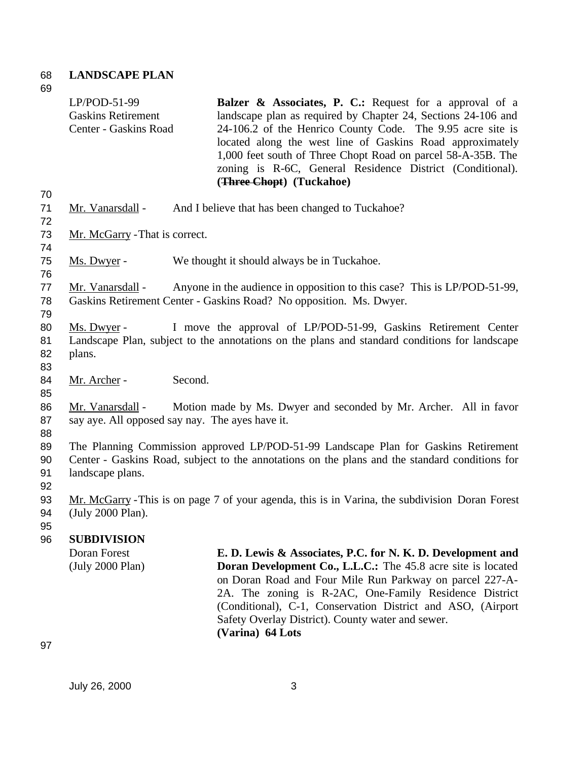### 68 **LANDSCAPE PLAN** 69

|                      | $LP/POD-51-99$<br><b>Gaskins Retirement</b><br>Center - Gaskins Road | <b>Balzer &amp; Associates, P. C.:</b> Request for a approval of a<br>landscape plan as required by Chapter 24, Sections 24-106 and<br>24-106.2 of the Henrico County Code. The 9.95 acre site is<br>located along the west line of Gaskins Road approximately<br>1,000 feet south of Three Chopt Road on parcel 58-A-35B. The<br>zoning is R-6C, General Residence District (Conditional).<br>(Three Chopt) (Tuckahoe) |
|----------------------|----------------------------------------------------------------------|-------------------------------------------------------------------------------------------------------------------------------------------------------------------------------------------------------------------------------------------------------------------------------------------------------------------------------------------------------------------------------------------------------------------------|
| 70<br>71<br>72       | Mr. Vanarsdall -                                                     | And I believe that has been changed to Tuckahoe?                                                                                                                                                                                                                                                                                                                                                                        |
| 73<br>74             | Mr. McGarry - That is correct.                                       |                                                                                                                                                                                                                                                                                                                                                                                                                         |
| 75<br>76             | Ms. Dwyer -                                                          | We thought it should always be in Tuckahoe.                                                                                                                                                                                                                                                                                                                                                                             |
| 77<br>78<br>79       | Mr. Vanarsdall -                                                     | Anyone in the audience in opposition to this case? This is LP/POD-51-99,<br>Gaskins Retirement Center - Gaskins Road? No opposition. Ms. Dwyer.                                                                                                                                                                                                                                                                         |
| 80<br>81<br>82<br>83 | Ms. Dwyer -<br>plans.                                                | I move the approval of LP/POD-51-99, Gaskins Retirement Center<br>Landscape Plan, subject to the annotations on the plans and standard conditions for landscape                                                                                                                                                                                                                                                         |
| 84<br>85             | Mr. Archer -                                                         | Second.                                                                                                                                                                                                                                                                                                                                                                                                                 |
| 86<br>87<br>88       | Mr. Vanarsdall -                                                     | Motion made by Ms. Dwyer and seconded by Mr. Archer. All in favor<br>say aye. All opposed say nay. The ayes have it.                                                                                                                                                                                                                                                                                                    |
| 89<br>90<br>91<br>92 | landscape plans.                                                     | The Planning Commission approved LP/POD-51-99 Landscape Plan for Gaskins Retirement<br>Center - Gaskins Road, subject to the annotations on the plans and the standard conditions for                                                                                                                                                                                                                                   |
| 93<br>94<br>95       | (July 2000 Plan).                                                    | Mr. McGarry - This is on page 7 of your agenda, this is in Varina, the subdivision Doran Forest                                                                                                                                                                                                                                                                                                                         |
| 96                   | <b>SUBDIVISION</b>                                                   |                                                                                                                                                                                                                                                                                                                                                                                                                         |
|                      | Doran Forest<br>(July 2000 Plan)                                     | E. D. Lewis & Associates, P.C. for N. K. D. Development and<br><b>Doran Development Co., L.L.C.:</b> The 45.8 acre site is located<br>on Doran Road and Four Mile Run Parkway on parcel 227-A-<br>2A. The zoning is R-2AC, One-Family Residence District<br>(Conditional), C-1, Conservation District and ASO, (Airport<br>Safety Overlay District). County water and sewer.<br>(Varina) 64 Lots                        |

97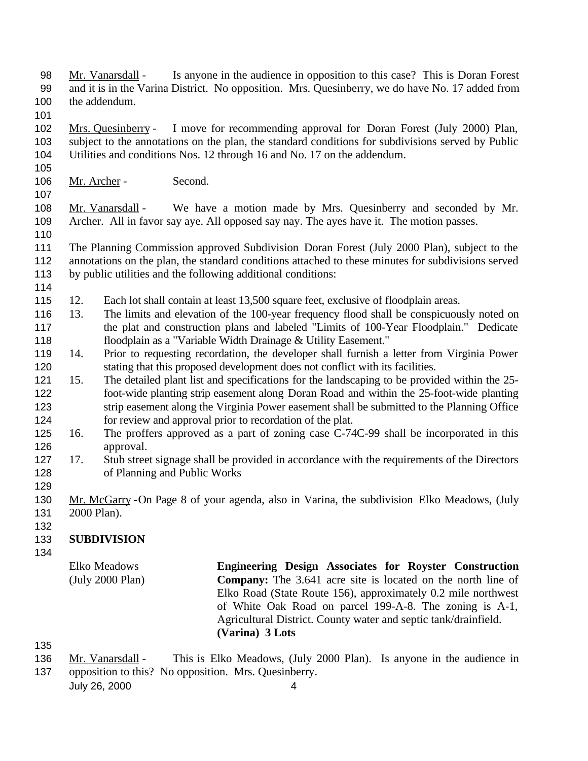- Mr. Vanarsdall Is anyone in the audience in opposition to this case? This is Doran Forest and it is in the Varina District. No opposition. Mrs. Quesinberry, we do have No. 17 added from the addendum.
- 
- Mrs. Quesinberry I move for recommending approval for Doran Forest (July 2000) Plan, subject to the annotations on the plan, the standard conditions for subdivisions served by Public Utilities and conditions Nos. 12 through 16 and No. 17 on the addendum.
- 

Mr. Archer - Second.

 Mr. Vanarsdall - We have a motion made by Mrs. Quesinberry and seconded by Mr. Archer. All in favor say aye. All opposed say nay. The ayes have it. The motion passes. 

- The Planning Commission approved Subdivision Doran Forest (July 2000 Plan), subject to the annotations on the plan, the standard conditions attached to these minutes for subdivisions served by public utilities and the following additional conditions:
- 
- 12. Each lot shall contain at least 13,500 square feet, exclusive of floodplain areas.
- 13. The limits and elevation of the 100-year frequency flood shall be conspicuously noted on the plat and construction plans and labeled "Limits of 100-Year Floodplain." Dedicate floodplain as a "Variable Width Drainage & Utility Easement."
- 14. Prior to requesting recordation, the developer shall furnish a letter from Virginia Power stating that this proposed development does not conflict with its facilities.
- 15. The detailed plant list and specifications for the landscaping to be provided within the 25- foot-wide planting strip easement along Doran Road and within the 25-foot-wide planting strip easement along the Virginia Power easement shall be submitted to the Planning Office for review and approval prior to recordation of the plat.
- 16. The proffers approved as a part of zoning case C-74C-99 shall be incorporated in this approval.
- 127 17. Stub street signage shall be provided in accordance with the requirements of the Directors of Planning and Public Works
- 
- Mr. McGarry -On Page 8 of your agenda, also in Varina, the subdivision Elko Meadows, (July 2000 Plan).
- 

# **SUBDIVISION**

Elko Meadows (July 2000 Plan) **Engineering Design Associates for Royster Construction Company:** The 3.641 acre site is located on the north line of Elko Road (State Route 156), approximately 0.2 mile northwest of White Oak Road on parcel 199-A-8. The zoning is A-1, Agricultural District. County water and septic tank/drainfield. **(Varina) 3 Lots**

136 Mr. Vanarsdall - This is Elko Meadows, (July 2000 Plan). Is anyone in the audience in opposition to this? No opposition. Mrs. Quesinberry.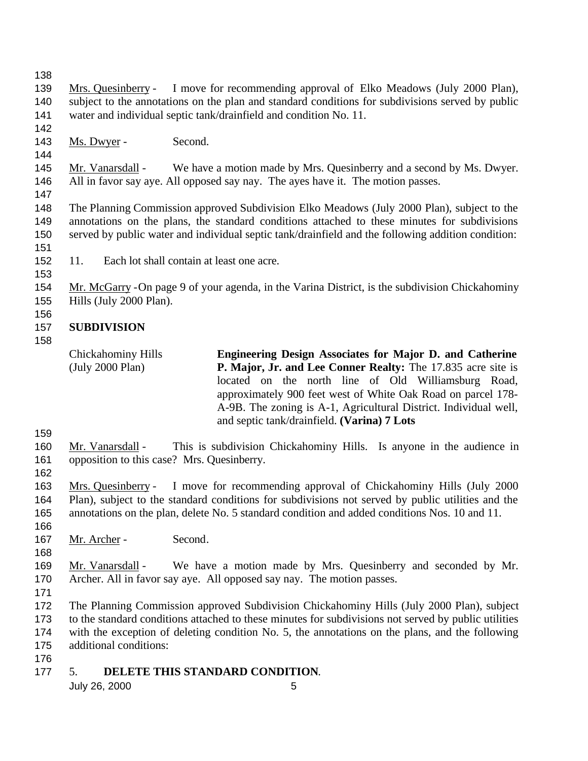Mrs. Quesinberry - I move for recommending approval of Elko Meadows (July 2000 Plan), subject to the annotations on the plan and standard conditions for subdivisions served by public water and individual septic tank/drainfield and condition No. 11.

 143 Ms. Dwyer - Second.

145 Mr. Vanarsdall - We have a motion made by Mrs. Quesinberry and a second by Ms. Dwyer. All in favor say aye. All opposed say nay. The ayes have it. The motion passes.

 The Planning Commission approved Subdivision Elko Meadows (July 2000 Plan), subject to the annotations on the plans, the standard conditions attached to these minutes for subdivisions served by public water and individual septic tank/drainfield and the following addition condition: 

- 11. Each lot shall contain at least one acre.
- 

Mr. McGarry -On page 9 of your agenda, in the Varina District, is the subdivision Chickahominy

Hills (July 2000 Plan).

#### **SUBDIVISION**

Chickahominy Hills (July 2000 Plan) **Engineering Design Associates for Major D. and Catherine P. Major, Jr. and Lee Conner Realty:** The 17.835 acre site is located on the north line of Old Williamsburg Road, approximately 900 feet west of White Oak Road on parcel 178- A-9B. The zoning is A-1, Agricultural District. Individual well, and septic tank/drainfield. **(Varina) 7 Lots**

 Mr. Vanarsdall - This is subdivision Chickahominy Hills. Is anyone in the audience in opposition to this case? Mrs. Quesinberry.

 Mrs. Quesinberry - I move for recommending approval of Chickahominy Hills (July 2000 Plan), subject to the standard conditions for subdivisions not served by public utilities and the annotations on the plan, delete No. 5 standard condition and added conditions Nos. 10 and 11. 

- 167 Mr. Archer Second.
- Mr. Vanarsdall We have a motion made by Mrs. Quesinberry and seconded by Mr. Archer. All in favor say aye. All opposed say nay. The motion passes.
- 

 The Planning Commission approved Subdivision Chickahominy Hills (July 2000 Plan), subject to the standard conditions attached to these minutes for subdivisions not served by public utilities with the exception of deleting condition No. 5, the annotations on the plans, and the following additional conditions:

- 
- 5. **DELETE THIS STANDARD CONDITION**.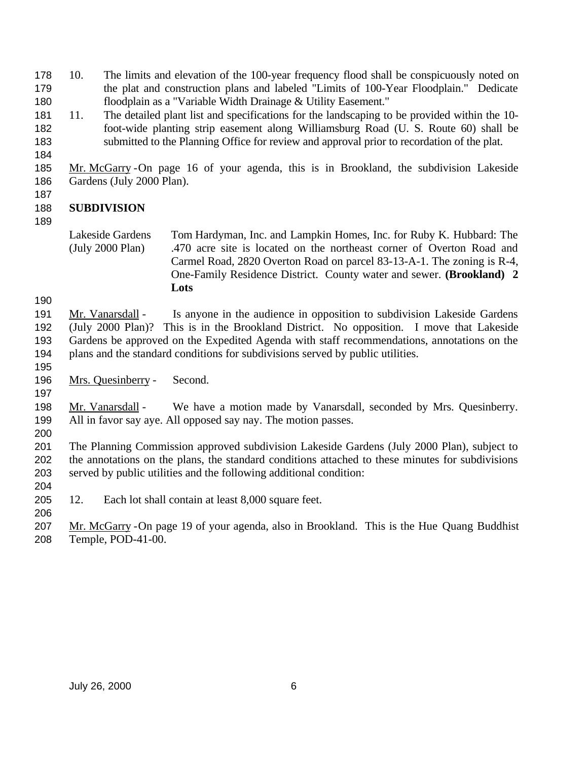10. The limits and elevation of the 100-year frequency flood shall be conspicuously noted on the plat and construction plans and labeled "Limits of 100-Year Floodplain." Dedicate floodplain as a "Variable Width Drainage & Utility Easement."

- 11. The detailed plant list and specifications for the landscaping to be provided within the 10- foot-wide planting strip easement along Williamsburg Road (U. S. Route 60) shall be submitted to the Planning Office for review and approval prior to recordation of the plat.
- 

### Mr. McGarry -On page 16 of your agenda, this is in Brookland, the subdivision Lakeside Gardens (July 2000 Plan).

#### **SUBDIVISION**

 Mr. Vanarsdall - Is anyone in the audience in opposition to subdivision Lakeside Gardens (July 2000 Plan)? This is in the Brookland District. No opposition. I move that Lakeside Gardens be approved on the Expedited Agenda with staff recommendations, annotations on the plans and the standard conditions for subdivisions served by public utilities.

 Mrs. Quesinberry - Second.

198 Mr. Vanarsdall - We have a motion made by Vanarsdall, seconded by Mrs. Quesinberry. All in favor say aye. All opposed say nay. The motion passes.

 The Planning Commission approved subdivision Lakeside Gardens (July 2000 Plan), subject to the annotations on the plans, the standard conditions attached to these minutes for subdivisions served by public utilities and the following additional condition:

12. Each lot shall contain at least 8,000 square feet.

 Mr. McGarry -On page 19 of your agenda, also in Brookland. This is the Hue Quang Buddhist Temple, POD-41-00.

Lakeside Gardens (July 2000 Plan) Tom Hardyman, Inc. and Lampkin Homes, Inc. for Ruby K. Hubbard: The .470 acre site is located on the northeast corner of Overton Road and Carmel Road, 2820 Overton Road on parcel 83-13-A-1. The zoning is R-4, One-Family Residence District. County water and sewer. **(Brookland) 2 Lots**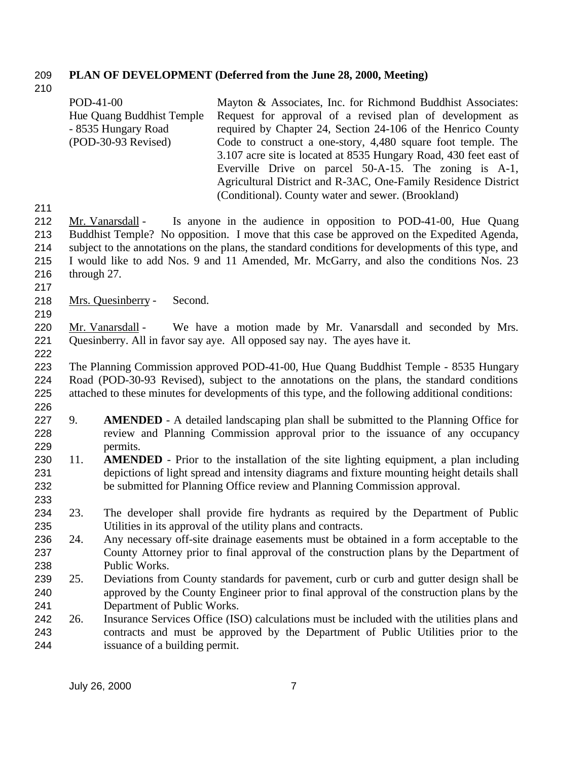#### **PLAN OF DEVELOPMENT (Deferred from the June 28, 2000, Meeting)**

|     | POD-41-00                 | Mayton & Associates, Inc. for Richmond Buddhist Associates:                                         |
|-----|---------------------------|-----------------------------------------------------------------------------------------------------|
|     | Hue Quang Buddhist Temple | Request for approval of a revised plan of development as                                            |
|     | - 8535 Hungary Road       | required by Chapter 24, Section 24-106 of the Henrico County                                        |
|     | $(POD-30-93$ Revised)     | Code to construct a one-story, 4,480 square foot temple. The                                        |
|     |                           | 3.107 acre site is located at 8535 Hungary Road, 430 feet east of                                   |
|     |                           | Everville Drive on parcel 50-A-15. The zoning is A-1,                                               |
|     |                           | Agricultural District and R-3AC, One-Family Residence District                                      |
|     |                           | (Conditional). County water and sewer. (Brookland)                                                  |
| 211 |                           |                                                                                                     |
| 212 | Mr. Vanarsdall -          | Is anyone in the audience in opposition to POD-41-00, Hue Quang                                     |
| 213 |                           | Buddhist Temple? No opposition. I move that this case be approved on the Expedited Agenda,          |
| 214 |                           | subject to the annotations on the plans, the standard conditions for developments of this type, and |
| 215 |                           | I would like to add Nos. 9 and 11 Amended, Mr. McGarry, and also the conditions Nos. 23             |

- through 27.
- 

Mrs. Quesinberry - Second.

220 Mr. Vanarsdall - We have a motion made by Mr. Vanarsdall and seconded by Mrs. Quesinberry. All in favor say aye. All opposed say nay. The ayes have it.

 The Planning Commission approved POD-41-00, Hue Quang Buddhist Temple - 8535 Hungary Road (POD-30-93 Revised), subject to the annotations on the plans, the standard conditions attached to these minutes for developments of this type, and the following additional conditions: 

- 9. **AMENDED** A detailed landscaping plan shall be submitted to the Planning Office for review and Planning Commission approval prior to the issuance of any occupancy permits.
- 11. **AMENDED** Prior to the installation of the site lighting equipment, a plan including depictions of light spread and intensity diagrams and fixture mounting height details shall be submitted for Planning Office review and Planning Commission approval.
- 23. The developer shall provide fire hydrants as required by the Department of Public Utilities in its approval of the utility plans and contracts.
- 24. Any necessary off-site drainage easements must be obtained in a form acceptable to the County Attorney prior to final approval of the construction plans by the Department of Public Works.
- 239 25. Deviations from County standards for pavement, curb or curb and gutter design shall be approved by the County Engineer prior to final approval of the construction plans by the Department of Public Works.
- 26. Insurance Services Office (ISO) calculations must be included with the utilities plans and contracts and must be approved by the Department of Public Utilities prior to the issuance of a building permit.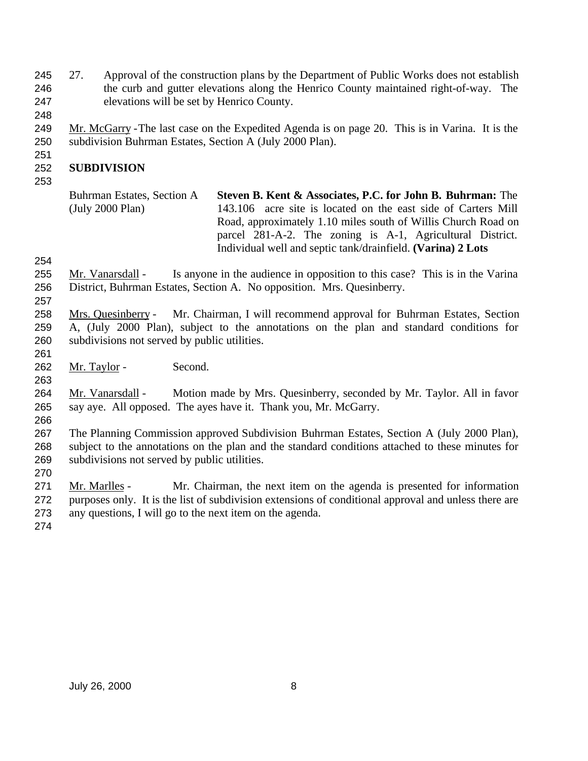- 245 27. Approval of the construction plans by the Department of Public Works does not establish the curb and gutter elevations along the Henrico County maintained right-of-way. The elevations will be set by Henrico County.
- Mr. McGarry -The last case on the Expedited Agenda is on page 20. This is in Varina. It is the subdivision Buhrman Estates, Section A (July 2000 Plan).

### **SUBDIVISION**

| Buhrman Estates, Section A | Steven B. Kent & Associates, P.C. for John B. Buhrman: The    |
|----------------------------|---------------------------------------------------------------|
| (July 2000 Plan)           | 143.106 acre site is located on the east side of Carters Mill |
|                            | Road, approximately 1.10 miles south of Willis Church Road on |
|                            | parcel 281-A-2. The zoning is A-1, Agricultural District.     |
|                            | Individual well and septic tank/drainfield. (Varina) 2 Lots   |

255 Mr. Vanarsdall - Is anyone in the audience in opposition to this case? This is in the Varina District, Buhrman Estates, Section A. No opposition. Mrs. Quesinberry.

- Mrs. Quesinberry Mr. Chairman, I will recommend approval for Buhrman Estates, Section A, (July 2000 Plan), subject to the annotations on the plan and standard conditions for subdivisions not served by public utilities.
- Mr. Taylor Second.

264 Mr. Vanarsdall - Motion made by Mrs. Quesinberry, seconded by Mr. Taylor. All in favor say aye. All opposed. The ayes have it. Thank you, Mr. McGarry.

 The Planning Commission approved Subdivision Buhrman Estates, Section A (July 2000 Plan), subject to the annotations on the plan and the standard conditions attached to these minutes for subdivisions not served by public utilities.

 Mr. Marlles - Mr. Chairman, the next item on the agenda is presented for information purposes only. It is the list of subdivision extensions of conditional approval and unless there are any questions, I will go to the next item on the agenda.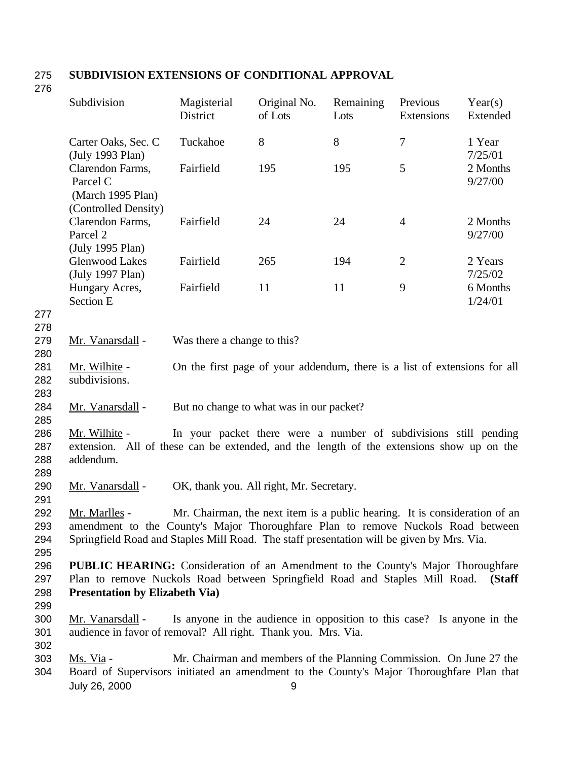# 275 **SUBDIVISION EXTENSIONS OF CONDITIONAL APPROVAL**

276

|                          | Subdivision                                                                                                                                                                                                      | Magisterial<br>District                                                    | Original No.<br>of Lots | Remaining<br>Lots | Previous<br>Extensions | Year(s)<br>Extended |
|--------------------------|------------------------------------------------------------------------------------------------------------------------------------------------------------------------------------------------------------------|----------------------------------------------------------------------------|-------------------------|-------------------|------------------------|---------------------|
|                          | Carter Oaks, Sec. C<br>(July 1993 Plan)                                                                                                                                                                          | Tuckahoe                                                                   | 8                       | 8                 | $\boldsymbol{7}$       | 1 Year<br>7/25/01   |
|                          | Clarendon Farms,<br>Parcel C<br>(March 1995 Plan)                                                                                                                                                                | Fairfield                                                                  | 195                     | 195               | 5                      | 2 Months<br>9/27/00 |
|                          | (Controlled Density)<br>Clarendon Farms,<br>Parcel 2<br>(July 1995 Plan)                                                                                                                                         | Fairfield                                                                  | 24                      | 24                | $\overline{4}$         | 2 Months<br>9/27/00 |
|                          | <b>Glenwood Lakes</b><br>(July 1997 Plan)                                                                                                                                                                        | Fairfield                                                                  | 265                     | 194               | $\mathbf{2}$           | 2 Years<br>7/25/02  |
| 277                      | Hungary Acres,<br><b>Section E</b>                                                                                                                                                                               | Fairfield                                                                  | 11                      | 11                | 9                      | 6 Months<br>1/24/01 |
| 278                      |                                                                                                                                                                                                                  |                                                                            |                         |                   |                        |                     |
| 279<br>280               | Mr. Vanarsdall -                                                                                                                                                                                                 | Was there a change to this?                                                |                         |                   |                        |                     |
| 281<br>282<br>283        | Mr. Wilhite -<br>subdivisions.                                                                                                                                                                                   | On the first page of your addendum, there is a list of extensions for all  |                         |                   |                        |                     |
| 284<br>285               | Mr. Vanarsdall -                                                                                                                                                                                                 | But no change to what was in our packet?                                   |                         |                   |                        |                     |
| 286<br>287<br>288<br>289 | Mr. Wilhite -<br>extension. All of these can be extended, and the length of the extensions show up on the<br>addendum.                                                                                           | In your packet there were a number of subdivisions still pending           |                         |                   |                        |                     |
| 290<br>291               | Mr. Vanarsdall -                                                                                                                                                                                                 | OK, thank you. All right, Mr. Secretary.                                   |                         |                   |                        |                     |
| 292<br>293<br>294<br>295 | Mr. Marlles -<br>amendment to the County's Major Thoroughfare Plan to remove Nuckols Road between<br>Springfield Road and Staples Mill Road. The staff presentation will be given by Mrs. Via.                   | Mr. Chairman, the next item is a public hearing. It is consideration of an |                         |                   |                        |                     |
| 296<br>297<br>298        | <b>PUBLIC HEARING:</b> Consideration of an Amendment to the County's Major Thoroughfare<br>Plan to remove Nuckols Road between Springfield Road and Staples Mill Road.<br><b>Presentation by Elizabeth Via</b> ) |                                                                            |                         |                   |                        | (Staff              |
| 299<br>300<br>301<br>302 | Mr. Vanarsdall -<br>audience in favor of removal? All right. Thank you. Mrs. Via.                                                                                                                                | Is anyone in the audience in opposition to this case? Is anyone in the     |                         |                   |                        |                     |
| 303<br>304               | Ms. Via -<br>Board of Supervisors initiated an amendment to the County's Major Thoroughfare Plan that<br>July 26, 2000                                                                                           | Mr. Chairman and members of the Planning Commission. On June 27 the        | 9                       |                   |                        |                     |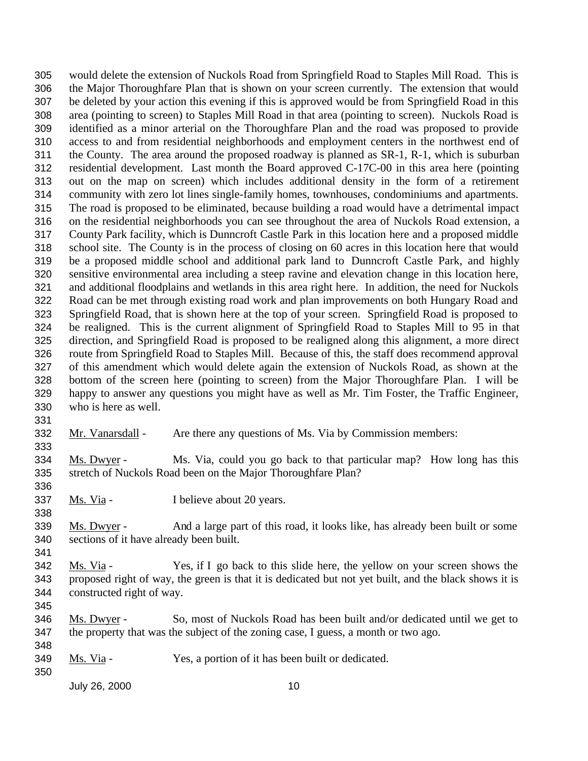would delete the extension of Nuckols Road from Springfield Road to Staples Mill Road. This is the Major Thoroughfare Plan that is shown on your screen currently. The extension that would be deleted by your action this evening if this is approved would be from Springfield Road in this area (pointing to screen) to Staples Mill Road in that area (pointing to screen). Nuckols Road is identified as a minor arterial on the Thoroughfare Plan and the road was proposed to provide access to and from residential neighborhoods and employment centers in the northwest end of the County. The area around the proposed roadway is planned as SR-1, R-1, which is suburban residential development. Last month the Board approved C-17C-00 in this area here (pointing out on the map on screen) which includes additional density in the form of a retirement community with zero lot lines single-family homes, townhouses, condominiums and apartments. The road is proposed to be eliminated, because building a road would have a detrimental impact on the residential neighborhoods you can see throughout the area of Nuckols Road extension, a County Park facility, which is Dunncroft Castle Park in this location here and a proposed middle school site. The County is in the process of closing on 60 acres in this location here that would be a proposed middle school and additional park land to Dunncroft Castle Park, and highly sensitive environmental area including a steep ravine and elevation change in this location here, and additional floodplains and wetlands in this area right here. In addition, the need for Nuckols Road can be met through existing road work and plan improvements on both Hungary Road and Springfield Road, that is shown here at the top of your screen. Springfield Road is proposed to be realigned. This is the current alignment of Springfield Road to Staples Mill to 95 in that direction, and Springfield Road is proposed to be realigned along this alignment, a more direct route from Springfield Road to Staples Mill. Because of this, the staff does recommend approval of this amendment which would delete again the extension of Nuckols Road, as shown at the bottom of the screen here (pointing to screen) from the Major Thoroughfare Plan. I will be happy to answer any questions you might have as well as Mr. Tim Foster, the Traffic Engineer, who is here as well.

Mr. Vanarsdall - Are there any questions of Ms. Via by Commission members:

 Ms. Dwyer - Ms. Via, could you go back to that particular map? How long has this stretch of Nuckols Road been on the Major Thoroughfare Plan? 

Ms. Via - I believe about 20 years.

339 Ms. Dwyer - And a large part of this road, it looks like, has already been built or some sections of it have already been built.

- Ms. Via Yes, if I go back to this slide here, the yellow on your screen shows the proposed right of way, the green is that it is dedicated but not yet built, and the black shows it is constructed right of way.
- 

- Ms. Dwyer So, most of Nuckols Road has been built and/or dedicated until we get to the property that was the subject of the zoning case, I guess, a month or two ago.
- 349 Ms. Via Yes, a portion of it has been built or dedicated.
-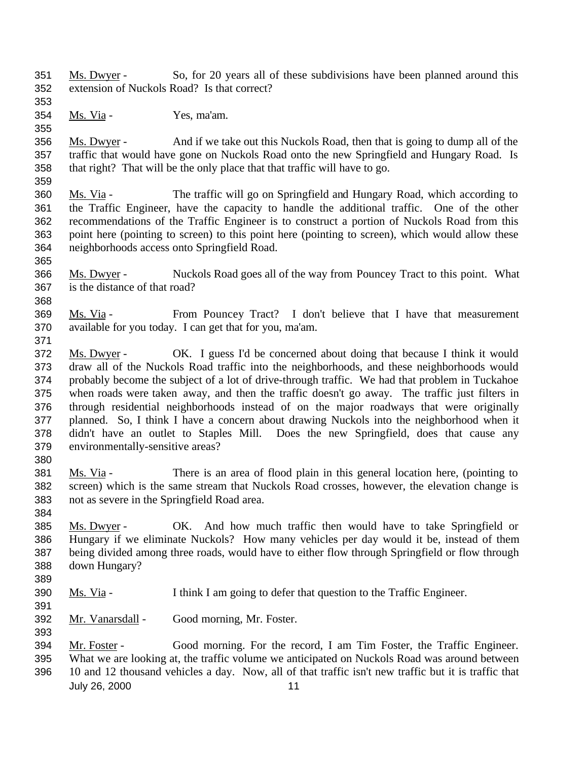- Ms. Dwyer So, for 20 years all of these subdivisions have been planned around this extension of Nuckols Road? Is that correct?
- 

Ms. Via - Yes, ma'am.

 Ms. Dwyer - And if we take out this Nuckols Road, then that is going to dump all of the traffic that would have gone on Nuckols Road onto the new Springfield and Hungary Road. Is that right? That will be the only place that that traffic will have to go.

 Ms. Via - The traffic will go on Springfield and Hungary Road, which according to the Traffic Engineer, have the capacity to handle the additional traffic. One of the other recommendations of the Traffic Engineer is to construct a portion of Nuckols Road from this point here (pointing to screen) to this point here (pointing to screen), which would allow these neighborhoods access onto Springfield Road.

- Ms. Dwyer - Nuckols Road goes all of the way from Pouncey Tract to this point. What
	- is the distance of that road?
	- Ms. Via - From Pouncey Tract? I don't believe that I have that measurement available for you today. I can get that for you, ma'am.
- 
- 372 Ms. Dwyer OK. I guess I'd be concerned about doing that because I think it would draw all of the Nuckols Road traffic into the neighborhoods, and these neighborhoods would probably become the subject of a lot of drive-through traffic. We had that problem in Tuckahoe when roads were taken away, and then the traffic doesn't go away. The traffic just filters in through residential neighborhoods instead of on the major roadways that were originally planned. So, I think I have a concern about drawing Nuckols into the neighborhood when it didn't have an outlet to Staples Mill. Does the new Springfield, does that cause any environmentally-sensitive areas?
- Ms. Via There is an area of flood plain in this general location here, (pointing to screen) which is the same stream that Nuckols Road crosses, however, the elevation change is not as severe in the Springfield Road area.
- 385 Ms. Dwyer - OK. And how much traffic then would have to take Springfield or Hungary if we eliminate Nuckols? How many vehicles per day would it be, instead of them being divided among three roads, would have to either flow through Springfield or flow through down Hungary?
- 

- Ms. Via I think I am going to defer that question to the Traffic Engineer.
- Mr. Vanarsdall Good morning, Mr. Foster.
- Mr. Foster Good morning. For the record, I am Tim Foster, the Traffic Engineer. What we are looking at, the traffic volume we anticipated on Nuckols Road was around between
- July 26, 2000 11 10 and 12 thousand vehicles a day. Now, all of that traffic isn't new traffic but it is traffic that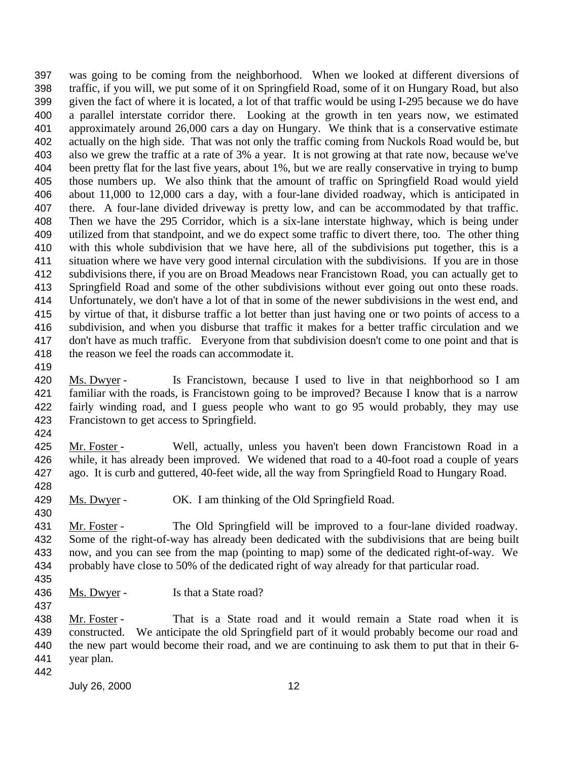was going to be coming from the neighborhood. When we looked at different diversions of traffic, if you will, we put some of it on Springfield Road, some of it on Hungary Road, but also given the fact of where it is located, a lot of that traffic would be using I-295 because we do have a parallel interstate corridor there. Looking at the growth in ten years now, we estimated approximately around 26,000 cars a day on Hungary. We think that is a conservative estimate actually on the high side. That was not only the traffic coming from Nuckols Road would be, but also we grew the traffic at a rate of 3% a year. It is not growing at that rate now, because we've been pretty flat for the last five years, about 1%, but we are really conservative in trying to bump those numbers up. We also think that the amount of traffic on Springfield Road would yield about 11,000 to 12,000 cars a day, with a four-lane divided roadway, which is anticipated in there. A four-lane divided driveway is pretty low, and can be accommodated by that traffic. Then we have the 295 Corridor, which is a six-lane interstate highway, which is being under utilized from that standpoint, and we do expect some traffic to divert there, too. The other thing with this whole subdivision that we have here, all of the subdivisions put together, this is a situation where we have very good internal circulation with the subdivisions. If you are in those subdivisions there, if you are on Broad Meadows near Francistown Road, you can actually get to Springfield Road and some of the other subdivisions without ever going out onto these roads. Unfortunately, we don't have a lot of that in some of the newer subdivisions in the west end, and by virtue of that, it disburse traffic a lot better than just having one or two points of access to a subdivision, and when you disburse that traffic it makes for a better traffic circulation and we don't have as much traffic. Everyone from that subdivision doesn't come to one point and that is the reason we feel the roads can accommodate it.

 Ms. Dwyer - Is Francistown, because I used to live in that neighborhood so I am familiar with the roads, is Francistown going to be improved? Because I know that is a narrow fairly winding road, and I guess people who want to go 95 would probably, they may use Francistown to get access to Springfield.

 Mr. Foster - Well, actually, unless you haven't been down Francistown Road in a while, it has already been improved. We widened that road to a 40-foot road a couple of years ago. It is curb and guttered, 40-feet wide, all the way from Springfield Road to Hungary Road. 

Ms. Dwyer - OK. I am thinking of the Old Springfield Road.

431 Mr. Foster - The Old Springfield will be improved to a four-lane divided roadway. Some of the right-of-way has already been dedicated with the subdivisions that are being built now, and you can see from the map (pointing to map) some of the dedicated right-of-way. We probably have close to 50% of the dedicated right of way already for that particular road.

- 436 Ms. Dwyer Is that a State road?
- 

438 Mr. Foster - That is a State road and it would remain a State road when it is constructed. We anticipate the old Springfield part of it would probably become our road and the new part would become their road, and we are continuing to ask them to put that in their 6- year plan.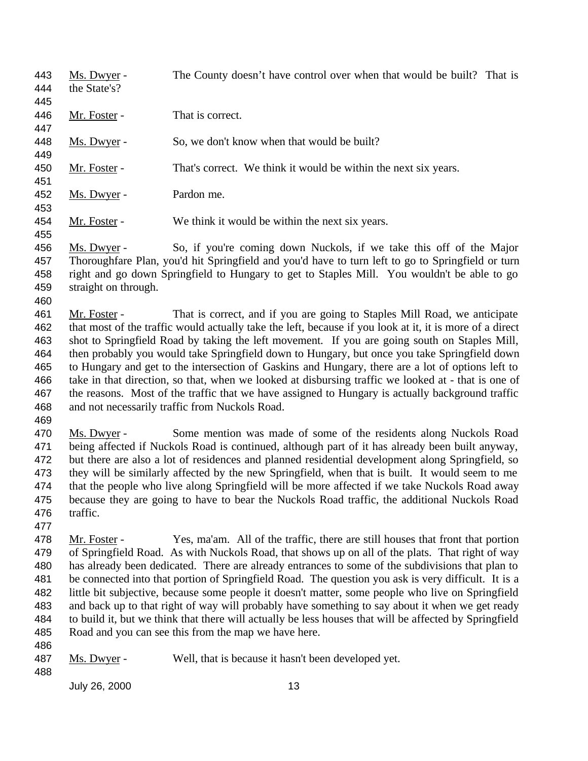| 443 | Ms. Dwyer -  | The County doesn't have control over when that would be built? That is |
|-----|--------------|------------------------------------------------------------------------|
| 444 | the State's? |                                                                        |
| 445 |              |                                                                        |
| 446 | Mr. Foster - | That is correct.                                                       |
| 447 |              |                                                                        |
| 448 | Ms. Dwyer -  | So, we don't know when that would be built?                            |
| 449 |              |                                                                        |
| 450 | Mr. Foster - | That's correct. We think it would be within the next six years.        |
| 451 |              |                                                                        |
| 452 | Ms. Dwyer -  | Pardon me.                                                             |
| 453 |              |                                                                        |
| 454 | Mr. Foster - | We think it would be within the next six years.                        |
| 455 |              |                                                                        |

#### 456 Ms. Dwyer - So, if you're coming down Nuckols, if we take this off of the Major Thoroughfare Plan, you'd hit Springfield and you'd have to turn left to go to Springfield or turn right and go down Springfield to Hungary to get to Staples Mill. You wouldn't be able to go straight on through.

 Mr. Foster - That is correct, and if you are going to Staples Mill Road, we anticipate that most of the traffic would actually take the left, because if you look at it, it is more of a direct shot to Springfield Road by taking the left movement. If you are going south on Staples Mill, then probably you would take Springfield down to Hungary, but once you take Springfield down to Hungary and get to the intersection of Gaskins and Hungary, there are a lot of options left to take in that direction, so that, when we looked at disbursing traffic we looked at - that is one of the reasons. Most of the traffic that we have assigned to Hungary is actually background traffic and not necessarily traffic from Nuckols Road.

 Ms. Dwyer - Some mention was made of some of the residents along Nuckols Road being affected if Nuckols Road is continued, although part of it has already been built anyway, but there are also a lot of residences and planned residential development along Springfield, so they will be similarly affected by the new Springfield, when that is built. It would seem to me that the people who live along Springfield will be more affected if we take Nuckols Road away because they are going to have to bear the Nuckols Road traffic, the additional Nuckols Road traffic.

 Mr. Foster - Yes, ma'am. All of the traffic, there are still houses that front that portion of Springfield Road. As with Nuckols Road, that shows up on all of the plats. That right of way has already been dedicated. There are already entrances to some of the subdivisions that plan to be connected into that portion of Springfield Road. The question you ask is very difficult. It is a little bit subjective, because some people it doesn't matter, some people who live on Springfield and back up to that right of way will probably have something to say about it when we get ready to build it, but we think that there will actually be less houses that will be affected by Springfield Road and you can see this from the map we have here.

<sup>487</sup> Ms. Dwyer - Well, that is because it hasn't been developed yet.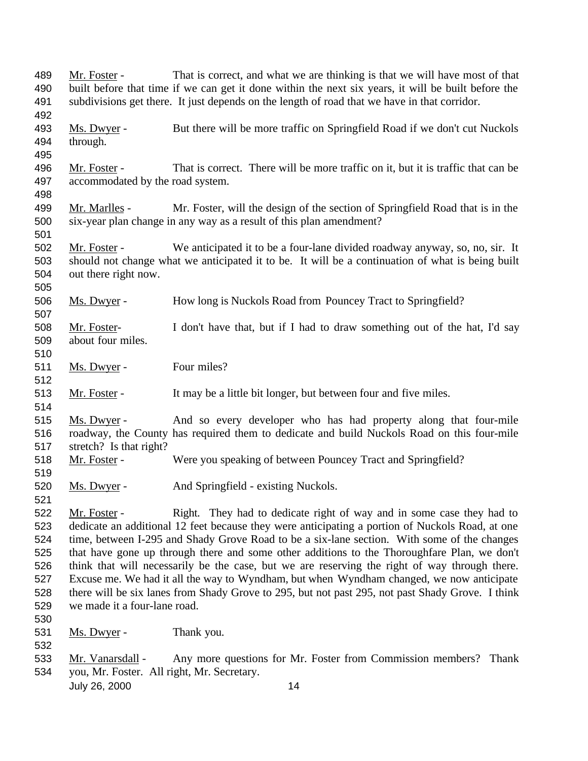| 489 | Mr. Foster -                               | That is correct, and what we are thinking is that we will have most of that                         |
|-----|--------------------------------------------|-----------------------------------------------------------------------------------------------------|
| 490 |                                            | built before that time if we can get it done within the next six years, it will be built before the |
| 491 |                                            | subdivisions get there. It just depends on the length of road that we have in that corridor.        |
| 492 |                                            |                                                                                                     |
| 493 | Ms. Dwyer -                                | But there will be more traffic on Springfield Road if we don't cut Nuckols                          |
| 494 | through.                                   |                                                                                                     |
| 495 |                                            |                                                                                                     |
| 496 | Mr. Foster -                               | That is correct. There will be more traffic on it, but it is traffic that can be                    |
| 497 | accommodated by the road system.           |                                                                                                     |
| 498 |                                            |                                                                                                     |
| 499 | Mr. Marlles -                              | Mr. Foster, will the design of the section of Springfield Road that is in the                       |
| 500 |                                            | six-year plan change in any way as a result of this plan amendment?                                 |
| 501 |                                            |                                                                                                     |
| 502 | Mr. Foster -                               | We anticipated it to be a four-lane divided roadway anyway, so, no, sir. It                         |
| 503 |                                            | should not change what we anticipated it to be. It will be a continuation of what is being built    |
| 504 | out there right now.                       |                                                                                                     |
| 505 |                                            |                                                                                                     |
| 506 | Ms. Dwyer -                                | How long is Nuckols Road from Pouncey Tract to Springfield?                                         |
| 507 |                                            |                                                                                                     |
| 508 | Mr. Foster-                                | I don't have that, but if I had to draw something out of the hat, I'd say                           |
| 509 | about four miles.                          |                                                                                                     |
| 510 |                                            |                                                                                                     |
| 511 | Ms. Dwyer -                                | Four miles?                                                                                         |
| 512 |                                            |                                                                                                     |
| 513 | Mr. Foster -                               | It may be a little bit longer, but between four and five miles.                                     |
| 514 |                                            |                                                                                                     |
| 515 | Ms. Dwyer -                                | And so every developer who has had property along that four-mile                                    |
| 516 |                                            | roadway, the County has required them to dedicate and build Nuckols Road on this four-mile          |
| 517 | stretch? Is that right?                    |                                                                                                     |
| 518 | Mr. Foster -                               | Were you speaking of between Pouncey Tract and Springfield?                                         |
| 519 |                                            |                                                                                                     |
| 520 | Ms. Dwyer -                                | And Springfield - existing Nuckols.                                                                 |
| 521 |                                            |                                                                                                     |
| 522 | Mr. Foster -                               | Right. They had to dedicate right of way and in some case they had to                               |
| 523 |                                            | dedicate an additional 12 feet because they were anticipating a portion of Nuckols Road, at one     |
| 524 |                                            | time, between I-295 and Shady Grove Road to be a six-lane section. With some of the changes         |
| 525 |                                            | that have gone up through there and some other additions to the Thoroughfare Plan, we don't         |
| 526 |                                            | think that will necessarily be the case, but we are reserving the right of way through there.       |
| 527 |                                            | Excuse me. We had it all the way to Wyndham, but when Wyndham changed, we now anticipate            |
| 528 |                                            | there will be six lanes from Shady Grove to 295, but not past 295, not past Shady Grove. I think    |
| 529 | we made it a four-lane road.               |                                                                                                     |
| 530 |                                            |                                                                                                     |
| 531 | Ms. Dwyer -                                | Thank you.                                                                                          |
| 532 |                                            |                                                                                                     |
| 533 | Mr. Vanarsdall -                           | Any more questions for Mr. Foster from Commission members? Thank                                    |
| 534 | you, Mr. Foster. All right, Mr. Secretary. |                                                                                                     |
|     | July 26, 2000                              | 14                                                                                                  |
|     |                                            |                                                                                                     |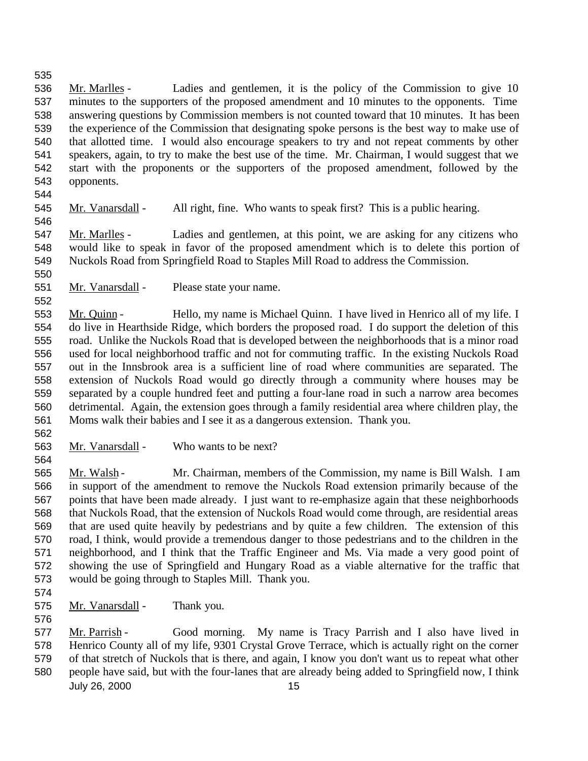Mr. Marlles - Ladies and gentlemen, it is the policy of the Commission to give 10 minutes to the supporters of the proposed amendment and 10 minutes to the opponents. Time answering questions by Commission members is not counted toward that 10 minutes. It has been the experience of the Commission that designating spoke persons is the best way to make use of that allotted time. I would also encourage speakers to try and not repeat comments by other speakers, again, to try to make the best use of the time. Mr. Chairman, I would suggest that we start with the proponents or the supporters of the proposed amendment, followed by the opponents.

545 Mr. Vanarsdall - All right, fine. Who wants to speak first? This is a public hearing.

 Mr. Marlles - Ladies and gentlemen, at this point, we are asking for any citizens who would like to speak in favor of the proposed amendment which is to delete this portion of Nuckols Road from Springfield Road to Staples Mill Road to address the Commission.

551 Mr. Vanarsdall - Please state your name.

 Mr. Quinn - Hello, my name is Michael Quinn. I have lived in Henrico all of my life. I do live in Hearthside Ridge, which borders the proposed road. I do support the deletion of this road. Unlike the Nuckols Road that is developed between the neighborhoods that is a minor road used for local neighborhood traffic and not for commuting traffic. In the existing Nuckols Road out in the Innsbrook area is a sufficient line of road where communities are separated. The extension of Nuckols Road would go directly through a community where houses may be separated by a couple hundred feet and putting a four-lane road in such a narrow area becomes detrimental. Again, the extension goes through a family residential area where children play, the Moms walk their babies and I see it as a dangerous extension. Thank you.

Mr. Vanarsdall - Who wants to be next?

 Mr. Walsh - Mr. Chairman, members of the Commission, my name is Bill Walsh. I am in support of the amendment to remove the Nuckols Road extension primarily because of the points that have been made already. I just want to re-emphasize again that these neighborhoods that Nuckols Road, that the extension of Nuckols Road would come through, are residential areas that are used quite heavily by pedestrians and by quite a few children. The extension of this road, I think, would provide a tremendous danger to those pedestrians and to the children in the neighborhood, and I think that the Traffic Engineer and Ms. Via made a very good point of showing the use of Springfield and Hungary Road as a viable alternative for the traffic that would be going through to Staples Mill. Thank you.

575 Mr. Vanarsdall - Thank you. 

 Mr. Parrish - Good morning. My name is Tracy Parrish and I also have lived in Henrico County all of my life, 9301 Crystal Grove Terrace, which is actually right on the corner of that stretch of Nuckols that is there, and again, I know you don't want us to repeat what other

July 26, 2000 15 people have said, but with the four-lanes that are already being added to Springfield now, I think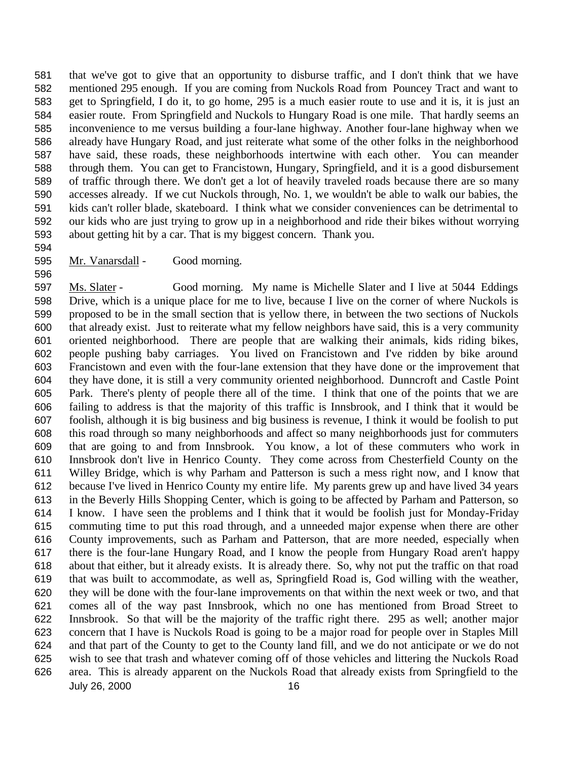that we've got to give that an opportunity to disburse traffic, and I don't think that we have mentioned 295 enough. If you are coming from Nuckols Road from Pouncey Tract and want to get to Springfield, I do it, to go home, 295 is a much easier route to use and it is, it is just an easier route. From Springfield and Nuckols to Hungary Road is one mile. That hardly seems an inconvenience to me versus building a four-lane highway. Another four-lane highway when we already have Hungary Road, and just reiterate what some of the other folks in the neighborhood have said, these roads, these neighborhoods intertwine with each other. You can meander through them. You can get to Francistown, Hungary, Springfield, and it is a good disbursement of traffic through there. We don't get a lot of heavily traveled roads because there are so many accesses already. If we cut Nuckols through, No. 1, we wouldn't be able to walk our babies, the kids can't roller blade, skateboard. I think what we consider conveniences can be detrimental to our kids who are just trying to grow up in a neighborhood and ride their bikes without worrying about getting hit by a car. That is my biggest concern. Thank you.

Mr. Vanarsdall - Good morning.

July 26, 2000 16 Ms. Slater - Good morning. My name is Michelle Slater and I live at 5044 Eddings Drive, which is a unique place for me to live, because I live on the corner of where Nuckols is proposed to be in the small section that is yellow there, in between the two sections of Nuckols that already exist. Just to reiterate what my fellow neighbors have said, this is a very community oriented neighborhood. There are people that are walking their animals, kids riding bikes, people pushing baby carriages. You lived on Francistown and I've ridden by bike around Francistown and even with the four-lane extension that they have done or the improvement that they have done, it is still a very community oriented neighborhood. Dunncroft and Castle Point Park. There's plenty of people there all of the time. I think that one of the points that we are failing to address is that the majority of this traffic is Innsbrook, and I think that it would be foolish, although it is big business and big business is revenue, I think it would be foolish to put this road through so many neighborhoods and affect so many neighborhoods just for commuters that are going to and from Innsbrook. You know, a lot of these commuters who work in Innsbrook don't live in Henrico County. They come across from Chesterfield County on the Willey Bridge, which is why Parham and Patterson is such a mess right now, and I know that because I've lived in Henrico County my entire life. My parents grew up and have lived 34 years in the Beverly Hills Shopping Center, which is going to be affected by Parham and Patterson, so I know. I have seen the problems and I think that it would be foolish just for Monday-Friday commuting time to put this road through, and a unneeded major expense when there are other County improvements, such as Parham and Patterson, that are more needed, especially when there is the four-lane Hungary Road, and I know the people from Hungary Road aren't happy about that either, but it already exists. It is already there. So, why not put the traffic on that road that was built to accommodate, as well as, Springfield Road is, God willing with the weather, they will be done with the four-lane improvements on that within the next week or two, and that comes all of the way past Innsbrook, which no one has mentioned from Broad Street to Innsbrook. So that will be the majority of the traffic right there. 295 as well; another major concern that I have is Nuckols Road is going to be a major road for people over in Staples Mill and that part of the County to get to the County land fill, and we do not anticipate or we do not wish to see that trash and whatever coming off of those vehicles and littering the Nuckols Road area. This is already apparent on the Nuckols Road that already exists from Springfield to the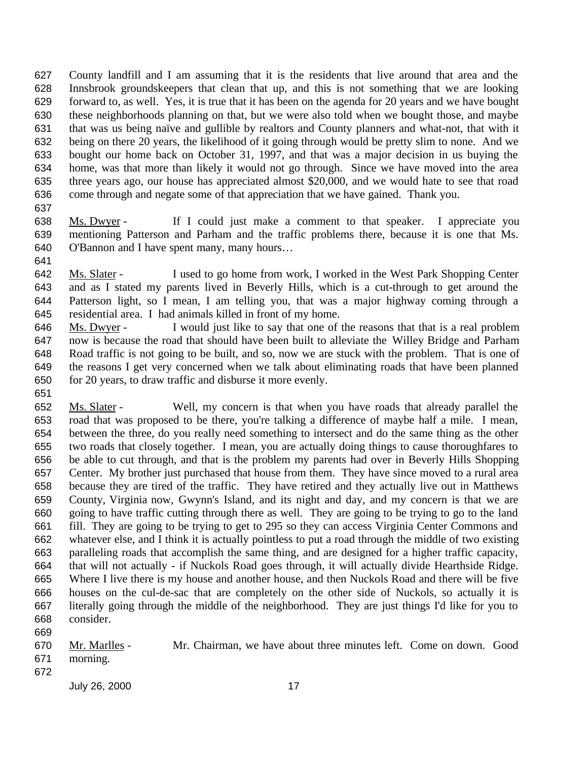County landfill and I am assuming that it is the residents that live around that area and the Innsbrook groundskeepers that clean that up, and this is not something that we are looking forward to, as well. Yes, it is true that it has been on the agenda for 20 years and we have bought these neighborhoods planning on that, but we were also told when we bought those, and maybe that was us being naïve and gullible by realtors and County planners and what-not, that with it being on there 20 years, the likelihood of it going through would be pretty slim to none. And we bought our home back on October 31, 1997, and that was a major decision in us buying the home, was that more than likely it would not go through. Since we have moved into the area three years ago, our house has appreciated almost \$20,000, and we would hate to see that road come through and negate some of that appreciation that we have gained. Thank you.

 Ms. Dwyer - If I could just make a comment to that speaker. I appreciate you mentioning Patterson and Parham and the traffic problems there, because it is one that Ms. O'Bannon and I have spent many, many hours…

 Ms. Slater - I used to go home from work, I worked in the West Park Shopping Center and as I stated my parents lived in Beverly Hills, which is a cut-through to get around the Patterson light, so I mean, I am telling you, that was a major highway coming through a residential area. I had animals killed in front of my home.

646 Ms. Dwyer - I would just like to say that one of the reasons that that is a real problem now is because the road that should have been built to alleviate the Willey Bridge and Parham Road traffic is not going to be built, and so, now we are stuck with the problem. That is one of the reasons I get very concerned when we talk about eliminating roads that have been planned for 20 years, to draw traffic and disburse it more evenly.

- Ms. Slater Well, my concern is that when you have roads that already parallel the road that was proposed to be there, you're talking a difference of maybe half a mile. I mean, between the three, do you really need something to intersect and do the same thing as the other two roads that closely together. I mean, you are actually doing things to cause thoroughfares to be able to cut through, and that is the problem my parents had over in Beverly Hills Shopping Center. My brother just purchased that house from them. They have since moved to a rural area because they are tired of the traffic. They have retired and they actually live out in Matthews County, Virginia now, Gwynn's Island, and its night and day, and my concern is that we are going to have traffic cutting through there as well. They are going to be trying to go to the land fill. They are going to be trying to get to 295 so they can access Virginia Center Commons and whatever else, and I think it is actually pointless to put a road through the middle of two existing paralleling roads that accomplish the same thing, and are designed for a higher traffic capacity, that will not actually - if Nuckols Road goes through, it will actually divide Hearthside Ridge. Where I live there is my house and another house, and then Nuckols Road and there will be five houses on the cul-de-sac that are completely on the other side of Nuckols, so actually it is literally going through the middle of the neighborhood. They are just things I'd like for you to consider.
- Mr. Marlles Mr. Chairman, we have about three minutes left. Come on down. Good morning.
-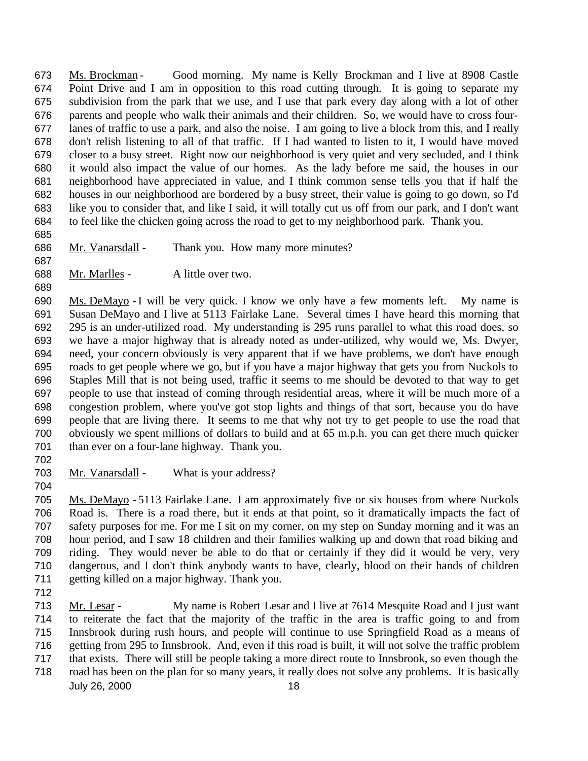Ms. Brockman - Good morning. My name is Kelly Brockman and I live at 8908 Castle Point Drive and I am in opposition to this road cutting through. It is going to separate my subdivision from the park that we use, and I use that park every day along with a lot of other parents and people who walk their animals and their children. So, we would have to cross four- lanes of traffic to use a park, and also the noise. I am going to live a block from this, and I really don't relish listening to all of that traffic. If I had wanted to listen to it, I would have moved closer to a busy street. Right now our neighborhood is very quiet and very secluded, and I think it would also impact the value of our homes. As the lady before me said, the houses in our neighborhood have appreciated in value, and I think common sense tells you that if half the houses in our neighborhood are bordered by a busy street, their value is going to go down, so I'd like you to consider that, and like I said, it will totally cut us off from our park, and I don't want to feel like the chicken going across the road to get to my neighborhood park. Thank you.

- 686 Mr. Vanarsdall Thank you. How many more minutes?
- 
- 688 Mr. Marlles A little over two.

 Ms. DeMayo - I will be very quick. I know we only have a few moments left. My name is Susan DeMayo and I live at 5113 Fairlake Lane. Several times I have heard this morning that 295 is an under-utilized road. My understanding is 295 runs parallel to what this road does, so we have a major highway that is already noted as under-utilized, why would we, Ms. Dwyer, need, your concern obviously is very apparent that if we have problems, we don't have enough roads to get people where we go, but if you have a major highway that gets you from Nuckols to Staples Mill that is not being used, traffic it seems to me should be devoted to that way to get people to use that instead of coming through residential areas, where it will be much more of a congestion problem, where you've got stop lights and things of that sort, because you do have people that are living there. It seems to me that why not try to get people to use the road that obviously we spent millions of dollars to build and at 65 m.p.h. you can get there much quicker than ever on a four-lane highway. Thank you.

- 703 Mr. Vanarsdall What is your address?
- Ms. DeMayo 5113 Fairlake Lane. I am approximately five or six houses from where Nuckols Road is. There is a road there, but it ends at that point, so it dramatically impacts the fact of safety purposes for me. For me I sit on my corner, on my step on Sunday morning and it was an hour period, and I saw 18 children and their families walking up and down that road biking and riding. They would never be able to do that or certainly if they did it would be very, very dangerous, and I don't think anybody wants to have, clearly, blood on their hands of children getting killed on a major highway. Thank you.
- 

 Mr. Lesar - My name is Robert Lesar and I live at 7614 Mesquite Road and I just want to reiterate the fact that the majority of the traffic in the area is traffic going to and from Innsbrook during rush hours, and people will continue to use Springfield Road as a means of getting from 295 to Innsbrook. And, even if this road is built, it will not solve the traffic problem that exists. There will still be people taking a more direct route to Innsbrook, so even though the

July 26, 2000 18 road has been on the plan for so many years, it really does not solve any problems. It is basically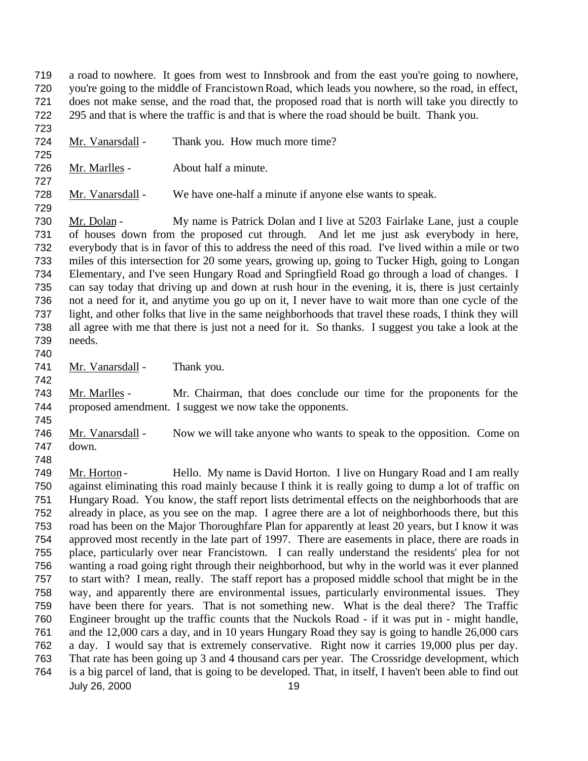a road to nowhere. It goes from west to Innsbrook and from the east you're going to nowhere, you're going to the middle of Francistown Road, which leads you nowhere, so the road, in effect, does not make sense, and the road that, the proposed road that is north will take you directly to 295 and that is where the traffic is and that is where the road should be built. Thank you.

 Mr. Vanarsdall - Thank you. How much more time? 

Mr. Marlles - About half a minute.

728 Mr. Vanarsdall - We have one-half a minute if anyone else wants to speak.

 Mr. Dolan - My name is Patrick Dolan and I live at 5203 Fairlake Lane, just a couple of houses down from the proposed cut through. And let me just ask everybody in here, everybody that is in favor of this to address the need of this road. I've lived within a mile or two miles of this intersection for 20 some years, growing up, going to Tucker High, going to Longan Elementary, and I've seen Hungary Road and Springfield Road go through a load of changes. I can say today that driving up and down at rush hour in the evening, it is, there is just certainly not a need for it, and anytime you go up on it, I never have to wait more than one cycle of the light, and other folks that live in the same neighborhoods that travel these roads, I think they will all agree with me that there is just not a need for it. So thanks. I suggest you take a look at the needs. 

741 Mr. Vanarsdall - Thank you.

 Mr. Marlles - Mr. Chairman, that does conclude our time for the proponents for the proposed amendment. I suggest we now take the opponents.

 Mr. Vanarsdall - Now we will take anyone who wants to speak to the opposition. Come on down.

July 26, 2000 19 749 Mr. Horton - Hello. My name is David Horton. I live on Hungary Road and I am really against eliminating this road mainly because I think it is really going to dump a lot of traffic on Hungary Road. You know, the staff report lists detrimental effects on the neighborhoods that are already in place, as you see on the map. I agree there are a lot of neighborhoods there, but this road has been on the Major Thoroughfare Plan for apparently at least 20 years, but I know it was approved most recently in the late part of 1997. There are easements in place, there are roads in place, particularly over near Francistown. I can really understand the residents' plea for not wanting a road going right through their neighborhood, but why in the world was it ever planned to start with? I mean, really. The staff report has a proposed middle school that might be in the way, and apparently there are environmental issues, particularly environmental issues. They have been there for years. That is not something new. What is the deal there? The Traffic Engineer brought up the traffic counts that the Nuckols Road - if it was put in - might handle, and the 12,000 cars a day, and in 10 years Hungary Road they say is going to handle 26,000 cars a day. I would say that is extremely conservative. Right now it carries 19,000 plus per day. That rate has been going up 3 and 4 thousand cars per year. The Crossridge development, which is a big parcel of land, that is going to be developed. That, in itself, I haven't been able to find out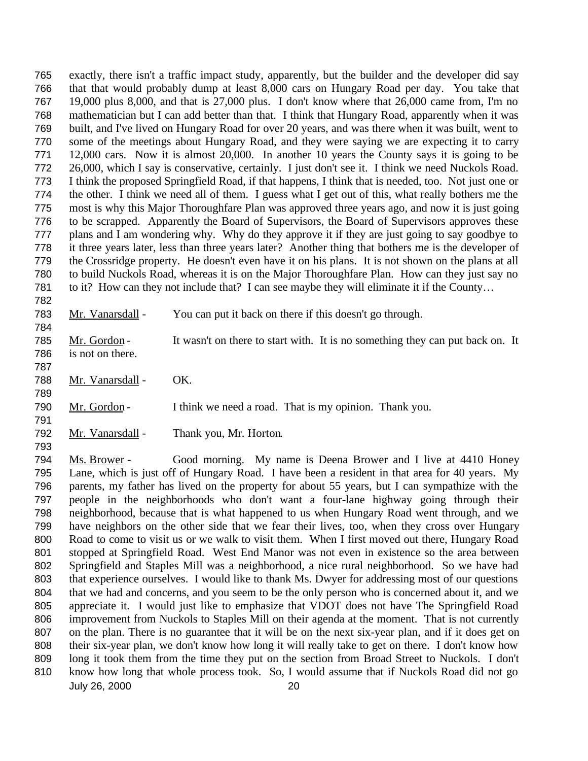exactly, there isn't a traffic impact study, apparently, but the builder and the developer did say that that would probably dump at least 8,000 cars on Hungary Road per day. You take that 19,000 plus 8,000, and that is 27,000 plus. I don't know where that 26,000 came from, I'm no mathematician but I can add better than that. I think that Hungary Road, apparently when it was built, and I've lived on Hungary Road for over 20 years, and was there when it was built, went to some of the meetings about Hungary Road, and they were saying we are expecting it to carry 12,000 cars. Now it is almost 20,000. In another 10 years the County says it is going to be 26,000, which I say is conservative, certainly. I just don't see it. I think we need Nuckols Road. I think the proposed Springfield Road, if that happens, I think that is needed, too. Not just one or the other. I think we need all of them. I guess what I get out of this, what really bothers me the most is why this Major Thoroughfare Plan was approved three years ago, and now it is just going to be scrapped. Apparently the Board of Supervisors, the Board of Supervisors approves these plans and I am wondering why. Why do they approve it if they are just going to say goodbye to it three years later, less than three years later? Another thing that bothers me is the developer of the Crossridge property. He doesn't even have it on his plans. It is not shown on the plans at all to build Nuckols Road, whereas it is on the Major Thoroughfare Plan. How can they just say no to it? How can they not include that? I can see maybe they will eliminate it if the County… 

 785 Mr. Gordon - It wasn't on there to start with. It is no something they can put back on. It is not on there.

 788 Mr. Vanarsdall - OK.

790 Mr. Gordon - I think we need a road. That is my opinion. Thank you.

Mr. Vanarsdall - You can put it back on there if this doesn't go through.

Mr. Vanarsdall - Thank you, Mr. Horton.

July 26, 2000 20 Ms. Brower - Good morning. My name is Deena Brower and I live at 4410 Honey Lane, which is just off of Hungary Road. I have been a resident in that area for 40 years. My parents, my father has lived on the property for about 55 years, but I can sympathize with the people in the neighborhoods who don't want a four-lane highway going through their neighborhood, because that is what happened to us when Hungary Road went through, and we have neighbors on the other side that we fear their lives, too, when they cross over Hungary Road to come to visit us or we walk to visit them. When I first moved out there, Hungary Road stopped at Springfield Road. West End Manor was not even in existence so the area between Springfield and Staples Mill was a neighborhood, a nice rural neighborhood. So we have had that experience ourselves. I would like to thank Ms. Dwyer for addressing most of our questions that we had and concerns, and you seem to be the only person who is concerned about it, and we appreciate it. I would just like to emphasize that VDOT does not have The Springfield Road improvement from Nuckols to Staples Mill on their agenda at the moment. That is not currently on the plan. There is no guarantee that it will be on the next six-year plan, and if it does get on their six-year plan, we don't know how long it will really take to get on there. I don't know how long it took them from the time they put on the section from Broad Street to Nuckols. I don't 810 know how long that whole process took. So, I would assume that if Nuckols Road did not go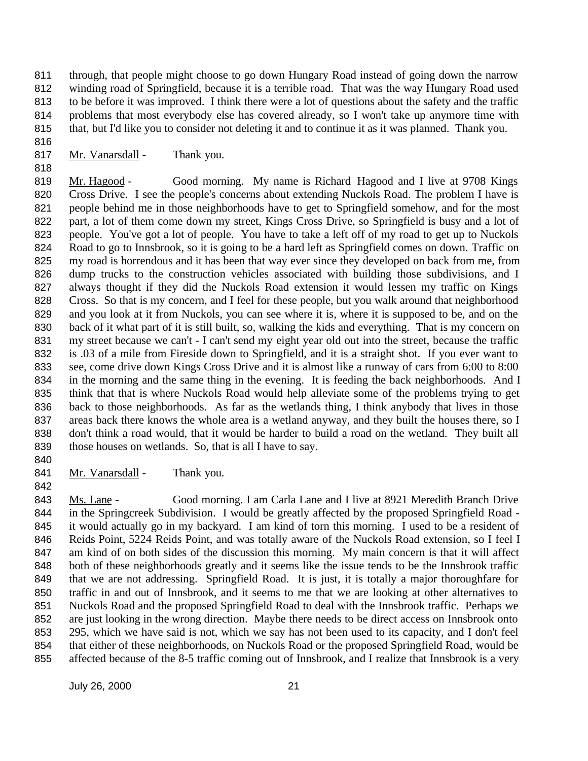811 through, that people might choose to go down Hungary Road instead of going down the narrow winding road of Springfield, because it is a terrible road. That was the way Hungary Road used to be before it was improved. I think there were a lot of questions about the safety and the traffic problems that most everybody else has covered already, so I won't take up anymore time with that, but I'd like you to consider not deleting it and to continue it as it was planned. Thank you.

817 Mr. Vanarsdall - Thank you.

 Mr. Hagood - Good morning. My name is Richard Hagood and I live at 9708 Kings 820 Cross Drive. I see the people's concerns about extending Nuckols Road. The problem I have is people behind me in those neighborhoods have to get to Springfield somehow, and for the most 822 part, a lot of them come down my street, Kings Cross Drive, so Springfield is busy and a lot of people. You've got a lot of people. You have to take a left off of my road to get up to Nuckols Road to go to Innsbrook, so it is going to be a hard left as Springfield comes on down. Traffic on my road is horrendous and it has been that way ever since they developed on back from me, from dump trucks to the construction vehicles associated with building those subdivisions, and I always thought if they did the Nuckols Road extension it would lessen my traffic on Kings Cross. So that is my concern, and I feel for these people, but you walk around that neighborhood and you look at it from Nuckols, you can see where it is, where it is supposed to be, and on the back of it what part of it is still built, so, walking the kids and everything. That is my concern on my street because we can't - I can't send my eight year old out into the street, because the traffic is .03 of a mile from Fireside down to Springfield, and it is a straight shot. If you ever want to see, come drive down Kings Cross Drive and it is almost like a runway of cars from 6:00 to 8:00 in the morning and the same thing in the evening. It is feeding the back neighborhoods. And I think that that is where Nuckols Road would help alleviate some of the problems trying to get back to those neighborhoods. As far as the wetlands thing, I think anybody that lives in those areas back there knows the whole area is a wetland anyway, and they built the houses there, so I don't think a road would, that it would be harder to build a road on the wetland. They built all those houses on wetlands. So, that is all I have to say.

841 Mr. Vanarsdall - Thank you.

843 Ms. Lane - Good morning. I am Carla Lane and I live at 8921 Meredith Branch Drive in the Springcreek Subdivision. I would be greatly affected by the proposed Springfield Road - it would actually go in my backyard. I am kind of torn this morning. I used to be a resident of 846 Reids Point, 5224 Reids Point, and was totally aware of the Nuckols Road extension, so I feel I 847 am kind of on both sides of the discussion this morning. My main concern is that it will affect both of these neighborhoods greatly and it seems like the issue tends to be the Innsbrook traffic that we are not addressing. Springfield Road. It is just, it is totally a major thoroughfare for traffic in and out of Innsbrook, and it seems to me that we are looking at other alternatives to Nuckols Road and the proposed Springfield Road to deal with the Innsbrook traffic. Perhaps we are just looking in the wrong direction. Maybe there needs to be direct access on Innsbrook onto 295, which we have said is not, which we say has not been used to its capacity, and I don't feel that either of these neighborhoods, on Nuckols Road or the proposed Springfield Road, would be affected because of the 8-5 traffic coming out of Innsbrook, and I realize that Innsbrook is a very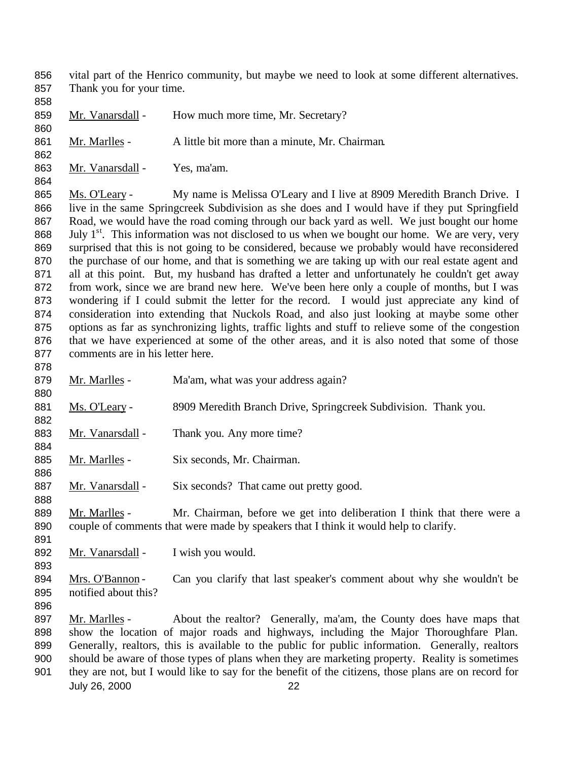- vital part of the Henrico community, but maybe we need to look at some different alternatives. Thank you for your time.
- 859 Mr. Vanarsdall How much more time, Mr. Secretary?
- 861 Mr. Marlles A little bit more than a minute, Mr. Chairman.
- Mr. Vanarsdall Yes, ma'am.

865 Ms. O'Leary - My name is Melissa O'Leary and I live at 8909 Meredith Branch Drive. I live in the same Springcreek Subdivision as she does and I would have if they put Springfield Road, we would have the road coming through our back yard as well. We just bought our home 868 . July  $1<sup>st</sup>$ . This information was not disclosed to us when we bought our home. We are very, very surprised that this is not going to be considered, because we probably would have reconsidered the purchase of our home, and that is something we are taking up with our real estate agent and 871 all at this point. But, my husband has drafted a letter and unfortunately he couldn't get away from work, since we are brand new here. We've been here only a couple of months, but I was wondering if I could submit the letter for the record. I would just appreciate any kind of consideration into extending that Nuckols Road, and also just looking at maybe some other options as far as synchronizing lights, traffic lights and stuff to relieve some of the congestion that we have experienced at some of the other areas, and it is also noted that some of those comments are in his letter here.

- 879 Mr. Marlles - Ma'am, what was your address again? 881 Ms. O'Leary - 8909 Meredith Branch Drive, Springcreek Subdivision. Thank you. 883 Mr. Vanarsdall - Thank you. Any more time? 885 Mr. Marlles - Six seconds, Mr. Chairman. 887 Mr. Vanarsdall - Six seconds? That came out pretty good. 889 Mr. Marlles - Mr. Chairman, before we get into deliberation I think that there were a couple of comments that were made by speakers that I think it would help to clarify. 892 Mr. Vanarsdall - I wish you would.
- 894 Mrs. O'Bannon Can you clarify that last speaker's comment about why she wouldn't be notified about this?
- 
- July 26, 2000 22 897 Mr. Marlles - About the realtor? Generally, ma'am, the County does have maps that show the location of major roads and highways, including the Major Thoroughfare Plan. Generally, realtors, this is available to the public for public information. Generally, realtors should be aware of those types of plans when they are marketing property. Reality is sometimes they are not, but I would like to say for the benefit of the citizens, those plans are on record for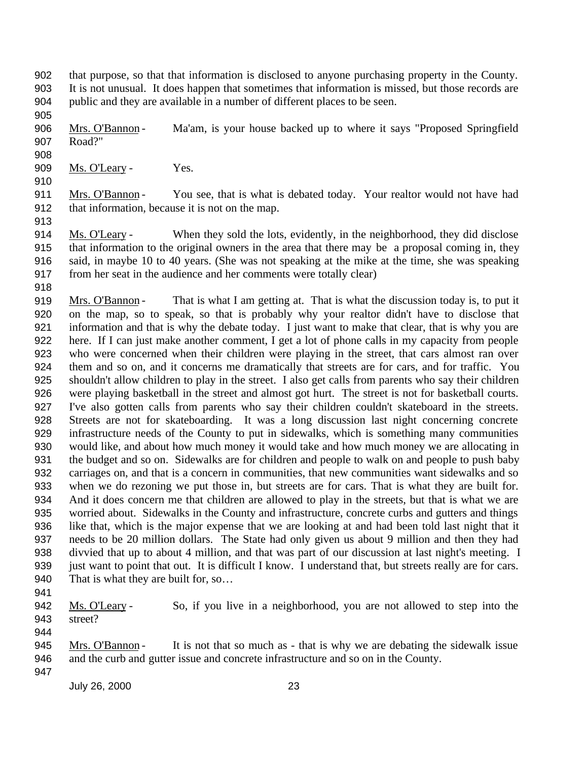- that purpose, so that that information is disclosed to anyone purchasing property in the County. It is not unusual. It does happen that sometimes that information is missed, but those records are public and they are available in a number of different places to be seen.
- 906 Mrs. O'Bannon Ma'am, is your house backed up to where it says "Proposed Springfield Road?"
- 
- 

909 Ms. O'Leary - Yes.

- 911 Mrs. O'Bannon You see, that is what is debated today. Your realtor would not have had that information, because it is not on the map.
- Ms. O'Leary When they sold the lots, evidently, in the neighborhood, they did disclose that information to the original owners in the area that there may be a proposal coming in, they said, in maybe 10 to 40 years. (She was not speaking at the mike at the time, she was speaking from her seat in the audience and her comments were totally clear)
- 

919 Mrs. O'Bannon - That is what I am getting at. That is what the discussion today is, to put it on the map, so to speak, so that is probably why your realtor didn't have to disclose that information and that is why the debate today. I just want to make that clear, that is why you are here. If I can just make another comment, I get a lot of phone calls in my capacity from people who were concerned when their children were playing in the street, that cars almost ran over them and so on, and it concerns me dramatically that streets are for cars, and for traffic. You shouldn't allow children to play in the street. I also get calls from parents who say their children were playing basketball in the street and almost got hurt. The street is not for basketball courts. I've also gotten calls from parents who say their children couldn't skateboard in the streets. Streets are not for skateboarding. It was a long discussion last night concerning concrete infrastructure needs of the County to put in sidewalks, which is something many communities would like, and about how much money it would take and how much money we are allocating in the budget and so on. Sidewalks are for children and people to walk on and people to push baby carriages on, and that is a concern in communities, that new communities want sidewalks and so when we do rezoning we put those in, but streets are for cars. That is what they are built for. And it does concern me that children are allowed to play in the streets, but that is what we are worried about. Sidewalks in the County and infrastructure, concrete curbs and gutters and things like that, which is the major expense that we are looking at and had been told last night that it needs to be 20 million dollars. The State had only given us about 9 million and then they had divvied that up to about 4 million, and that was part of our discussion at last night's meeting. I just want to point that out. It is difficult I know. I understand that, but streets really are for cars. 940 That is what they are built for, so...

 Ms. O'Leary - So, if you live in a neighborhood, you are not allowed to step into the street? 

- 945 Mrs. O'Bannon It is not that so much as that is why we are debating the sidewalk issue and the curb and gutter issue and concrete infrastructure and so on in the County.
-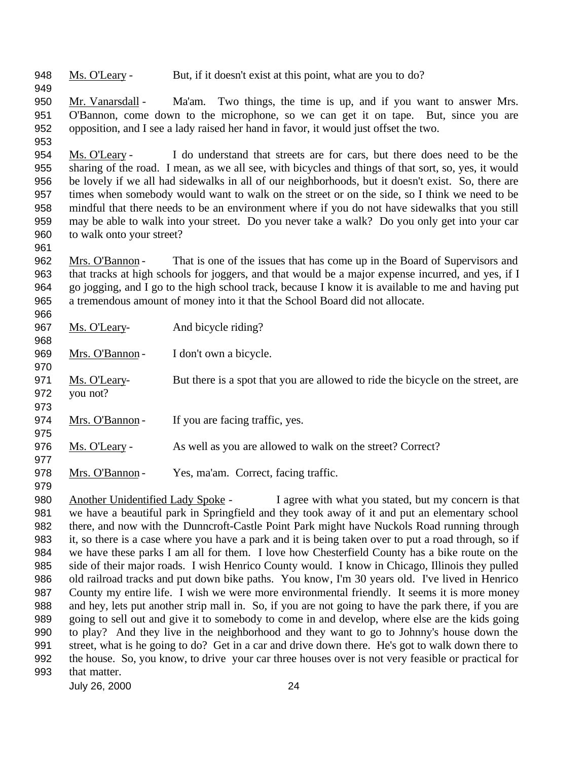Ms. O'Leary - But, if it doesn't exist at this point, what are you to do?

 Mr. Vanarsdall - Ma'am. Two things, the time is up, and if you want to answer Mrs. O'Bannon, come down to the microphone, so we can get it on tape. But, since you are opposition, and I see a lady raised her hand in favor, it would just offset the two.

 Ms. O'Leary - I do understand that streets are for cars, but there does need to be the sharing of the road. I mean, as we all see, with bicycles and things of that sort, so, yes, it would be lovely if we all had sidewalks in all of our neighborhoods, but it doesn't exist. So, there are times when somebody would want to walk on the street or on the side, so I think we need to be mindful that there needs to be an environment where if you do not have sidewalks that you still may be able to walk into your street. Do you never take a walk? Do you only get into your car to walk onto your street?

 Mrs. O'Bannon - That is one of the issues that has come up in the Board of Supervisors and that tracks at high schools for joggers, and that would be a major expense incurred, and yes, if I go jogging, and I go to the high school track, because I know it is available to me and having put a tremendous amount of money into it that the School Board did not allocate.

| 966 |                 |                                                                                 |
|-----|-----------------|---------------------------------------------------------------------------------|
| 967 | Ms. O'Leary-    | And bicycle riding?                                                             |
| 968 |                 |                                                                                 |
| 969 | Mrs. O'Bannon-  | I don't own a bicycle.                                                          |
| 970 |                 |                                                                                 |
| 971 | Ms. O'Leary-    | But there is a spot that you are allowed to ride the bicycle on the street, are |
| 972 | you not?        |                                                                                 |
| 973 |                 |                                                                                 |
| 974 | Mrs. O'Bannon-  | If you are facing traffic, yes.                                                 |
| 975 |                 |                                                                                 |
| 976 | Ms. O'Leary -   | As well as you are allowed to walk on the street? Correct?                      |
| 977 |                 |                                                                                 |
| 978 | Mrs. O'Bannon - | Yes, ma'am. Correct, facing traffic.                                            |
| 979 |                 |                                                                                 |

980 Another Unidentified Lady Spoke - I agree with what you stated, but my concern is that we have a beautiful park in Springfield and they took away of it and put an elementary school there, and now with the Dunncroft-Castle Point Park might have Nuckols Road running through it, so there is a case where you have a park and it is being taken over to put a road through, so if we have these parks I am all for them. I love how Chesterfield County has a bike route on the side of their major roads. I wish Henrico County would. I know in Chicago, Illinois they pulled old railroad tracks and put down bike paths. You know, I'm 30 years old. I've lived in Henrico County my entire life. I wish we were more environmental friendly. It seems it is more money and hey, lets put another strip mall in. So, if you are not going to have the park there, if you are going to sell out and give it to somebody to come in and develop, where else are the kids going to play? And they live in the neighborhood and they want to go to Johnny's house down the street, what is he going to do? Get in a car and drive down there. He's got to walk down there to the house. So, you know, to drive your car three houses over is not very feasible or practical for that matter.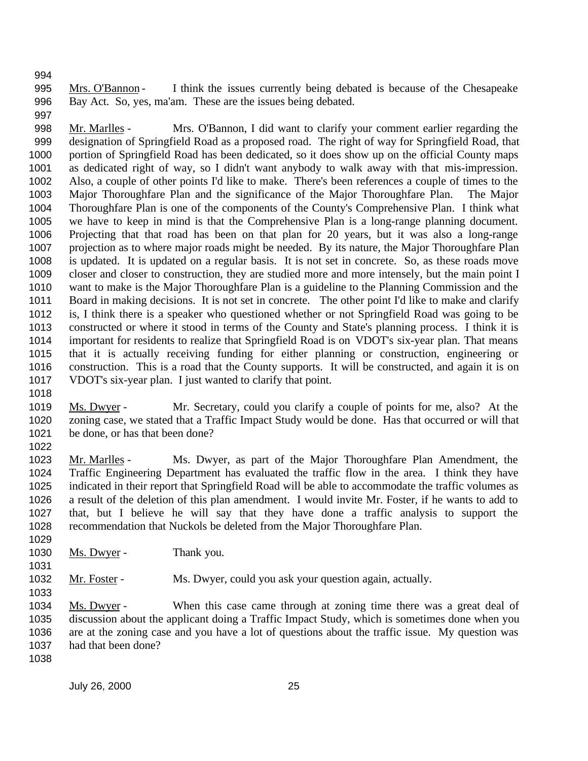Mrs. O'Bannon - I think the issues currently being debated is because of the Chesapeake Bay Act. So, yes, ma'am. These are the issues being debated.

 Mr. Marlles - Mrs. O'Bannon, I did want to clarify your comment earlier regarding the designation of Springfield Road as a proposed road. The right of way for Springfield Road, that portion of Springfield Road has been dedicated, so it does show up on the official County maps as dedicated right of way, so I didn't want anybody to walk away with that mis-impression. Also, a couple of other points I'd like to make. There's been references a couple of times to the Major Thoroughfare Plan and the significance of the Major Thoroughfare Plan. The Major Thoroughfare Plan is one of the components of the County's Comprehensive Plan. I think what we have to keep in mind is that the Comprehensive Plan is a long-range planning document. Projecting that that road has been on that plan for 20 years, but it was also a long-range projection as to where major roads might be needed. By its nature, the Major Thoroughfare Plan is updated. It is updated on a regular basis. It is not set in concrete. So, as these roads move closer and closer to construction, they are studied more and more intensely, but the main point I want to make is the Major Thoroughfare Plan is a guideline to the Planning Commission and the Board in making decisions. It is not set in concrete. The other point I'd like to make and clarify is, I think there is a speaker who questioned whether or not Springfield Road was going to be constructed or where it stood in terms of the County and State's planning process. I think it is important for residents to realize that Springfield Road is on VDOT's six-year plan. That means that it is actually receiving funding for either planning or construction, engineering or construction. This is a road that the County supports. It will be constructed, and again it is on VDOT's six-year plan. I just wanted to clarify that point.

- 1019 Ms. Dwyer - Mr. Secretary, could you clarify a couple of points for me, also? At the zoning case, we stated that a Traffic Impact Study would be done. Has that occurred or will that be done, or has that been done?
- 

 Mr. Marlles - Ms. Dwyer, as part of the Major Thoroughfare Plan Amendment, the Traffic Engineering Department has evaluated the traffic flow in the area. I think they have indicated in their report that Springfield Road will be able to accommodate the traffic volumes as a result of the deletion of this plan amendment. I would invite Mr. Foster, if he wants to add to that, but I believe he will say that they have done a traffic analysis to support the recommendation that Nuckols be deleted from the Major Thoroughfare Plan. 

1030 Ms. Dwyer - Thank you. 

1032 Mr. Foster - Ms. Dwyer, could you ask your question again, actually.

 Ms. Dwyer - When this case came through at zoning time there was a great deal of discussion about the applicant doing a Traffic Impact Study, which is sometimes done when you are at the zoning case and you have a lot of questions about the traffic issue. My question was had that been done?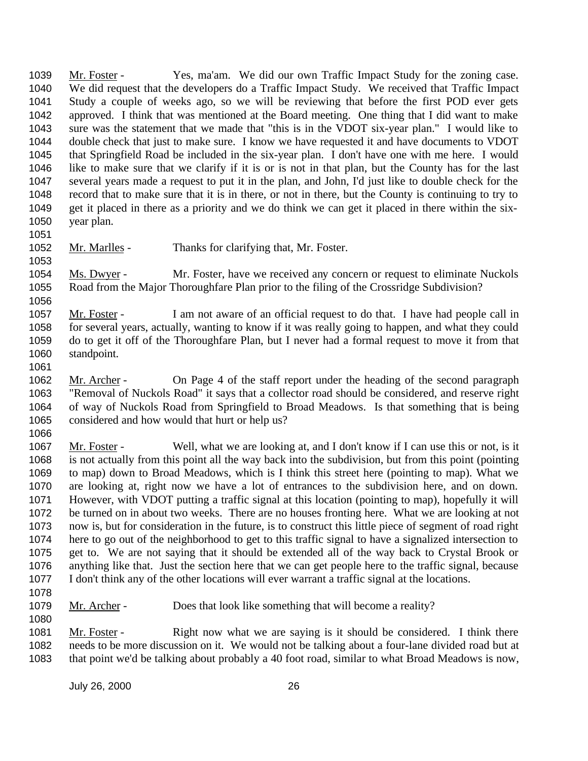Mr. Foster - Yes, ma'am. We did our own Traffic Impact Study for the zoning case. We did request that the developers do a Traffic Impact Study. We received that Traffic Impact Study a couple of weeks ago, so we will be reviewing that before the first POD ever gets approved. I think that was mentioned at the Board meeting. One thing that I did want to make sure was the statement that we made that "this is in the VDOT six-year plan." I would like to double check that just to make sure. I know we have requested it and have documents to VDOT that Springfield Road be included in the six-year plan. I don't have one with me here. I would like to make sure that we clarify if it is or is not in that plan, but the County has for the last several years made a request to put it in the plan, and John, I'd just like to double check for the record that to make sure that it is in there, or not in there, but the County is continuing to try to get it placed in there as a priority and we do think we can get it placed in there within the six-year plan.

- 
- 1052 Mr. Marlles Thanks for clarifying that, Mr. Foster.

1054 Ms. Dwyer - Mr. Foster, have we received any concern or request to eliminate Nuckols Road from the Major Thoroughfare Plan prior to the filing of the Crossridge Subdivision? 

- Mr. Foster I am not aware of an official request to do that. I have had people call in for several years, actually, wanting to know if it was really going to happen, and what they could do to get it off of the Thoroughfare Plan, but I never had a formal request to move it from that standpoint.
- 

1062 Mr. Archer - On Page 4 of the staff report under the heading of the second paragraph "Removal of Nuckols Road" it says that a collector road should be considered, and reserve right of way of Nuckols Road from Springfield to Broad Meadows. Is that something that is being considered and how would that hurt or help us? 

 Mr. Foster - Well, what we are looking at, and I don't know if I can use this or not, is it is not actually from this point all the way back into the subdivision, but from this point (pointing to map) down to Broad Meadows, which is I think this street here (pointing to map). What we are looking at, right now we have a lot of entrances to the subdivision here, and on down. However, with VDOT putting a traffic signal at this location (pointing to map), hopefully it will be turned on in about two weeks. There are no houses fronting here. What we are looking at not now is, but for consideration in the future, is to construct this little piece of segment of road right here to go out of the neighborhood to get to this traffic signal to have a signalized intersection to get to. We are not saying that it should be extended all of the way back to Crystal Brook or anything like that. Just the section here that we can get people here to the traffic signal, because I don't think any of the other locations will ever warrant a traffic signal at the locations.

 Mr. Archer - Does that look like something that will become a reality? 

 Mr. Foster - Right now what we are saying is it should be considered. I think there needs to be more discussion on it. We would not be talking about a four-lane divided road but at that point we'd be talking about probably a 40 foot road, similar to what Broad Meadows is now,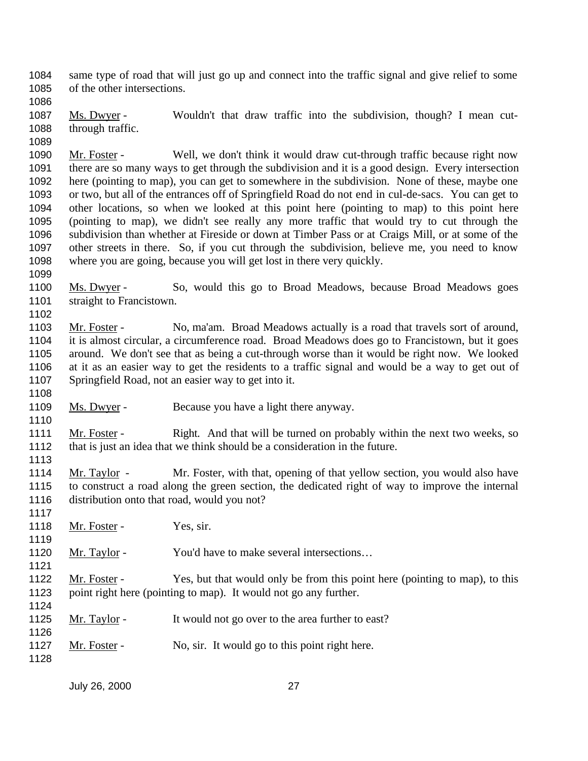same type of road that will just go up and connect into the traffic signal and give relief to some of the other intersections.

1087 Ms. Dwyer - Wouldn't that draw traffic into the subdivision, though? I mean cut-through traffic.

 Mr. Foster - Well, we don't think it would draw cut-through traffic because right now there are so many ways to get through the subdivision and it is a good design. Every intersection here (pointing to map), you can get to somewhere in the subdivision. None of these, maybe one or two, but all of the entrances off of Springfield Road do not end in cul-de-sacs. You can get to other locations, so when we looked at this point here (pointing to map) to this point here (pointing to map), we didn't see really any more traffic that would try to cut through the subdivision than whether at Fireside or down at Timber Pass or at Craigs Mill, or at some of the other streets in there. So, if you cut through the subdivision, believe me, you need to know where you are going, because you will get lost in there very quickly.

 Ms. Dwyer - So, would this go to Broad Meadows, because Broad Meadows goes 1101 straight to Francistown.

1103 Mr. Foster - No, ma'am. Broad Meadows actually is a road that travels sort of around, it is almost circular, a circumference road. Broad Meadows does go to Francistown, but it goes around. We don't see that as being a cut-through worse than it would be right now. We looked at it as an easier way to get the residents to a traffic signal and would be a way to get out of Springfield Road, not an easier way to get into it.

1109 Ms. Dwyer - Because you have a light there anyway.

1111 Mr. Foster - Right. And that will be turned on probably within the next two weeks, so that is just an idea that we think should be a consideration in the future. 

 Mr. Taylor - Mr. Foster, with that, opening of that yellow section, you would also have to construct a road along the green section, the dedicated right of way to improve the internal distribution onto that road, would you not?

1118 Mr. Foster - Yes, sir.

1120 Mr. Taylor - You'd have to make several intersections...

1122 Mr. Foster - Yes, but that would only be from this point here (pointing to map), to this point right here (pointing to map). It would not go any further.

- 1125 Mr. Taylor It would not go over to the area further to east?
- 1127 Mr. Foster No, sir. It would go to this point right here.
-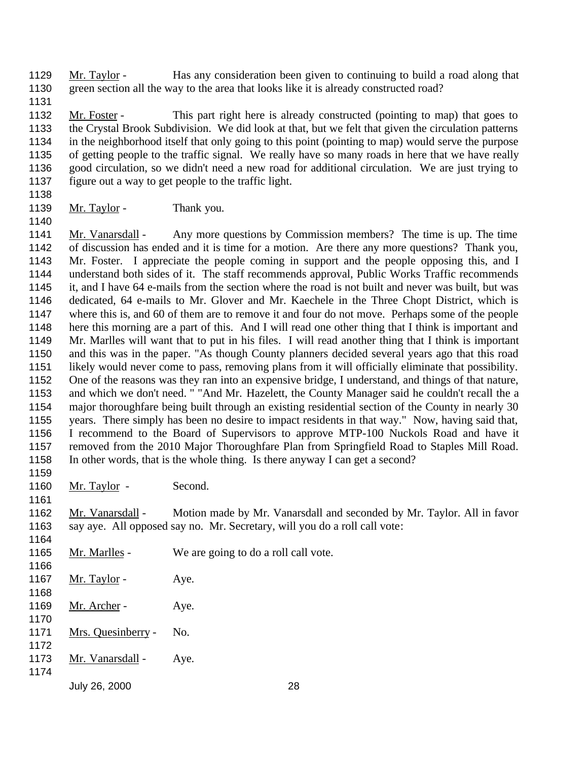Mr. Taylor - Has any consideration been given to continuing to build a road along that green section all the way to the area that looks like it is already constructed road?

1132 Mr. Foster - This part right here is already constructed (pointing to map) that goes to the Crystal Brook Subdivision. We did look at that, but we felt that given the circulation patterns in the neighborhood itself that only going to this point (pointing to map) would serve the purpose of getting people to the traffic signal. We really have so many roads in here that we have really good circulation, so we didn't need a new road for additional circulation. We are just trying to figure out a way to get people to the traffic light.

1139  $Mr. Taylor$  - Thank you.

 Mr. Vanarsdall - Any more questions by Commission members? The time is up. The time of discussion has ended and it is time for a motion. Are there any more questions? Thank you, Mr. Foster. I appreciate the people coming in support and the people opposing this, and I understand both sides of it. The staff recommends approval, Public Works Traffic recommends it, and I have 64 e-mails from the section where the road is not built and never was built, but was dedicated, 64 e-mails to Mr. Glover and Mr. Kaechele in the Three Chopt District, which is where this is, and 60 of them are to remove it and four do not move. Perhaps some of the people here this morning are a part of this. And I will read one other thing that I think is important and Mr. Marlles will want that to put in his files. I will read another thing that I think is important and this was in the paper. "As though County planners decided several years ago that this road likely would never come to pass, removing plans from it will officially eliminate that possibility. One of the reasons was they ran into an expensive bridge, I understand, and things of that nature, and which we don't need. " "And Mr. Hazelett, the County Manager said he couldn't recall the a major thoroughfare being built through an existing residential section of the County in nearly 30 years. There simply has been no desire to impact residents in that way." Now, having said that, I recommend to the Board of Supervisors to approve MTP-100 Nuckols Road and have it removed from the 2010 Major Thoroughfare Plan from Springfield Road to Staples Mill Road. In other words, that is the whole thing. Is there anyway I can get a second? 

1160 Mr. Taylor - Second.

 Mr. Vanarsdall - Motion made by Mr. Vanarsdall and seconded by Mr. Taylor. All in favor say aye. All opposed say no. Mr. Secretary, will you do a roll call vote:

- 1165 Mr. Marlles We are going to do a roll call vote.
- 1167 Mr. Taylor Aye.
- 1169 <u>Mr. Archer</u> Aye.
- Mrs. Quesinberry - No.
- 1173 Mr. Vanarsdall - Aye.
-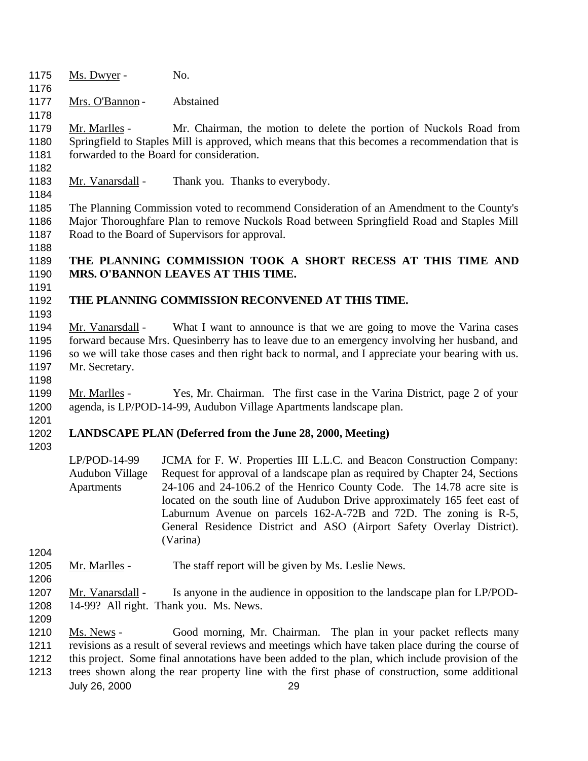- 1175 <u>Ms. Dwyer</u> No. 1177 Mrs. O'Bannon - Abstained Mr. Marlles - Mr. Chairman, the motion to delete the portion of Nuckols Road from Springfield to Staples Mill is approved, which means that this becomes a recommendation that is 1181 forwarded to the Board for consideration. 1183 Mr. Vanarsdall - Thank you. Thanks to everybody. The Planning Commission voted to recommend Consideration of an Amendment to the County's Major Thoroughfare Plan to remove Nuckols Road between Springfield Road and Staples Mill Road to the Board of Supervisors for approval. **THE PLANNING COMMISSION TOOK A SHORT RECESS AT THIS TIME AND MRS. O'BANNON LEAVES AT THIS TIME. THE PLANNING COMMISSION RECONVENED AT THIS TIME.** 1194 Mr. Vanarsdall - What I want to announce is that we are going to move the Varina cases forward because Mrs. Quesinberry has to leave due to an emergency involving her husband, and so we will take those cases and then right back to normal, and I appreciate your bearing with us. Mr. Secretary. 1199 Mr. Marlles - Yes, Mr. Chairman. The first case in the Varina District, page 2 of your agenda, is LP/POD-14-99, Audubon Village Apartments landscape plan. **LANDSCAPE PLAN (Deferred from the June 28, 2000, Meeting)** LP/POD-14-99 Audubon Village **Apartments** JCMA for F. W. Properties III L.L.C. and Beacon Construction Company: Request for approval of a landscape plan as required by Chapter 24, Sections 24-106 and 24-106.2 of the Henrico County Code. The 14.78 acre site is located on the south line of Audubon Drive approximately 165 feet east of Laburnum Avenue on parcels 162-A-72B and 72D. The zoning is R-5, General Residence District and ASO (Airport Safety Overlay District).
- 
- 1205 Mr. Marlles The staff report will be given by Ms. Leslie News.

(Varina)

- 
- 1207 Mr. Vanarsdall Is anyone in the audience in opposition to the landscape plan for LP/POD- 14-99? All right. Thank you. Ms. News.
- Ms. News Good morning, Mr. Chairman. The plan in your packet reflects many
- revisions as a result of several reviews and meetings which have taken place during the course of
- this project. Some final annotations have been added to the plan, which include provision of the
- July 26, 2000 29 trees shown along the rear property line with the first phase of construction, some additional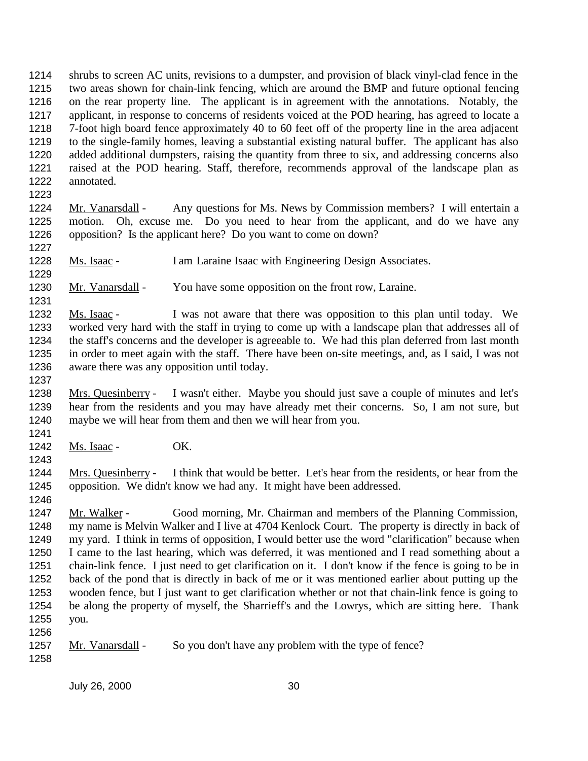shrubs to screen AC units, revisions to a dumpster, and provision of black vinyl-clad fence in the two areas shown for chain-link fencing, which are around the BMP and future optional fencing on the rear property line. The applicant is in agreement with the annotations. Notably, the applicant, in response to concerns of residents voiced at the POD hearing, has agreed to locate a 7-foot high board fence approximately 40 to 60 feet off of the property line in the area adjacent to the single-family homes, leaving a substantial existing natural buffer. The applicant has also added additional dumpsters, raising the quantity from three to six, and addressing concerns also raised at the POD hearing. Staff, therefore, recommends approval of the landscape plan as annotated.

 Mr. Vanarsdall - Any questions for Ms. News by Commission members? I will entertain a motion. Oh, excuse me. Do you need to hear from the applicant, and do we have any opposition? Is the applicant here? Do you want to come on down?

Ms. Isaac - I am Laraine Isaac with Engineering Design Associates.

Mr. Vanarsdall - You have some opposition on the front row, Laraine.

 Ms. Isaac - I was not aware that there was opposition to this plan until today. We worked very hard with the staff in trying to come up with a landscape plan that addresses all of the staff's concerns and the developer is agreeable to. We had this plan deferred from last month in order to meet again with the staff. There have been on-site meetings, and, as I said, I was not aware there was any opposition until today.

 Mrs. Quesinberry - I wasn't either. Maybe you should just save a couple of minutes and let's hear from the residents and you may have already met their concerns. So, I am not sure, but maybe we will hear from them and then we will hear from you. 

Ms. Isaac - OK.

1244 Mrs. Quesinberry - I think that would be better. Let's hear from the residents, or hear from the opposition. We didn't know we had any. It might have been addressed.

 Mr. Walker - Good morning, Mr. Chairman and members of the Planning Commission, my name is Melvin Walker and I live at 4704 Kenlock Court. The property is directly in back of my yard. I think in terms of opposition, I would better use the word "clarification" because when I came to the last hearing, which was deferred, it was mentioned and I read something about a chain-link fence. I just need to get clarification on it. I don't know if the fence is going to be in back of the pond that is directly in back of me or it was mentioned earlier about putting up the wooden fence, but I just want to get clarification whether or not that chain-link fence is going to be along the property of myself, the Sharrieff's and the Lowrys, which are sitting here. Thank you.

1257 Mr. Vanarsdall - So you don't have any problem with the type of fence?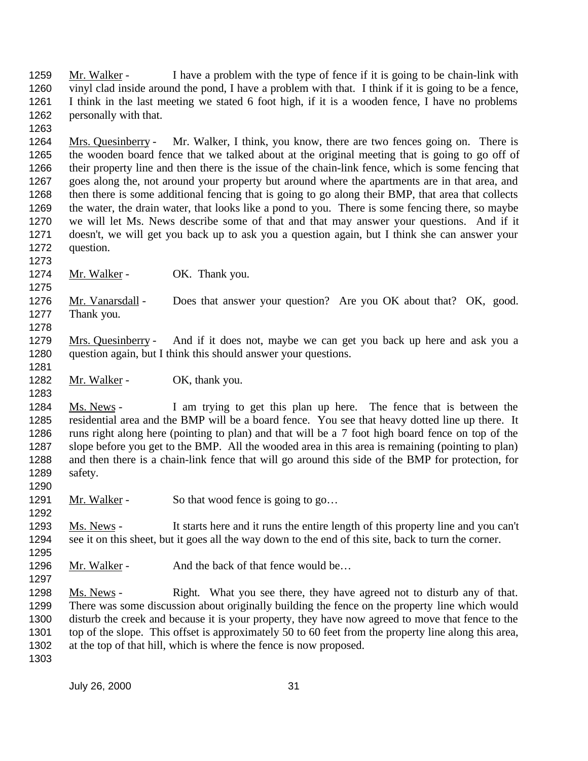Mr. Walker - I have a problem with the type of fence if it is going to be chain-link with vinyl clad inside around the pond, I have a problem with that. I think if it is going to be a fence, I think in the last meeting we stated 6 foot high, if it is a wooden fence, I have no problems personally with that.

 Mrs. Quesinberry - Mr. Walker, I think, you know, there are two fences going on. There is the wooden board fence that we talked about at the original meeting that is going to go off of their property line and then there is the issue of the chain-link fence, which is some fencing that goes along the, not around your property but around where the apartments are in that area, and then there is some additional fencing that is going to go along their BMP, that area that collects the water, the drain water, that looks like a pond to you. There is some fencing there, so maybe we will let Ms. News describe some of that and that may answer your questions. And if it doesn't, we will get you back up to ask you a question again, but I think she can answer your question.

1274 Mr. Walker - OK. Thank you.

 Mr. Vanarsdall - Does that answer your question? Are you OK about that? OK, good. Thank you. 

1279 Mrs. Quesinberry - And if it does not, maybe we can get you back up here and ask you a question again, but I think this should answer your questions.

1282 Mr. Walker - OK, thank you.

1284 Ms. News - I am trying to get this plan up here. The fence that is between the residential area and the BMP will be a board fence. You see that heavy dotted line up there. It runs right along here (pointing to plan) and that will be a 7 foot high board fence on top of the slope before you get to the BMP. All the wooded area in this area is remaining (pointing to plan) and then there is a chain-link fence that will go around this side of the BMP for protection, for safety. 

1291 Mr. Walker - So that wood fence is going to go...

1293 Ms. News - It starts here and it runs the entire length of this property line and you can't see it on this sheet, but it goes all the way down to the end of this site, back to turn the corner.

1296 Mr. Walker - And the back of that fence would be...

 Ms. News - Right. What you see there, they have agreed not to disturb any of that. There was some discussion about originally building the fence on the property line which would disturb the creek and because it is your property, they have now agreed to move that fence to the top of the slope. This offset is approximately 50 to 60 feet from the property line along this area, at the top of that hill, which is where the fence is now proposed.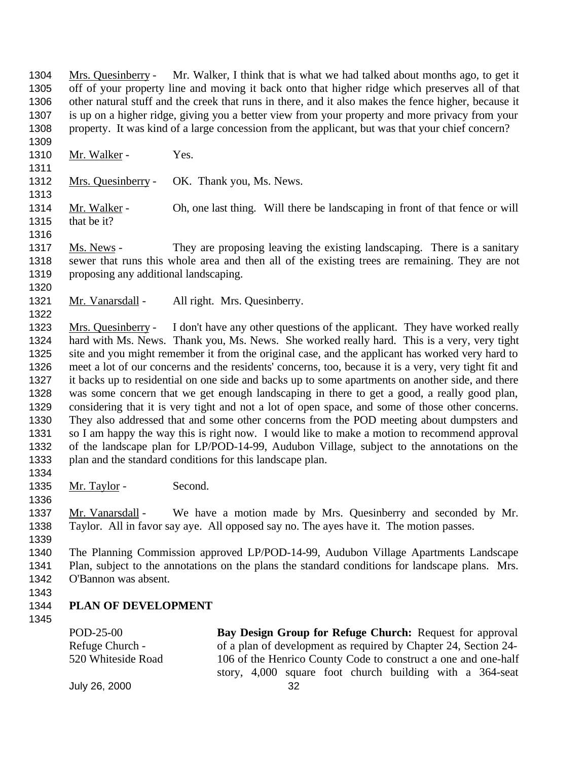1304 Mrs. Quesinberry - Mr. Walker, I think that is what we had talked about months ago, to get it off of your property line and moving it back onto that higher ridge which preserves all of that other natural stuff and the creek that runs in there, and it also makes the fence higher, because it is up on a higher ridge, giving you a better view from your property and more privacy from your property. It was kind of a large concession from the applicant, but was that your chief concern?

- 1310 Mr. Walker Yes.
- Mrs. Quesinberry OK. Thank you, Ms. News.

1314 Mr. Walker - Oh, one last thing. Will there be landscaping in front of that fence or will that be it?

- Ms. News They are proposing leaving the existing landscaping. There is a sanitary sewer that runs this whole area and then all of the existing trees are remaining. They are not proposing any additional landscaping.
- 

1321 Mr. Vanarsdall - All right. Mrs. Quesinberry.

1323 Mrs. Quesinberry - I don't have any other questions of the applicant. They have worked really hard with Ms. News. Thank you, Ms. News. She worked really hard. This is a very, very tight site and you might remember it from the original case, and the applicant has worked very hard to meet a lot of our concerns and the residents' concerns, too, because it is a very, very tight fit and it backs up to residential on one side and backs up to some apartments on another side, and there was some concern that we get enough landscaping in there to get a good, a really good plan, considering that it is very tight and not a lot of open space, and some of those other concerns. They also addressed that and some other concerns from the POD meeting about dumpsters and so I am happy the way this is right now. I would like to make a motion to recommend approval of the landscape plan for LP/POD-14-99, Audubon Village, subject to the annotations on the plan and the standard conditions for this landscape plan.

- 1335 Mr. Taylor Second.
- 

 Mr. Vanarsdall - We have a motion made by Mrs. Quesinberry and seconded by Mr. Taylor. All in favor say aye. All opposed say no. The ayes have it. The motion passes.

 The Planning Commission approved LP/POD-14-99, Audubon Village Apartments Landscape Plan, subject to the annotations on the plans the standard conditions for landscape plans. Mrs. O'Bannon was absent.

### **PLAN OF DEVELOPMENT**

POD-25-00 Refuge Church - 520 Whiteside Road **Bay Design Group for Refuge Church:** Request for approval of a plan of development as required by Chapter 24, Section 24- 106 of the Henrico County Code to construct a one and one-half story, 4,000 square foot church building with a 364-seat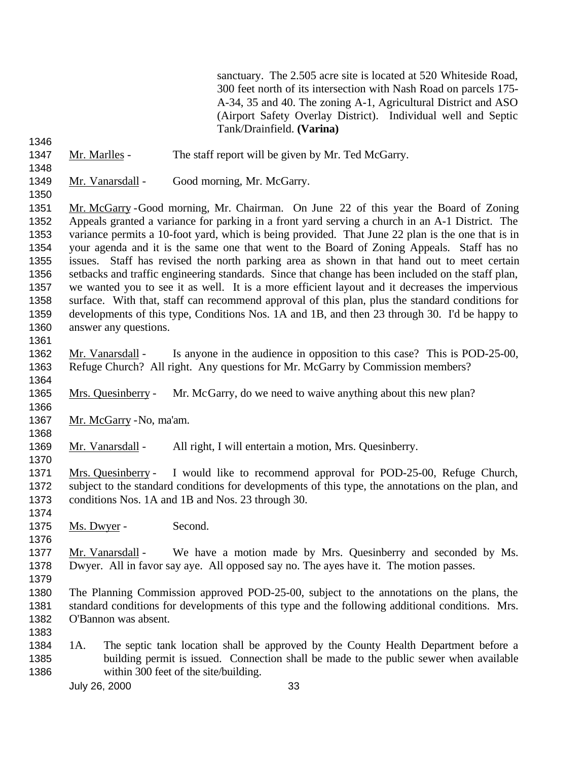sanctuary. The 2.505 acre site is located at 520 Whiteside Road, 300 feet north of its intersection with Nash Road on parcels 175- A-34, 35 and 40. The zoning A-1, Agricultural District and ASO (Airport Safety Overlay District). Individual well and Septic Tank/Drainfield. **(Varina)**

Mr. Marlles - The staff report will be given by Mr. Ted McGarry.

- 
- 

Mr. Vanarsdall - Good morning, Mr. McGarry.

 Mr. McGarry -Good morning, Mr. Chairman. On June 22 of this year the Board of Zoning Appeals granted a variance for parking in a front yard serving a church in an A-1 District. The variance permits a 10-foot yard, which is being provided. That June 22 plan is the one that is in your agenda and it is the same one that went to the Board of Zoning Appeals. Staff has no issues. Staff has revised the north parking area as shown in that hand out to meet certain setbacks and traffic engineering standards. Since that change has been included on the staff plan, we wanted you to see it as well. It is a more efficient layout and it decreases the impervious surface. With that, staff can recommend approval of this plan, plus the standard conditions for developments of this type, Conditions Nos. 1A and 1B, and then 23 through 30. I'd be happy to answer any questions.

1362 Mr. Vanarsdall - Is anyone in the audience in opposition to this case? This is POD-25-00, Refuge Church? All right. Any questions for Mr. McGarry by Commission members?

Mrs. Quesinberry - Mr. McGarry, do we need to waive anything about this new plan?

1367 Mr. McGarry - No, ma'am.

 Mr. Vanarsdall - All right, I will entertain a motion, Mrs. Quesinberry. 

 Mrs. Quesinberry - I would like to recommend approval for POD-25-00, Refuge Church, subject to the standard conditions for developments of this type, the annotations on the plan, and conditions Nos. 1A and 1B and Nos. 23 through 30.

- 1375 Ms. Dwyer Second.
- 

1377 Mr. Vanarsdall - We have a motion made by Mrs. Quesinberry and seconded by Ms. Dwyer. All in favor say aye. All opposed say no. The ayes have it. The motion passes.

- The Planning Commission approved POD-25-00, subject to the annotations on the plans, the standard conditions for developments of this type and the following additional conditions. Mrs. O'Bannon was absent.
- 1A. The septic tank location shall be approved by the County Health Department before a building permit is issued. Connection shall be made to the public sewer when available within 300 feet of the site/building.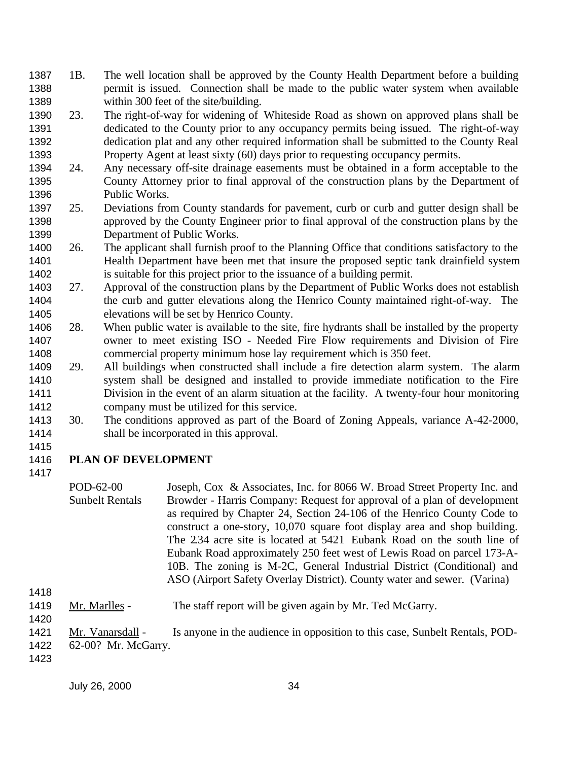- 1B. The well location shall be approved by the County Health Department before a building permit is issued. Connection shall be made to the public water system when available 1389 within 300 feet of the site/building.
- 23. The right-of-way for widening of Whiteside Road as shown on approved plans shall be dedicated to the County prior to any occupancy permits being issued. The right-of-way dedication plat and any other required information shall be submitted to the County Real Property Agent at least sixty (60) days prior to requesting occupancy permits.
- 24. Any necessary off-site drainage easements must be obtained in a form acceptable to the County Attorney prior to final approval of the construction plans by the Department of Public Works.
- 25. Deviations from County standards for pavement, curb or curb and gutter design shall be approved by the County Engineer prior to final approval of the construction plans by the Department of Public Works.
- 26. The applicant shall furnish proof to the Planning Office that conditions satisfactory to the Health Department have been met that insure the proposed septic tank drainfield system is suitable for this project prior to the issuance of a building permit.
- 27. Approval of the construction plans by the Department of Public Works does not establish the curb and gutter elevations along the Henrico County maintained right-of-way. The elevations will be set by Henrico County.
- 28. When public water is available to the site, fire hydrants shall be installed by the property owner to meet existing ISO - Needed Fire Flow requirements and Division of Fire commercial property minimum hose lay requirement which is 350 feet.
- 29. All buildings when constructed shall include a fire detection alarm system. The alarm system shall be designed and installed to provide immediate notification to the Fire Division in the event of an alarm situation at the facility. A twenty-four hour monitoring company must be utilized for this service.
- 30. The conditions approved as part of the Board of Zoning Appeals, variance A-42-2000, shall be incorporated in this approval.
- 

# **PLAN OF DEVELOPMENT**

- POD-62-00 Sunbelt Rentals Joseph, Cox & Associates, Inc. for 8066 W. Broad Street Property Inc. and Browder - Harris Company: Request for approval of a plan of development as required by Chapter 24, Section 24-106 of the Henrico County Code to construct a one-story, 10,070 square foot display area and shop building. The 2.34 acre site is located at 5421 Eubank Road on the south line of Eubank Road approximately 250 feet west of Lewis Road on parcel 173-A-10B. The zoning is M-2C, General Industrial District (Conditional) and ASO (Airport Safety Overlay District). County water and sewer. (Varina)
- 
- 1419 Mr. Marlles The staff report will be given again by Mr. Ted McGarry.

- 1421 Mr. Vanarsdall Is anyone in the audience in opposition to this case, Sunbelt Rentals, POD-
- 62-00? Mr. McGarry.
-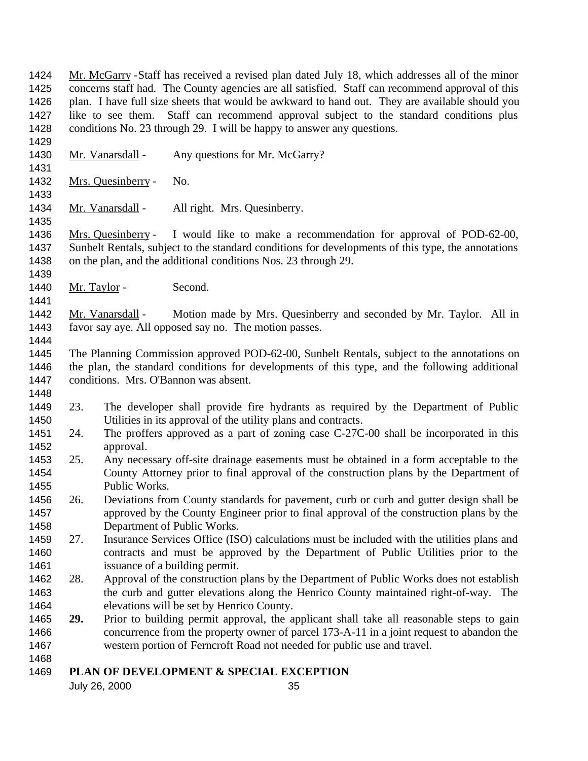Mr. McGarry -Staff has received a revised plan dated July 18, which addresses all of the minor concerns staff had. The County agencies are all satisfied. Staff can recommend approval of this 1426 plan. I have full size sheets that would be awkward to hand out. They are available should you like to see them. Staff can recommend approval subject to the standard conditions plus conditions No. 23 through 29. I will be happy to answer any questions.

- Mr. Vanarsdall Any questions for Mr. McGarry?
- Mrs. Quesinberry No.

1434 Mr. Vanarsdall - All right. Mrs. Quesinberry.

 Mrs. Quesinberry - I would like to make a recommendation for approval of POD-62-00, Sunbelt Rentals, subject to the standard conditions for developments of this type, the annotations on the plan, and the additional conditions Nos. 23 through 29.

1440 Mr. Taylor - Second.

 Mr. Vanarsdall - Motion made by Mrs. Quesinberry and seconded by Mr. Taylor. All in favor say aye. All opposed say no. The motion passes.

 The Planning Commission approved POD-62-00, Sunbelt Rentals, subject to the annotations on the plan, the standard conditions for developments of this type, and the following additional conditions. Mrs. O'Bannon was absent.

- 23. The developer shall provide fire hydrants as required by the Department of Public Utilities in its approval of the utility plans and contracts.
- 1451 24. The proffers approved as a part of zoning case C-27C-00 shall be incorporated in this approval.
- 25. Any necessary off-site drainage easements must be obtained in a form acceptable to the County Attorney prior to final approval of the construction plans by the Department of Public Works.
- 26. Deviations from County standards for pavement, curb or curb and gutter design shall be approved by the County Engineer prior to final approval of the construction plans by the Department of Public Works.
- 27. Insurance Services Office (ISO) calculations must be included with the utilities plans and contracts and must be approved by the Department of Public Utilities prior to the 1461 issuance of a building permit.
- 28. Approval of the construction plans by the Department of Public Works does not establish the curb and gutter elevations along the Henrico County maintained right-of-way. The elevations will be set by Henrico County.
- **29.** Prior to building permit approval, the applicant shall take all reasonable steps to gain concurrence from the property owner of parcel 173-A-11 in a joint request to abandon the western portion of Ferncroft Road not needed for public use and travel.
- 

### **PLAN OF DEVELOPMENT & SPECIAL EXCEPTION**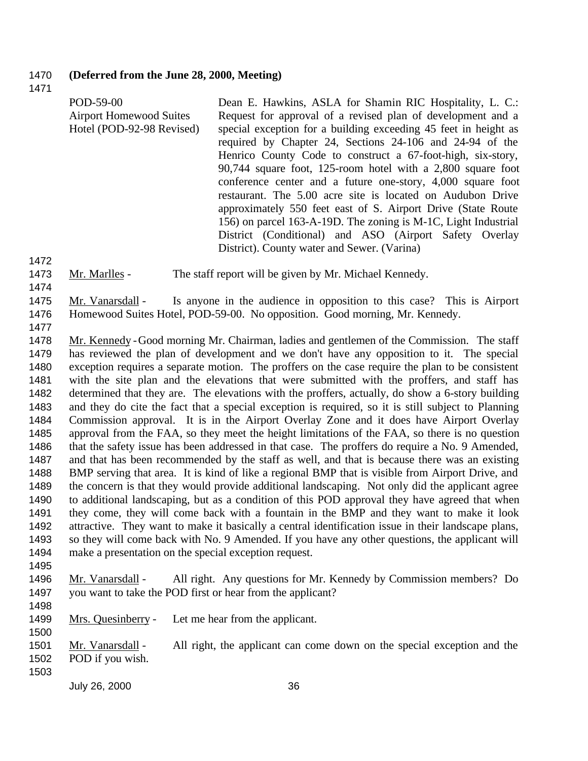#### **(Deferred from the June 28, 2000, Meeting)**

| POD-59-00<br><b>Airport Homewood Suites</b><br>Hotel (POD-92-98 Revised) | Dean E. Hawkins, ASLA for Shamin RIC Hospitality, L. C.:<br>Request for approval of a revised plan of development and a<br>special exception for a building exceeding 45 feet in height as<br>required by Chapter 24, Sections 24-106 and 24-94 of the<br>Henrico County Code to construct a 67-foot-high, six-story,<br>90,744 square foot, 125-room hotel with a 2,800 square foot<br>conference center and a future one-story, 4,000 square foot<br>restaurant. The 5.00 acre site is located on Audubon Drive<br>approximately 550 feet east of S. Airport Drive (State Route)<br>156) on parcel 163-A-19D. The zoning is M-1C, Light Industrial |
|--------------------------------------------------------------------------|------------------------------------------------------------------------------------------------------------------------------------------------------------------------------------------------------------------------------------------------------------------------------------------------------------------------------------------------------------------------------------------------------------------------------------------------------------------------------------------------------------------------------------------------------------------------------------------------------------------------------------------------------|
|                                                                          | District (Conditional) and ASO (Airport Safety Overlay<br>District). County water and Sewer. (Varina)                                                                                                                                                                                                                                                                                                                                                                                                                                                                                                                                                |

- 1473 Mr. Marlles The staff report will be given by Mr. Michael Kennedy.
- 
- Mr. Vanarsdall Is anyone in the audience in opposition to this case? This is Airport Homewood Suites Hotel, POD-59-00. No opposition. Good morning, Mr. Kennedy.
- 

 Mr. Kennedy -Good morning Mr. Chairman, ladies and gentlemen of the Commission. The staff has reviewed the plan of development and we don't have any opposition to it. The special exception requires a separate motion. The proffers on the case require the plan to be consistent with the site plan and the elevations that were submitted with the proffers, and staff has determined that they are. The elevations with the proffers, actually, do show a 6-story building and they do cite the fact that a special exception is required, so it is still subject to Planning Commission approval. It is in the Airport Overlay Zone and it does have Airport Overlay approval from the FAA, so they meet the height limitations of the FAA, so there is no question 1486 that the safety issue has been addressed in that case. The proffers do require a No. 9 Amended, and that has been recommended by the staff as well, and that is because there was an existing BMP serving that area. It is kind of like a regional BMP that is visible from Airport Drive, and the concern is that they would provide additional landscaping. Not only did the applicant agree to additional landscaping, but as a condition of this POD approval they have agreed that when they come, they will come back with a fountain in the BMP and they want to make it look attractive. They want to make it basically a central identification issue in their landscape plans, so they will come back with No. 9 Amended. If you have any other questions, the applicant will make a presentation on the special exception request. 

 Mr. Vanarsdall - All right. Any questions for Mr. Kennedy by Commission members? Do you want to take the POD first or hear from the applicant?

1499 Mrs. Quesinberry - Let me hear from the applicant.

 Mr. Vanarsdall - All right, the applicant can come down on the special exception and the POD if you wish.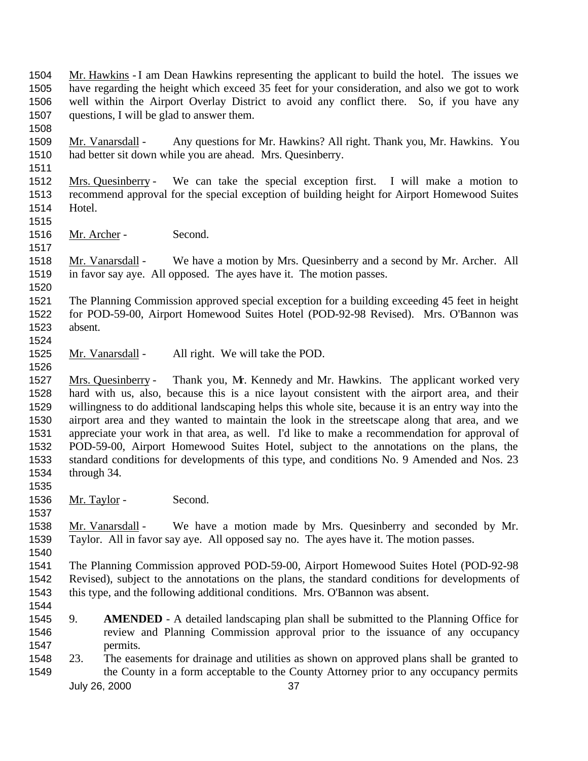Mr. Hawkins - I am Dean Hawkins representing the applicant to build the hotel. The issues we have regarding the height which exceed 35 feet for your consideration, and also we got to work well within the Airport Overlay District to avoid any conflict there. So, if you have any questions, I will be glad to answer them.

- Mr. Vanarsdall Any questions for Mr. Hawkins? All right. Thank you, Mr. Hawkins. You had better sit down while you are ahead. Mrs. Quesinberry.
- 

### Mrs. Quesinberry - We can take the special exception first. I will make a motion to recommend approval for the special exception of building height for Airport Homewood Suites Hotel.

Mr. Archer - Second.

 Mr. Vanarsdall - We have a motion by Mrs. Quesinberry and a second by Mr. Archer. All in favor say aye. All opposed. The ayes have it. The motion passes.

 The Planning Commission approved special exception for a building exceeding 45 feet in height for POD-59-00, Airport Homewood Suites Hotel (POD-92-98 Revised). Mrs. O'Bannon was absent. 

1525 Mr. Vanarsdall - All right. We will take the POD.

1527 Mrs. Quesinberry - Thank you, Mr. Kennedy and Mr. Hawkins. The applicant worked very hard with us, also, because this is a nice layout consistent with the airport area, and their willingness to do additional landscaping helps this whole site, because it is an entry way into the airport area and they wanted to maintain the look in the streetscape along that area, and we appreciate your work in that area, as well. I'd like to make a recommendation for approval of POD-59-00, Airport Homewood Suites Hotel, subject to the annotations on the plans, the standard conditions for developments of this type, and conditions No. 9 Amended and Nos. 23 through 34.

1536 Mr. Taylor - Second.

1538 Mr. Vanarsdall - We have a motion made by Mrs. Quesinberry and seconded by Mr. Taylor. All in favor say aye. All opposed say no. The ayes have it. The motion passes.

 The Planning Commission approved POD-59-00, Airport Homewood Suites Hotel (POD-92-98 Revised), subject to the annotations on the plans, the standard conditions for developments of this type, and the following additional conditions. Mrs. O'Bannon was absent.

- 
- 9. **AMENDED** A detailed landscaping plan shall be submitted to the Planning Office for review and Planning Commission approval prior to the issuance of any occupancy permits.
- July 26, 2000 37 23. The easements for drainage and utilities as shown on approved plans shall be granted to 1549 the County in a form acceptable to the County Attorney prior to any occupancy permits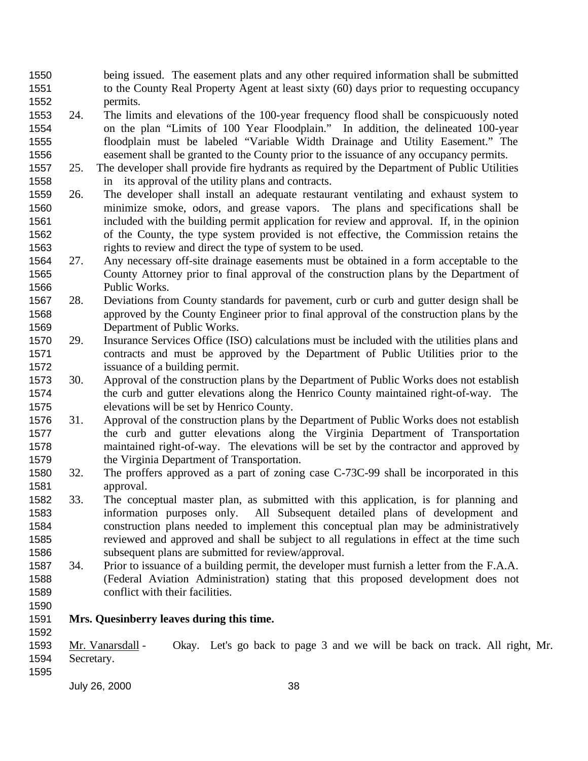being issued. The easement plats and any other required information shall be submitted to the County Real Property Agent at least sixty (60) days prior to requesting occupancy permits.

- 24. The limits and elevations of the 100-year frequency flood shall be conspicuously noted on the plan "Limits of 100 Year Floodplain." In addition, the delineated 100-year floodplain must be labeled "Variable Width Drainage and Utility Easement." The easement shall be granted to the County prior to the issuance of any occupancy permits.
- 25. The developer shall provide fire hydrants as required by the Department of Public Utilities in its approval of the utility plans and contracts.
- 26. The developer shall install an adequate restaurant ventilating and exhaust system to minimize smoke, odors, and grease vapors. The plans and specifications shall be included with the building permit application for review and approval. If, in the opinion of the County, the type system provided is not effective, the Commission retains the rights to review and direct the type of system to be used.
- 27. Any necessary off-site drainage easements must be obtained in a form acceptable to the County Attorney prior to final approval of the construction plans by the Department of Public Works.
- 28. Deviations from County standards for pavement, curb or curb and gutter design shall be approved by the County Engineer prior to final approval of the construction plans by the Department of Public Works.
- 29. Insurance Services Office (ISO) calculations must be included with the utilities plans and contracts and must be approved by the Department of Public Utilities prior to the issuance of a building permit.
- 30. Approval of the construction plans by the Department of Public Works does not establish the curb and gutter elevations along the Henrico County maintained right-of-way. The elevations will be set by Henrico County.
- 31. Approval of the construction plans by the Department of Public Works does not establish the curb and gutter elevations along the Virginia Department of Transportation maintained right-of-way. The elevations will be set by the contractor and approved by the Virginia Department of Transportation.
- 32. The proffers approved as a part of zoning case C-73C-99 shall be incorporated in this approval.
- 33. The conceptual master plan, as submitted with this application, is for planning and information purposes only. All Subsequent detailed plans of development and construction plans needed to implement this conceptual plan may be administratively reviewed and approved and shall be subject to all regulations in effect at the time such subsequent plans are submitted for review/approval.
- 34. Prior to issuance of a building permit, the developer must furnish a letter from the F.A.A. (Federal Aviation Administration) stating that this proposed development does not conflict with their facilities.
- **Mrs. Quesinberry leaves during this time.**
- Mr. Vanarsdall Okay. Let's go back to page 3 and we will be back on track. All right, Mr. Secretary.
-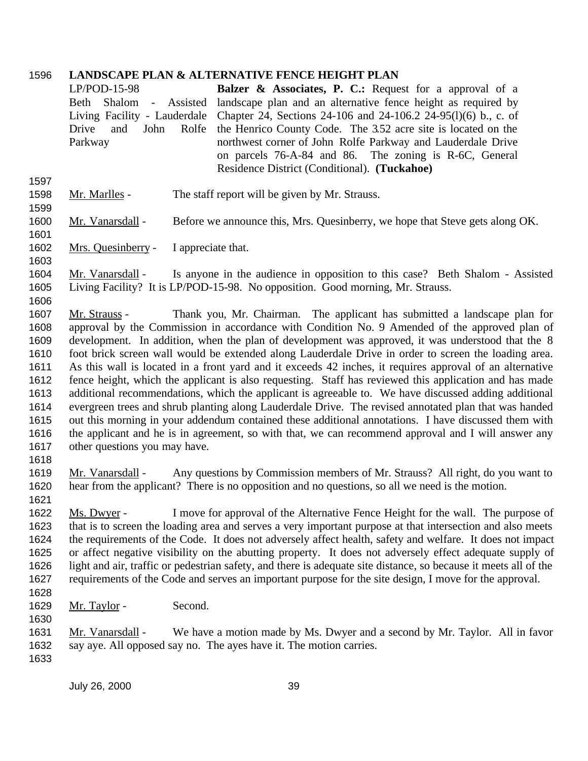### **LANDSCAPE PLAN & ALTERNATIVE FENCE HEIGHT PLAN**

|                      | <b>Balzer &amp; Associates, P. C.:</b> Request for a approval of a<br>$LP/POD-15-98$<br>landscape plan and an alternative fence height as required by<br>Shalom -<br>Beth<br>Assisted<br>Chapter 24, Sections 24-106 and 24-106.2 24-95(1)(6) b., c. of<br>Living Facility - Lauderdale<br>and<br>the Henrico County Code. The 3.52 acre site is located on the<br>Drive<br>John<br>Rolfe<br>northwest corner of John Rolfe Parkway and Lauderdale Drive<br>Parkway<br>on parcels 76-A-84 and 86. The zoning is R-6C, General<br>Residence District (Conditional). (Tuckahoe) |
|----------------------|-------------------------------------------------------------------------------------------------------------------------------------------------------------------------------------------------------------------------------------------------------------------------------------------------------------------------------------------------------------------------------------------------------------------------------------------------------------------------------------------------------------------------------------------------------------------------------|
| 1597<br>1598<br>1599 | The staff report will be given by Mr. Strauss.<br>Mr. Marlles -                                                                                                                                                                                                                                                                                                                                                                                                                                                                                                               |
| 1600                 | Mr. Vanarsdall -                                                                                                                                                                                                                                                                                                                                                                                                                                                                                                                                                              |
| 1601                 | Before we announce this, Mrs. Quesinberry, we hope that Steve gets along OK.                                                                                                                                                                                                                                                                                                                                                                                                                                                                                                  |
| 1602                 | Mrs. Quesinberry -                                                                                                                                                                                                                                                                                                                                                                                                                                                                                                                                                            |
| 1603                 | I appreciate that.                                                                                                                                                                                                                                                                                                                                                                                                                                                                                                                                                            |
| 1604                 | Mr. Vanarsdall -                                                                                                                                                                                                                                                                                                                                                                                                                                                                                                                                                              |
| 1605                 | Is anyone in the audience in opposition to this case? Beth Shalom - Assisted                                                                                                                                                                                                                                                                                                                                                                                                                                                                                                  |
| 1606                 | Living Facility? It is LP/POD-15-98. No opposition. Good morning, Mr. Strauss.                                                                                                                                                                                                                                                                                                                                                                                                                                                                                                |
| 1607                 | Thank you, Mr. Chairman. The applicant has submitted a landscape plan for                                                                                                                                                                                                                                                                                                                                                                                                                                                                                                     |
| 1608                 | Mr. Strauss -                                                                                                                                                                                                                                                                                                                                                                                                                                                                                                                                                                 |
| 1609                 | approval by the Commission in accordance with Condition No. 9 Amended of the approved plan of                                                                                                                                                                                                                                                                                                                                                                                                                                                                                 |
| 1610                 | development. In addition, when the plan of development was approved, it was understood that the 8                                                                                                                                                                                                                                                                                                                                                                                                                                                                             |
| 1611                 | foot brick screen wall would be extended along Lauderdale Drive in order to screen the loading area.                                                                                                                                                                                                                                                                                                                                                                                                                                                                          |
| 1612                 | As this wall is located in a front yard and it exceeds 42 inches, it requires approval of an alternative                                                                                                                                                                                                                                                                                                                                                                                                                                                                      |
| 1613                 | fence height, which the applicant is also requesting. Staff has reviewed this application and has made                                                                                                                                                                                                                                                                                                                                                                                                                                                                        |
| 1614                 | additional recommendations, which the applicant is agreeable to. We have discussed adding additional                                                                                                                                                                                                                                                                                                                                                                                                                                                                          |
| 1615                 | evergreen trees and shrub planting along Lauderdale Drive. The revised annotated plan that was handed                                                                                                                                                                                                                                                                                                                                                                                                                                                                         |
| 1616                 | out this morning in your addendum contained these additional annotations. I have discussed them with                                                                                                                                                                                                                                                                                                                                                                                                                                                                          |
| 1617                 | the applicant and he is in agreement, so with that, we can recommend approval and I will answer any                                                                                                                                                                                                                                                                                                                                                                                                                                                                           |
| 1618                 | other questions you may have.                                                                                                                                                                                                                                                                                                                                                                                                                                                                                                                                                 |
| 1619                 | Any questions by Commission members of Mr. Strauss? All right, do you want to                                                                                                                                                                                                                                                                                                                                                                                                                                                                                                 |
| 1620                 | Mr. Vanarsdall -                                                                                                                                                                                                                                                                                                                                                                                                                                                                                                                                                              |
| 1621                 | hear from the applicant? There is no opposition and no questions, so all we need is the motion.                                                                                                                                                                                                                                                                                                                                                                                                                                                                               |
| 1622                 | I move for approval of the Alternative Fence Height for the wall. The purpose of                                                                                                                                                                                                                                                                                                                                                                                                                                                                                              |
| 1623                 | Ms. Dwyer -                                                                                                                                                                                                                                                                                                                                                                                                                                                                                                                                                                   |
| 1624                 | that is to screen the loading area and serves a very important purpose at that intersection and also meets                                                                                                                                                                                                                                                                                                                                                                                                                                                                    |
| 1625                 | the requirements of the Code. It does not adversely affect health, safety and welfare. It does not impact                                                                                                                                                                                                                                                                                                                                                                                                                                                                     |
| 1626                 | or affect negative visibility on the abutting property. It does not adversely effect adequate supply of                                                                                                                                                                                                                                                                                                                                                                                                                                                                       |
| 1627                 | light and air, traffic or pedestrian safety, and there is adequate site distance, so because it meets all of the                                                                                                                                                                                                                                                                                                                                                                                                                                                              |
| 1628                 | requirements of the Code and serves an important purpose for the site design, I move for the approval.                                                                                                                                                                                                                                                                                                                                                                                                                                                                        |
| 1629<br>1630<br>1631 | Second.<br><u>Mr. Taylor</u> -<br>We have a motion made by Ms. Dwyer and a second by Mr. Taylor. All in favor<br>Mr. Vanarsdall -                                                                                                                                                                                                                                                                                                                                                                                                                                             |
| 1632<br>1633         | say aye. All opposed say no. The ayes have it. The motion carries.                                                                                                                                                                                                                                                                                                                                                                                                                                                                                                            |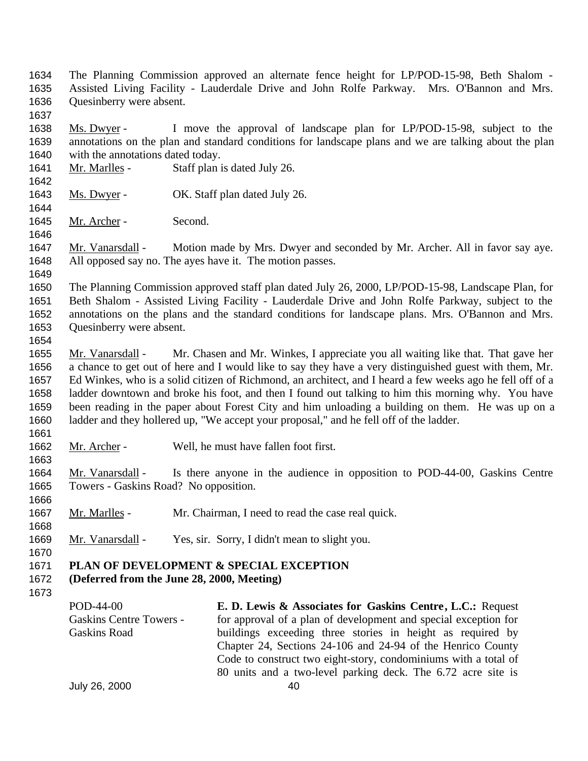- The Planning Commission approved an alternate fence height for LP/POD-15-98, Beth Shalom Assisted Living Facility - Lauderdale Drive and John Rolfe Parkway. Mrs. O'Bannon and Mrs. Quesinberry were absent.
- 

 Ms. Dwyer - I move the approval of landscape plan for LP/POD-15-98, subject to the annotations on the plan and standard conditions for landscape plans and we are talking about the plan with the annotations dated today.

- 1641 Mr. Marlles Staff plan is dated July 26.
- 1643 Ms. Dwyer OK. Staff plan dated July 26.
- Mr. Archer Second.

1647 Mr. Vanarsdall - Motion made by Mrs. Dwyer and seconded by Mr. Archer. All in favor say aye. All opposed say no. The ayes have it. The motion passes.

 The Planning Commission approved staff plan dated July 26, 2000, LP/POD-15-98, Landscape Plan, for Beth Shalom - Assisted Living Facility - Lauderdale Drive and John Rolfe Parkway, subject to the annotations on the plans and the standard conditions for landscape plans. Mrs. O'Bannon and Mrs. Quesinberry were absent.

1655 Mr. Vanarsdall - Mr. Chasen and Mr. Winkes, I appreciate you all waiting like that. That gave her a chance to get out of here and I would like to say they have a very distinguished guest with them, Mr. Ed Winkes, who is a solid citizen of Richmond, an architect, and I heard a few weeks ago he fell off of a ladder downtown and broke his foot, and then I found out talking to him this morning why. You have been reading in the paper about Forest City and him unloading a building on them. He was up on a ladder and they hollered up, "We accept your proposal," and he fell off of the ladder.

Mr. Archer - Well, he must have fallen foot first.

 Mr. Vanarsdall - Is there anyone in the audience in opposition to POD-44-00, Gaskins Centre Towers - Gaskins Road? No opposition. 

- Mr. Marlles Mr. Chairman, I need to read the case real quick.
- 1669 Mr. Vanarsdall Yes, sir. Sorry, I didn't mean to slight you.
- **PLAN OF DEVELOPMENT & SPECIAL EXCEPTION**
- **(Deferred from the June 28, 2000, Meeting)**
- 

POD-44-00 Gaskins Centre Towers - Gaskins Road

**E. D. Lewis & Associates for Gaskins Centre, L.C.:** Request for approval of a plan of development and special exception for buildings exceeding three stories in height as required by Chapter 24, Sections 24-106 and 24-94 of the Henrico County Code to construct two eight-story, condominiums with a total of 80 units and a two-level parking deck. The 6.72 acre site is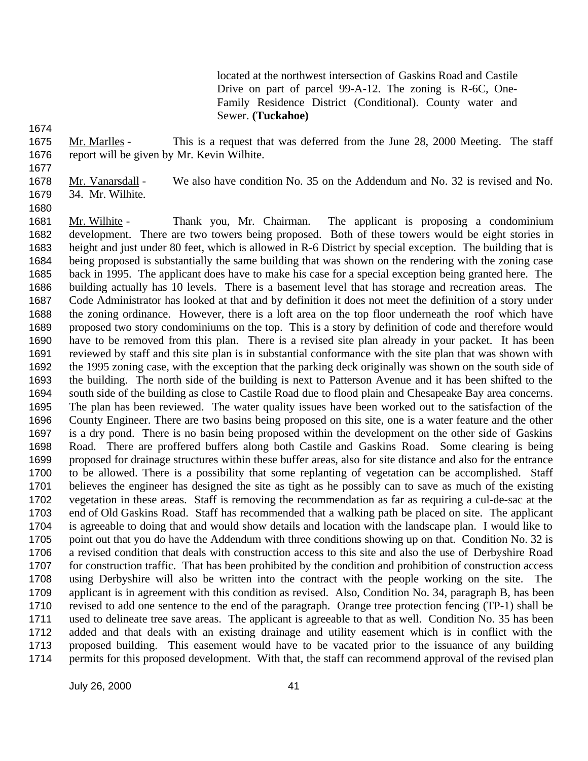located at the northwest intersection of Gaskins Road and Castile Drive on part of parcel 99-A-12. The zoning is R-6C, One-Family Residence District (Conditional). County water and Sewer. **(Tuckahoe)**

 Mr. Marlles - This is a request that was deferred from the June 28, 2000 Meeting. The staff report will be given by Mr. Kevin Wilhite.

 Mr. Vanarsdall - We also have condition No. 35 on the Addendum and No. 32 is revised and No. 34. Mr. Wilhite.

1681 Mr. Wilhite - Thank you, Mr. Chairman. The applicant is proposing a condominium development. There are two towers being proposed. Both of these towers would be eight stories in height and just under 80 feet, which is allowed in R-6 District by special exception. The building that is being proposed is substantially the same building that was shown on the rendering with the zoning case back in 1995. The applicant does have to make his case for a special exception being granted here. The building actually has 10 levels. There is a basement level that has storage and recreation areas. The Code Administrator has looked at that and by definition it does not meet the definition of a story under the zoning ordinance. However, there is a loft area on the top floor underneath the roof which have proposed two story condominiums on the top. This is a story by definition of code and therefore would have to be removed from this plan. There is a revised site plan already in your packet. It has been reviewed by staff and this site plan is in substantial conformance with the site plan that was shown with the 1995 zoning case, with the exception that the parking deck originally was shown on the south side of the building. The north side of the building is next to Patterson Avenue and it has been shifted to the south side of the building as close to Castile Road due to flood plain and Chesapeake Bay area concerns. The plan has been reviewed. The water quality issues have been worked out to the satisfaction of the County Engineer. There are two basins being proposed on this site, one is a water feature and the other is a dry pond. There is no basin being proposed within the development on the other side of Gaskins Road. There are proffered buffers along both Castile and Gaskins Road. Some clearing is being proposed for drainage structures within these buffer areas, also for site distance and also for the entrance to be allowed. There is a possibility that some replanting of vegetation can be accomplished. Staff believes the engineer has designed the site as tight as he possibly can to save as much of the existing vegetation in these areas. Staff is removing the recommendation as far as requiring a cul-de-sac at the end of Old Gaskins Road. Staff has recommended that a walking path be placed on site. The applicant is agreeable to doing that and would show details and location with the landscape plan. I would like to 1705 point out that you do have the Addendum with three conditions showing up on that. Condition No. 32 is a revised condition that deals with construction access to this site and also the use of Derbyshire Road for construction traffic. That has been prohibited by the condition and prohibition of construction access using Derbyshire will also be written into the contract with the people working on the site. The applicant is in agreement with this condition as revised. Also, Condition No. 34, paragraph B, has been revised to add one sentence to the end of the paragraph. Orange tree protection fencing (TP-1) shall be used to delineate tree save areas. The applicant is agreeable to that as well. Condition No. 35 has been added and that deals with an existing drainage and utility easement which is in conflict with the proposed building. This easement would have to be vacated prior to the issuance of any building permits for this proposed development. With that, the staff can recommend approval of the revised plan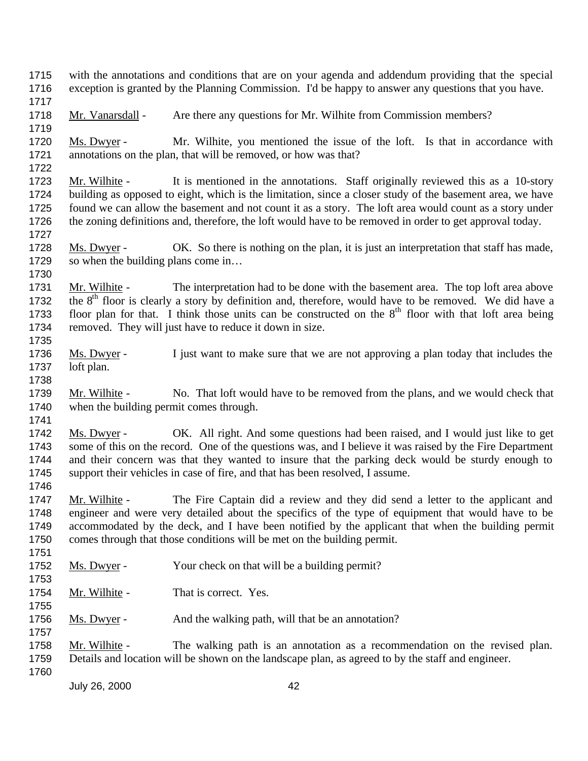July 26, 2000 42 with the annotations and conditions that are on your agenda and addendum providing that the special exception is granted by the Planning Commission. I'd be happy to answer any questions that you have. 1718 Mr. Vanarsdall - Are there any questions for Mr. Wilhite from Commission members? Ms. Dwyer - Mr. Wilhite, you mentioned the issue of the loft. Is that in accordance with annotations on the plan, that will be removed, or how was that? Mr. Wilhite - It is mentioned in the annotations. Staff originally reviewed this as a 10-story building as opposed to eight, which is the limitation, since a closer study of the basement area, we have found we can allow the basement and not count it as a story. The loft area would count as a story under the zoning definitions and, therefore, the loft would have to be removed in order to get approval today. 1728 Ms. Dwyer - OK. So there is nothing on the plan, it is just an interpretation that staff has made, 1729 so when the building plans come in... 1731 Mr. Wilhite - The interpretation had to be done with the basement area. The top loft area above 1732 the  $8<sup>th</sup>$  floor is clearly a story by definition and, therefore, would have to be removed. We did have a 1733 floor plan for that. I think those units can be constructed on the  $8<sup>th</sup>$  floor with that loft area being 1734 removed. They will just have to reduce it down in size. 1736 Ms. Dwyer - I just want to make sure that we are not approving a plan today that includes the loft plan. 1739 Mr. Wilhite - No. That loft would have to be removed from the plans, and we would check that when the building permit comes through. Ms. Dwyer - OK. All right. And some questions had been raised, and I would just like to get some of this on the record. One of the questions was, and I believe it was raised by the Fire Department and their concern was that they wanted to insure that the parking deck would be sturdy enough to support their vehicles in case of fire, and that has been resolved, I assume. Mr. Wilhite - The Fire Captain did a review and they did send a letter to the applicant and engineer and were very detailed about the specifics of the type of equipment that would have to be accommodated by the deck, and I have been notified by the applicant that when the building permit comes through that those conditions will be met on the building permit. 1752 Ms. Dwyer - Your check on that will be a building permit? 1754 Mr. Wilhite - That is correct. Yes. 1756 Ms. Dwyer - And the walking path, will that be an annotation? Mr. Wilhite - The walking path is an annotation as a recommendation on the revised plan. Details and location will be shown on the landscape plan, as agreed to by the staff and engineer.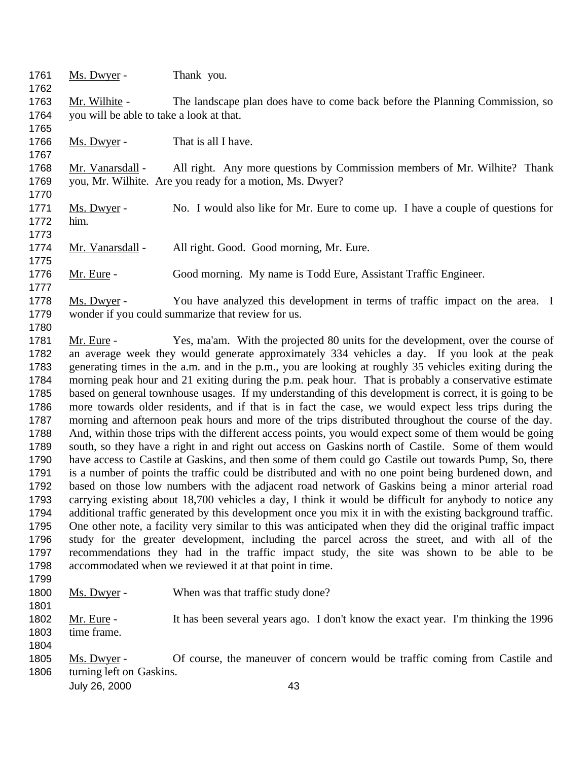1761 Ms. Dwyer - Thank you. Mr. Wilhite - The landscape plan does have to come back before the Planning Commission, so you will be able to take a look at that. 1766 Ms. Dwyer - That is all I have. 1768 Mr. Vanarsdall - All right. Any more questions by Commission members of Mr. Wilhite? Thank you, Mr. Wilhite. Are you ready for a motion, Ms. Dwyer? Ms. Dwyer - No. I would also like for Mr. Eure to come up. I have a couple of questions for him. 1774 Mr. Vanarsdall - All right. Good. Good morning, Mr. Eure. 1776 Mr. Eure - Good morning. My name is Todd Eure, Assistant Traffic Engineer. Ms. Dwyer - You have analyzed this development in terms of traffic impact on the area. I wonder if you could summarize that review for us. 

 Mr. Eure - Yes, ma'am. With the projected 80 units for the development, over the course of an average week they would generate approximately 334 vehicles a day. If you look at the peak generating times in the a.m. and in the p.m., you are looking at roughly 35 vehicles exiting during the morning peak hour and 21 exiting during the p.m. peak hour. That is probably a conservative estimate based on general townhouse usages. If my understanding of this development is correct, it is going to be more towards older residents, and if that is in fact the case, we would expect less trips during the morning and afternoon peak hours and more of the trips distributed throughout the course of the day. And, within those trips with the different access points, you would expect some of them would be going south, so they have a right in and right out access on Gaskins north of Castile. Some of them would have access to Castile at Gaskins, and then some of them could go Castile out towards Pump, So, there is a number of points the traffic could be distributed and with no one point being burdened down, and based on those low numbers with the adjacent road network of Gaskins being a minor arterial road carrying existing about 18,700 vehicles a day, I think it would be difficult for anybody to notice any additional traffic generated by this development once you mix it in with the existing background traffic. One other note, a facility very similar to this was anticipated when they did the original traffic impact study for the greater development, including the parcel across the street, and with all of the recommendations they had in the traffic impact study, the site was shown to be able to be accommodated when we reviewed it at that point in time.

Ms. Dwyer - When was that traffic study done?

 Mr. Eure - It has been several years ago. I don't know the exact year. I'm thinking the 1996 time frame.

 Ms. Dwyer - Of course, the maneuver of concern would be traffic coming from Castile and turning left on Gaskins.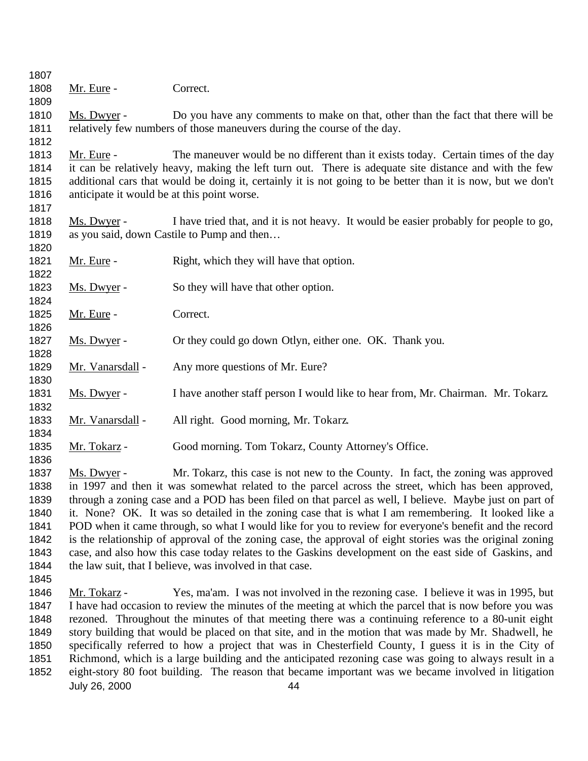| 1807         |                                             |                                                                                                             |
|--------------|---------------------------------------------|-------------------------------------------------------------------------------------------------------------|
| 1808         | Mr. Eure -                                  | Correct.                                                                                                    |
| 1809         |                                             |                                                                                                             |
| 1810         | Ms. Dwyer -                                 | Do you have any comments to make on that, other than the fact that there will be                            |
| 1811         |                                             | relatively few numbers of those maneuvers during the course of the day.                                     |
| 1812         |                                             |                                                                                                             |
| 1813         | Mr. Eure -                                  | The maneuver would be no different than it exists today. Certain times of the day                           |
| 1814         |                                             | it can be relatively heavy, making the left turn out. There is adequate site distance and with the few      |
| 1815         |                                             | additional cars that would be doing it, certainly it is not going to be better than it is now, but we don't |
| 1816         | anticipate it would be at this point worse. |                                                                                                             |
| 1817         |                                             |                                                                                                             |
| 1818         | Ms. Dwyer -                                 | I have tried that, and it is not heavy. It would be easier probably for people to go,                       |
| 1819         |                                             | as you said, down Castile to Pump and then                                                                  |
| 1820         |                                             |                                                                                                             |
| 1821         | Mr. Eure -                                  | Right, which they will have that option.                                                                    |
| 1822         |                                             |                                                                                                             |
| 1823         | Ms. Dwyer -                                 | So they will have that other option.                                                                        |
| 1824         |                                             |                                                                                                             |
| 1825         | Mr. Eure -                                  | Correct.                                                                                                    |
| 1826         |                                             |                                                                                                             |
| 1827         | Ms. Dwyer -                                 | Or they could go down Otlyn, either one. OK. Thank you.                                                     |
| 1828         |                                             |                                                                                                             |
| 1829         | Mr. Vanarsdall -                            | Any more questions of Mr. Eure?                                                                             |
| 1830         |                                             |                                                                                                             |
| 1831         | Ms. Dwyer -                                 | I have another staff person I would like to hear from, Mr. Chairman. Mr. Tokarz.                            |
| 1832         |                                             |                                                                                                             |
| 1833         | Mr. Vanarsdall -                            | All right. Good morning, Mr. Tokarz.                                                                        |
| 1834         |                                             |                                                                                                             |
| 1835<br>1836 | Mr. Tokarz -                                | Good morning. Tom Tokarz, County Attorney's Office.                                                         |
| 1837         | Ms. Dwyer -                                 | Mr. Tokarz, this case is not new to the County. In fact, the zoning was approved                            |
| 1838         |                                             | in 1997 and then it was somewhat related to the parcel across the street, which has been approved,          |
| 1839         |                                             | through a zoning case and a POD has been filed on that parcel as well, I believe. Maybe just on part of     |
| 1840         |                                             | it. None? OK. It was so detailed in the zoning case that is what I am remembering. It looked like a         |
| 1841         |                                             | POD when it came through, so what I would like for you to review for everyone's benefit and the record      |
| 1842         |                                             | is the relationship of approval of the zoning case, the approval of eight stories was the original zoning   |
| 1843         |                                             | case, and also how this case today relates to the Gaskins development on the east side of Gaskins, and      |
| 1844         |                                             | the law suit, that I believe, was involved in that case.                                                    |

- 
- July 26, 2000 44 1846 Mr. Tokarz - Yes, ma'am. I was not involved in the rezoning case. I believe it was in 1995, but I have had occasion to review the minutes of the meeting at which the parcel that is now before you was rezoned. Throughout the minutes of that meeting there was a continuing reference to a 80-unit eight story building that would be placed on that site, and in the motion that was made by Mr. Shadwell, he specifically referred to how a project that was in Chesterfield County, I guess it is in the City of Richmond, which is a large building and the anticipated rezoning case was going to always result in a eight-story 80 foot building. The reason that became important was we became involved in litigation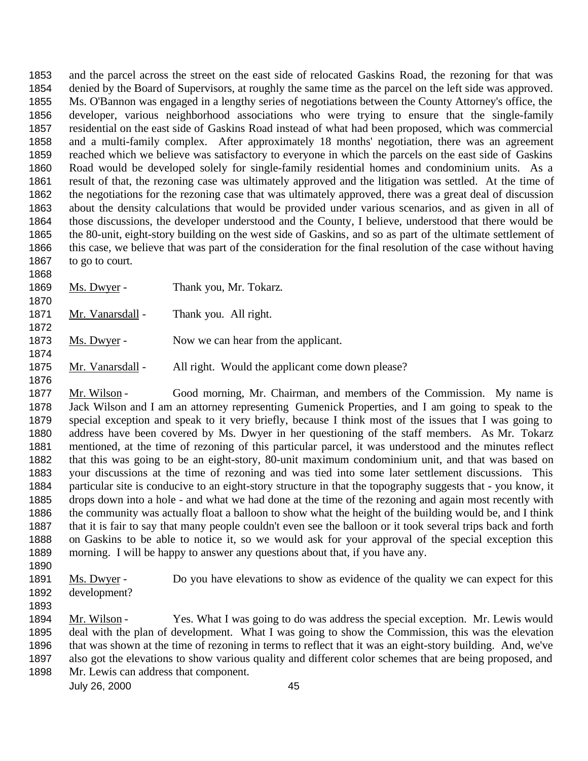and the parcel across the street on the east side of relocated Gaskins Road, the rezoning for that was denied by the Board of Supervisors, at roughly the same time as the parcel on the left side was approved. Ms. O'Bannon was engaged in a lengthy series of negotiations between the County Attorney's office, the developer, various neighborhood associations who were trying to ensure that the single-family residential on the east side of Gaskins Road instead of what had been proposed, which was commercial and a multi-family complex. After approximately 18 months' negotiation, there was an agreement reached which we believe was satisfactory to everyone in which the parcels on the east side of Gaskins Road would be developed solely for single-family residential homes and condominium units. As a result of that, the rezoning case was ultimately approved and the litigation was settled. At the time of the negotiations for the rezoning case that was ultimately approved, there was a great deal of discussion about the density calculations that would be provided under various scenarios, and as given in all of those discussions, the developer understood and the County, I believe, understood that there would be the 80-unit, eight-story building on the west side of Gaskins, and so as part of the ultimate settlement of this case, we believe that was part of the consideration for the final resolution of the case without having to go to court.

1869 Ms. Dwyer - Thank you, Mr. Tokarz. 

1871 Mr. Vanarsdall - Thank you. All right. 

1873 Ms. Dwyer - Now we can hear from the applicant.

1875 Mr. Vanarsdall - All right. Would the applicant come down please?

- 1877 Mr. Wilson Good morning, Mr. Chairman, and members of the Commission. My name is Jack Wilson and I am an attorney representing Gumenick Properties, and I am going to speak to the special exception and speak to it very briefly, because I think most of the issues that I was going to address have been covered by Ms. Dwyer in her questioning of the staff members. As Mr. Tokarz mentioned, at the time of rezoning of this particular parcel, it was understood and the minutes reflect that this was going to be an eight-story, 80-unit maximum condominium unit, and that was based on your discussions at the time of rezoning and was tied into some later settlement discussions. This particular site is conducive to an eight-story structure in that the topography suggests that - you know, it drops down into a hole - and what we had done at the time of the rezoning and again most recently with the community was actually float a balloon to show what the height of the building would be, and I think that it is fair to say that many people couldn't even see the balloon or it took several trips back and forth on Gaskins to be able to notice it, so we would ask for your approval of the special exception this morning. I will be happy to answer any questions about that, if you have any.
- 

1891 Ms. Dwyer - Do you have elevations to show as evidence of the quality we can expect for this development?

1894 Mr. Wilson - Yes. What I was going to do was address the special exception. Mr. Lewis would deal with the plan of development. What I was going to show the Commission, this was the elevation that was shown at the time of rezoning in terms to reflect that it was an eight-story building. And, we've also got the elevations to show various quality and different color schemes that are being proposed, and Mr. Lewis can address that component.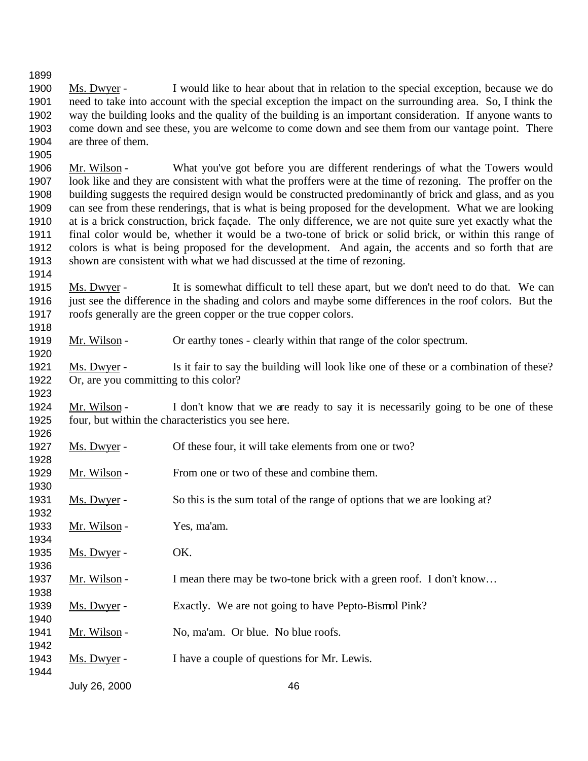- Ms. Dwyer I would like to hear about that in relation to the special exception, because we do need to take into account with the special exception the impact on the surrounding area. So, I think the way the building looks and the quality of the building is an important consideration. If anyone wants to come down and see these, you are welcome to come down and see them from our vantage point. There are three of them.
- Mr. Wilson What you've got before you are different renderings of what the Towers would look like and they are consistent with what the proffers were at the time of rezoning. The proffer on the building suggests the required design would be constructed predominantly of brick and glass, and as you can see from these renderings, that is what is being proposed for the development. What we are looking at is a brick construction, brick façade. The only difference, we are not quite sure yet exactly what the final color would be, whether it would be a two-tone of brick or solid brick, or within this range of colors is what is being proposed for the development. And again, the accents and so forth that are shown are consistent with what we had discussed at the time of rezoning.
- Ms. Dwyer It is somewhat difficult to tell these apart, but we don't need to do that. We can just see the difference in the shading and colors and maybe some differences in the roof colors. But the roofs generally are the green copper or the true copper colors.
- Mr. Wilson Or earthy tones clearly within that range of the color spectrum.
- Ms. Dwyer Is it fair to say the building will look like one of these or a combination of these? Or, are you committing to this color?
- 1924 Mr. Wilson I don't know that we are ready to say it is necessarily going to be one of these four, but within the characteristics you see here.
- 1927 Ms. Dwyer Of these four, it will take elements from one or two?
- 1929 Mr. Wilson From one or two of these and combine them.
- Ms. Dwyer So this is the sum total of the range of options that we are looking at?
- 1933 Mr. Wilson Yes, ma'am.
- 1935 Ms. Dwyer OK.
- 1937 Mr. Wilson I mean there may be two-tone brick with a green roof. I don't know...
- 1939 Ms. Dwyer Exactly. We are not going to have Pepto-Bismol Pink?
- 1941 Mr. Wilson No, ma'am. Or blue. No blue roofs.
- 1943 Ms. Dwyer I have a couple of questions for Mr. Lewis.
- - July 26, 2000 46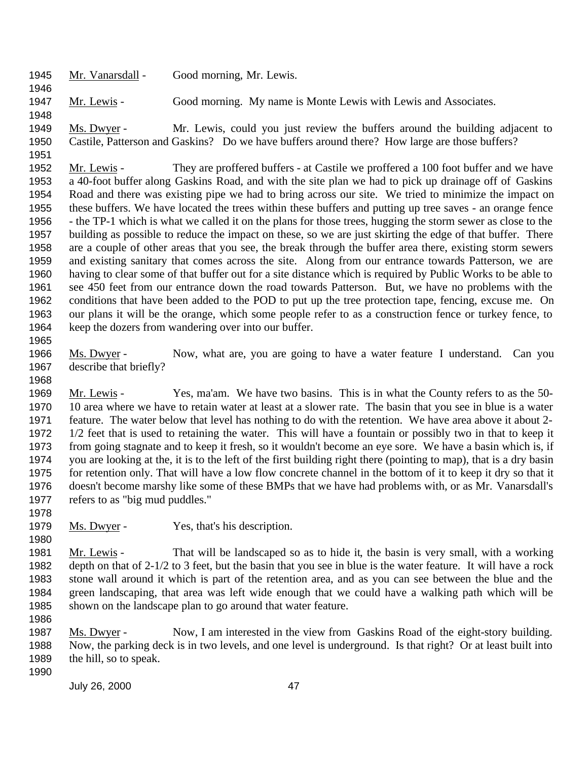Mr. Vanarsdall - Good morning, Mr. Lewis.

Mr. Lewis - Good morning. My name is Monte Lewis with Lewis and Associates.

 Ms. Dwyer - Mr. Lewis, could you just review the buffers around the building adjacent to Castile, Patterson and Gaskins? Do we have buffers around there? How large are those buffers?

 Mr. Lewis - They are proffered buffers - at Castile we proffered a 100 foot buffer and we have a 40-foot buffer along Gaskins Road, and with the site plan we had to pick up drainage off of Gaskins Road and there was existing pipe we had to bring across our site. We tried to minimize the impact on these buffers. We have located the trees within these buffers and putting up tree saves - an orange fence - the TP-1 which is what we called it on the plans for those trees, hugging the storm sewer as close to the building as possible to reduce the impact on these, so we are just skirting the edge of that buffer. There are a couple of other areas that you see, the break through the buffer area there, existing storm sewers and existing sanitary that comes across the site. Along from our entrance towards Patterson, we are having to clear some of that buffer out for a site distance which is required by Public Works to be able to see 450 feet from our entrance down the road towards Patterson. But, we have no problems with the conditions that have been added to the POD to put up the tree protection tape, fencing, excuse me. On our plans it will be the orange, which some people refer to as a construction fence or turkey fence, to keep the dozers from wandering over into our buffer.

1966 Ms. Dwyer - Now, what are, you are going to have a water feature I understand. Can you describe that briefly?

1969 Mr. Lewis - Yes, ma'am. We have two basins. This is in what the County refers to as the 50- 10 area where we have to retain water at least at a slower rate. The basin that you see in blue is a water feature. The water below that level has nothing to do with the retention. We have area above it about 2- 1/2 feet that is used to retaining the water. This will have a fountain or possibly two in that to keep it from going stagnate and to keep it fresh, so it wouldn't become an eye sore. We have a basin which is, if you are looking at the, it is to the left of the first building right there (pointing to map), that is a dry basin for retention only. That will have a low flow concrete channel in the bottom of it to keep it dry so that it doesn't become marshy like some of these BMPs that we have had problems with, or as Mr. Vanarsdall's refers to as "big mud puddles."

1979 Ms. Dwyer - Yes, that's his description.

 Mr. Lewis - That will be landscaped so as to hide it, the basin is very small, with a working depth on that of 2-1/2 to 3 feet, but the basin that you see in blue is the water feature. It will have a rock stone wall around it which is part of the retention area, and as you can see between the blue and the green landscaping, that area was left wide enough that we could have a walking path which will be shown on the landscape plan to go around that water feature.

 Ms. Dwyer - Now, I am interested in the view from Gaskins Road of the eight-story building. Now, the parking deck is in two levels, and one level is underground. Is that right? Or at least built into the hill, so to speak.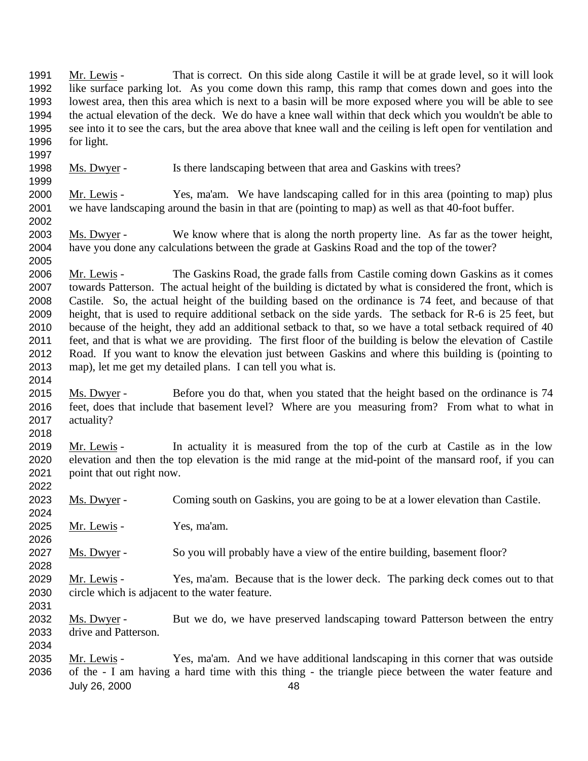July 26, 2000 48 Mr. Lewis - That is correct. On this side along Castile it will be at grade level, so it will look like surface parking lot. As you come down this ramp, this ramp that comes down and goes into the lowest area, then this area which is next to a basin will be more exposed where you will be able to see the actual elevation of the deck. We do have a knee wall within that deck which you wouldn't be able to see into it to see the cars, but the area above that knee wall and the ceiling is left open for ventilation and for light. Ms. Dwyer - Is there landscaping between that area and Gaskins with trees? 2000 Mr. Lewis - Yes, ma'am. We have landscaping called for in this area (pointing to map) plus we have landscaping around the basin in that are (pointing to map) as well as that 40-foot buffer. Ms. Dwyer - We know where that is along the north property line. As far as the tower height, have you done any calculations between the grade at Gaskins Road and the top of the tower? 2006 Mr. Lewis - The Gaskins Road, the grade falls from Castile coming down Gaskins as it comes towards Patterson. The actual height of the building is dictated by what is considered the front, which is Castile. So, the actual height of the building based on the ordinance is 74 feet, and because of that height, that is used to require additional setback on the side yards. The setback for R-6 is 25 feet, but because of the height, they add an additional setback to that, so we have a total setback required of 40 feet, and that is what we are providing. The first floor of the building is below the elevation of Castile Road. If you want to know the elevation just between Gaskins and where this building is (pointing to map), let me get my detailed plans. I can tell you what is. 2015 Ms. Dwyer - Before you do that, when you stated that the height based on the ordinance is 74 feet, does that include that basement level? Where are you measuring from? From what to what in actuality? Mr. Lewis - In actuality it is measured from the top of the curb at Castile as in the low elevation and then the top elevation is the mid range at the mid-point of the mansard roof, if you can point that out right now. Ms. Dwyer - Coming south on Gaskins, you are going to be at a lower elevation than Castile. Mr. Lewis - Yes, ma'am. 2027 Ms. Dwyer - So you will probably have a view of the entire building, basement floor? 2029 Mr. Lewis - Yes, ma'am. Because that is the lower deck. The parking deck comes out to that circle which is adjacent to the water feature. Ms. Dwyer - But we do, we have preserved landscaping toward Patterson between the entry drive and Patterson. 2035 Mr. Lewis - Yes, ma'am. And we have additional landscaping in this corner that was outside of the - I am having a hard time with this thing - the triangle piece between the water feature and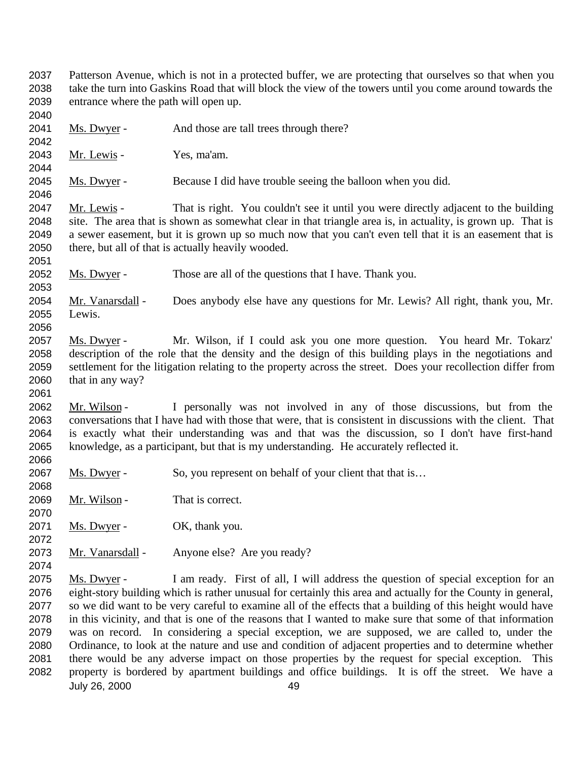- Patterson Avenue, which is not in a protected buffer, we are protecting that ourselves so that when you take the turn into Gaskins Road that will block the view of the towers until you come around towards the entrance where the path will open up.
- Ms. Dwyer And those are tall trees through there?
- Mr. Lewis Yes, ma'am.

2045 Ms. Dwyer - Because I did have trouble seeing the balloon when you did.

2047 Mr. Lewis - That is right. You couldn't see it until you were directly adjacent to the building site. The area that is shown as somewhat clear in that triangle area is, in actuality, is grown up. That is a sewer easement, but it is grown up so much now that you can't even tell that it is an easement that is there, but all of that is actually heavily wooded. 

2052 Ms. Dwyer - Those are all of the questions that I have. Thank you.

 Mr. Vanarsdall - Does anybody else have any questions for Mr. Lewis? All right, thank you, Mr. Lewis.

 Ms. Dwyer - Mr. Wilson, if I could ask you one more question. You heard Mr. Tokarz' description of the role that the density and the design of this building plays in the negotiations and settlement for the litigation relating to the property across the street. Does your recollection differ from that in any way?

2062 Mr. Wilson - I personally was not involved in any of those discussions, but from the conversations that I have had with those that were, that is consistent in discussions with the client. That is exactly what their understanding was and that was the discussion, so I don't have first-hand knowledge, as a participant, but that is my understanding. He accurately reflected it. 

2067 Ms. Dwyer - So, you represent on behalf of your client that that is...

2069 Mr. Wilson - That is correct.

2071 Ms. Dwyer - OK, thank you.

Mr. Vanarsdall - Anyone else? Are you ready?

July 26, 2000 49 2075 Ms. Dwyer - I am ready. First of all, I will address the question of special exception for an eight-story building which is rather unusual for certainly this area and actually for the County in general, so we did want to be very careful to examine all of the effects that a building of this height would have in this vicinity, and that is one of the reasons that I wanted to make sure that some of that information was on record. In considering a special exception, we are supposed, we are called to, under the Ordinance, to look at the nature and use and condition of adjacent properties and to determine whether there would be any adverse impact on those properties by the request for special exception. This property is bordered by apartment buildings and office buildings. It is off the street. We have a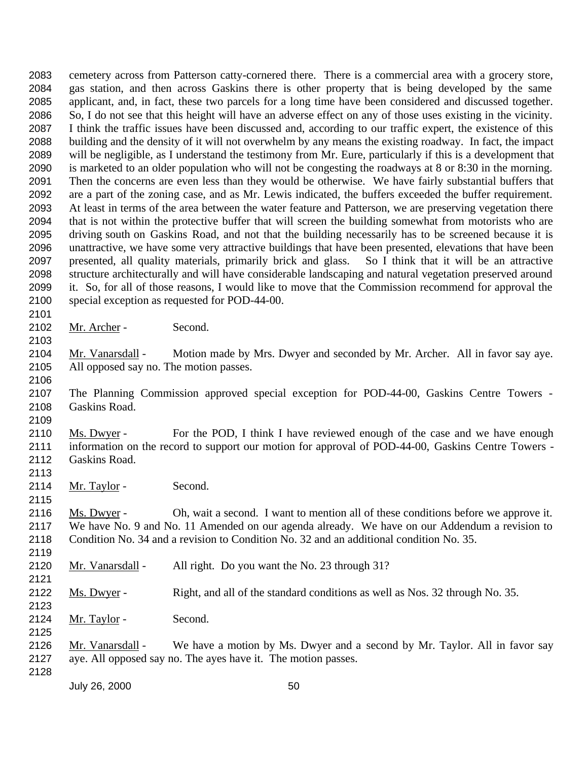cemetery across from Patterson catty-cornered there. There is a commercial area with a grocery store, gas station, and then across Gaskins there is other property that is being developed by the same applicant, and, in fact, these two parcels for a long time have been considered and discussed together. So, I do not see that this height will have an adverse effect on any of those uses existing in the vicinity. I think the traffic issues have been discussed and, according to our traffic expert, the existence of this building and the density of it will not overwhelm by any means the existing roadway. In fact, the impact will be negligible, as I understand the testimony from Mr. Eure, particularly if this is a development that is marketed to an older population who will not be congesting the roadways at 8 or 8:30 in the morning. Then the concerns are even less than they would be otherwise. We have fairly substantial buffers that are a part of the zoning case, and as Mr. Lewis indicated, the buffers exceeded the buffer requirement. At least in terms of the area between the water feature and Patterson, we are preserving vegetation there that is not within the protective buffer that will screen the building somewhat from motorists who are driving south on Gaskins Road, and not that the building necessarily has to be screened because it is unattractive, we have some very attractive buildings that have been presented, elevations that have been presented, all quality materials, primarily brick and glass. So I think that it will be an attractive structure architecturally and will have considerable landscaping and natural vegetation preserved around it. So, for all of those reasons, I would like to move that the Commission recommend for approval the special exception as requested for POD-44-00.

2102 Mr. Archer - Second.

2104 Mr. Vanarsdall - Motion made by Mrs. Dwyer and seconded by Mr. Archer. All in favor say aye. All opposed say no. The motion passes.

 The Planning Commission approved special exception for POD-44-00, Gaskins Centre Towers - Gaskins Road.

 Ms. Dwyer - For the POD, I think I have reviewed enough of the case and we have enough information on the record to support our motion for approval of POD-44-00, Gaskins Centre Towers - Gaskins Road.

2114 Mr. Taylor - Second.

 Ms. Dwyer - Oh, wait a second. I want to mention all of these conditions before we approve it. We have No. 9 and No. 11 Amended on our agenda already. We have on our Addendum a revision to Condition No. 34 and a revision to Condition No. 32 and an additional condition No. 35.

- 2120 Mr. Vanarsdall All right. Do you want the No. 23 through 31?
- Ms. Dwyer Right, and all of the standard conditions as well as Nos. 32 through No. 35.
- 2124 Mr. Taylor Second.

 Mr. Vanarsdall - We have a motion by Ms. Dwyer and a second by Mr. Taylor. All in favor say aye. All opposed say no. The ayes have it. The motion passes.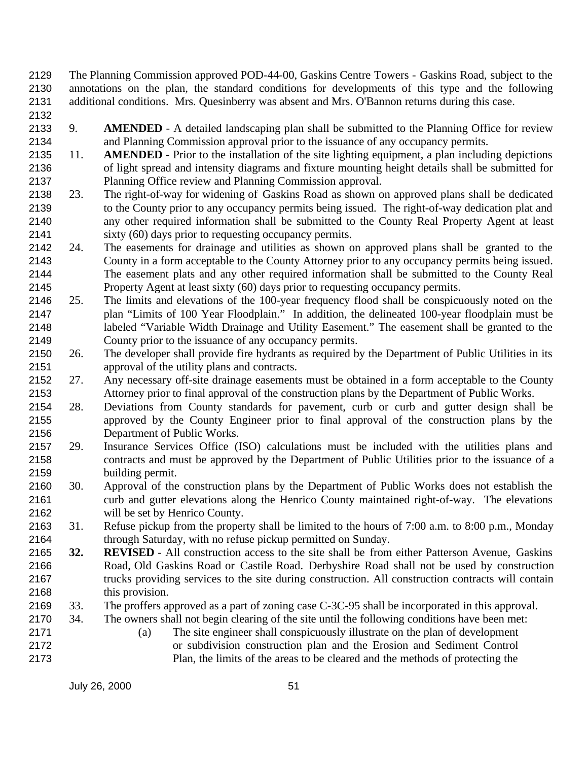- The Planning Commission approved POD-44-00, Gaskins Centre Towers Gaskins Road, subject to the annotations on the plan, the standard conditions for developments of this type and the following additional conditions. Mrs. Quesinberry was absent and Mrs. O'Bannon returns during this case.
- 
- 9. **AMENDED** A detailed landscaping plan shall be submitted to the Planning Office for review and Planning Commission approval prior to the issuance of any occupancy permits.
- 11. **AMENDED** Prior to the installation of the site lighting equipment, a plan including depictions of light spread and intensity diagrams and fixture mounting height details shall be submitted for Planning Office review and Planning Commission approval.
- 23. The right-of-way for widening of Gaskins Road as shown on approved plans shall be dedicated to the County prior to any occupancy permits being issued. The right-of-way dedication plat and any other required information shall be submitted to the County Real Property Agent at least sixty (60) days prior to requesting occupancy permits.
- 24. The easements for drainage and utilities as shown on approved plans shall be granted to the County in a form acceptable to the County Attorney prior to any occupancy permits being issued. The easement plats and any other required information shall be submitted to the County Real Property Agent at least sixty (60) days prior to requesting occupancy permits.
- 25. The limits and elevations of the 100-year frequency flood shall be conspicuously noted on the plan "Limits of 100 Year Floodplain." In addition, the delineated 100-year floodplain must be labeled "Variable Width Drainage and Utility Easement." The easement shall be granted to the County prior to the issuance of any occupancy permits.
- 26. The developer shall provide fire hydrants as required by the Department of Public Utilities in its approval of the utility plans and contracts.
- 27. Any necessary off-site drainage easements must be obtained in a form acceptable to the County Attorney prior to final approval of the construction plans by the Department of Public Works.
- 28. Deviations from County standards for pavement, curb or curb and gutter design shall be approved by the County Engineer prior to final approval of the construction plans by the Department of Public Works.
- 29. Insurance Services Office (ISO) calculations must be included with the utilities plans and contracts and must be approved by the Department of Public Utilities prior to the issuance of a building permit.
- 30. Approval of the construction plans by the Department of Public Works does not establish the curb and gutter elevations along the Henrico County maintained right-of-way. The elevations will be set by Henrico County.
- 31. Refuse pickup from the property shall be limited to the hours of 7:00 a.m. to 8:00 p.m., Monday through Saturday, with no refuse pickup permitted on Sunday.
- **32. REVISED**  All construction access to the site shall be from either Patterson Avenue, Gaskins Road, Old Gaskins Road or Castile Road. Derbyshire Road shall not be used by construction trucks providing services to the site during construction. All construction contracts will contain this provision.
- 33. The proffers approved as a part of zoning case C-3C-95 shall be incorporated in this approval.
- 34. The owners shall not begin clearing of the site until the following conditions have been met:
- (a) The site engineer shall conspicuously illustrate on the plan of development or subdivision construction plan and the Erosion and Sediment Control Plan, the limits of the areas to be cleared and the methods of protecting the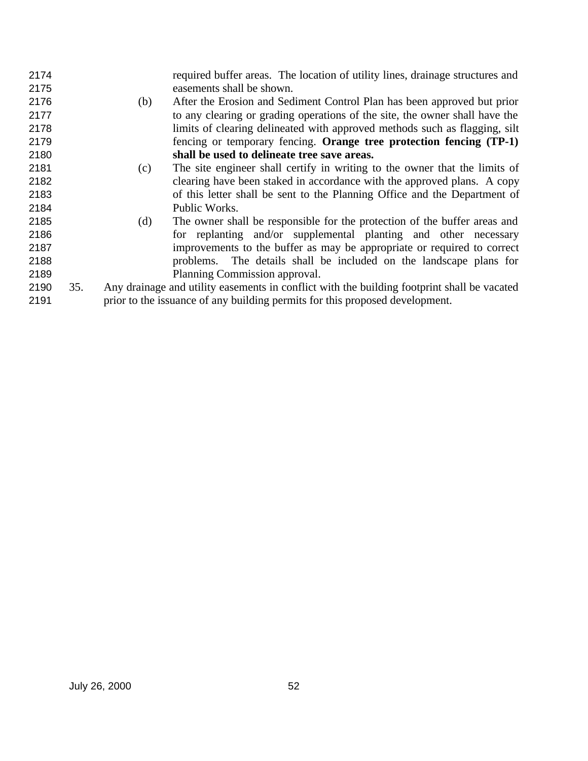| 2174 |     |     | required buffer areas. The location of utility lines, drainage structures and               |
|------|-----|-----|---------------------------------------------------------------------------------------------|
| 2175 |     |     | easements shall be shown.                                                                   |
| 2176 |     | (b) | After the Erosion and Sediment Control Plan has been approved but prior                     |
| 2177 |     |     | to any clearing or grading operations of the site, the owner shall have the                 |
| 2178 |     |     | limits of clearing delineated with approved methods such as flagging, silt                  |
| 2179 |     |     | fencing or temporary fencing. Orange tree protection fencing (TP-1)                         |
| 2180 |     |     | shall be used to delineate tree save areas.                                                 |
| 2181 |     | (c) | The site engineer shall certify in writing to the owner that the limits of                  |
| 2182 |     |     | clearing have been staked in accordance with the approved plans. A copy                     |
| 2183 |     |     | of this letter shall be sent to the Planning Office and the Department of                   |
| 2184 |     |     | Public Works.                                                                               |
| 2185 |     | (d) | The owner shall be responsible for the protection of the buffer areas and                   |
| 2186 |     |     | for replanting and/or supplemental planting and other necessary                             |
| 2187 |     |     | improvements to the buffer as may be appropriate or required to correct                     |
| 2188 |     |     | problems. The details shall be included on the landscape plans for                          |
| 2189 |     |     | Planning Commission approval.                                                               |
| 2190 | 35. |     | Any drainage and utility easements in conflict with the building footprint shall be vacated |
| 2191 |     |     | prior to the issuance of any building permits for this proposed development.                |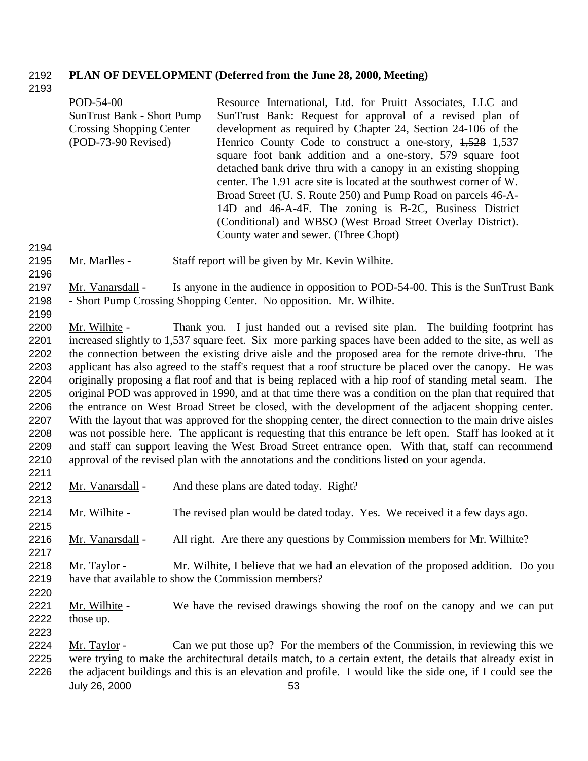## **PLAN OF DEVELOPMENT (Deferred from the June 28, 2000, Meeting)**

|                                                                                                      | POD-54-00<br><b>SunTrust Bank - Short Pump</b><br><b>Crossing Shopping Center</b><br>(POD-73-90 Revised)                                                                                                                                                                                                                                                                                                                                                                                                                                                                                                                                                                                                                                                                                                                                                                                                                                                                                                                                                                                                                                                                                                                             | Resource International, Ltd. for Pruitt Associates, LLC and<br>SunTrust Bank: Request for approval of a revised plan of<br>development as required by Chapter 24, Section 24-106 of the<br>Henrico County Code to construct a one-story, $1,528$ 1,537<br>square foot bank addition and a one-story, 579 square foot<br>detached bank drive thru with a canopy in an existing shopping<br>center. The 1.91 acre site is located at the southwest corner of W.<br>Broad Street (U. S. Route 250) and Pump Road on parcels 46-A-<br>14D and 46-A-4F. The zoning is B-2C, Business District<br>(Conditional) and WBSO (West Broad Street Overlay District).<br>County water and sewer. (Three Chopt) |  |  |  |
|------------------------------------------------------------------------------------------------------|--------------------------------------------------------------------------------------------------------------------------------------------------------------------------------------------------------------------------------------------------------------------------------------------------------------------------------------------------------------------------------------------------------------------------------------------------------------------------------------------------------------------------------------------------------------------------------------------------------------------------------------------------------------------------------------------------------------------------------------------------------------------------------------------------------------------------------------------------------------------------------------------------------------------------------------------------------------------------------------------------------------------------------------------------------------------------------------------------------------------------------------------------------------------------------------------------------------------------------------|---------------------------------------------------------------------------------------------------------------------------------------------------------------------------------------------------------------------------------------------------------------------------------------------------------------------------------------------------------------------------------------------------------------------------------------------------------------------------------------------------------------------------------------------------------------------------------------------------------------------------------------------------------------------------------------------------|--|--|--|
| 2194                                                                                                 |                                                                                                                                                                                                                                                                                                                                                                                                                                                                                                                                                                                                                                                                                                                                                                                                                                                                                                                                                                                                                                                                                                                                                                                                                                      |                                                                                                                                                                                                                                                                                                                                                                                                                                                                                                                                                                                                                                                                                                   |  |  |  |
| 2195<br>2196                                                                                         | Mr. Marlles -                                                                                                                                                                                                                                                                                                                                                                                                                                                                                                                                                                                                                                                                                                                                                                                                                                                                                                                                                                                                                                                                                                                                                                                                                        | Staff report will be given by Mr. Kevin Wilhite.                                                                                                                                                                                                                                                                                                                                                                                                                                                                                                                                                                                                                                                  |  |  |  |
| 2197<br>2198<br>2199                                                                                 | Mr. Vanarsdall -                                                                                                                                                                                                                                                                                                                                                                                                                                                                                                                                                                                                                                                                                                                                                                                                                                                                                                                                                                                                                                                                                                                                                                                                                     | Is anyone in the audience in opposition to POD-54-00. This is the SunTrust Bank<br>- Short Pump Crossing Shopping Center. No opposition. Mr. Wilhite.                                                                                                                                                                                                                                                                                                                                                                                                                                                                                                                                             |  |  |  |
| 2200<br>2201<br>2202<br>2203<br>2204<br>2205<br>2206<br>2207<br>2208<br>2209<br>2210<br>2211<br>2212 | Thank you. I just handed out a revised site plan. The building footprint has<br>Mr. Wilhite -<br>increased slightly to 1,537 square feet. Six more parking spaces have been added to the site, as well as<br>the connection between the existing drive aisle and the proposed area for the remote drive-thru. The<br>applicant has also agreed to the staff's request that a roof structure be placed over the canopy. He was<br>originally proposing a flat roof and that is being replaced with a hip roof of standing metal seam. The<br>original POD was approved in 1990, and at that time there was a condition on the plan that required that<br>the entrance on West Broad Street be closed, with the development of the adjacent shopping center.<br>With the layout that was approved for the shopping center, the direct connection to the main drive aisles<br>was not possible here. The applicant is requesting that this entrance be left open. Staff has looked at it<br>and staff can support leaving the West Broad Street entrance open. With that, staff can recommend<br>approval of the revised plan with the annotations and the conditions listed on your agenda.<br>And these plans are dated today. Right? |                                                                                                                                                                                                                                                                                                                                                                                                                                                                                                                                                                                                                                                                                                   |  |  |  |
| 2213                                                                                                 | Mr. Vanarsdall -                                                                                                                                                                                                                                                                                                                                                                                                                                                                                                                                                                                                                                                                                                                                                                                                                                                                                                                                                                                                                                                                                                                                                                                                                     |                                                                                                                                                                                                                                                                                                                                                                                                                                                                                                                                                                                                                                                                                                   |  |  |  |
| 2214<br>2215                                                                                         | Mr. Wilhite -                                                                                                                                                                                                                                                                                                                                                                                                                                                                                                                                                                                                                                                                                                                                                                                                                                                                                                                                                                                                                                                                                                                                                                                                                        | The revised plan would be dated today. Yes. We received it a few days ago.                                                                                                                                                                                                                                                                                                                                                                                                                                                                                                                                                                                                                        |  |  |  |
| 2216<br>2217                                                                                         | Mr. Vanarsdall -                                                                                                                                                                                                                                                                                                                                                                                                                                                                                                                                                                                                                                                                                                                                                                                                                                                                                                                                                                                                                                                                                                                                                                                                                     | All right. Are there any questions by Commission members for Mr. Wilhite?                                                                                                                                                                                                                                                                                                                                                                                                                                                                                                                                                                                                                         |  |  |  |
| 2218                                                                                                 | Mr. Taylor -                                                                                                                                                                                                                                                                                                                                                                                                                                                                                                                                                                                                                                                                                                                                                                                                                                                                                                                                                                                                                                                                                                                                                                                                                         | Mr. Wilhite, I believe that we had an elevation of the proposed addition. Do you                                                                                                                                                                                                                                                                                                                                                                                                                                                                                                                                                                                                                  |  |  |  |
| 2219                                                                                                 | have that available to show the Commission members?                                                                                                                                                                                                                                                                                                                                                                                                                                                                                                                                                                                                                                                                                                                                                                                                                                                                                                                                                                                                                                                                                                                                                                                  |                                                                                                                                                                                                                                                                                                                                                                                                                                                                                                                                                                                                                                                                                                   |  |  |  |
| 2220<br>2221<br>2222<br>2223                                                                         | Mr. Wilhite -<br>those up.                                                                                                                                                                                                                                                                                                                                                                                                                                                                                                                                                                                                                                                                                                                                                                                                                                                                                                                                                                                                                                                                                                                                                                                                           | We have the revised drawings showing the roof on the canopy and we can put                                                                                                                                                                                                                                                                                                                                                                                                                                                                                                                                                                                                                        |  |  |  |
| 2224<br>2225<br>2226                                                                                 | Mr. Taylor -<br>July 26, 2000                                                                                                                                                                                                                                                                                                                                                                                                                                                                                                                                                                                                                                                                                                                                                                                                                                                                                                                                                                                                                                                                                                                                                                                                        | Can we put those up? For the members of the Commission, in reviewing this we<br>were trying to make the architectural details match, to a certain extent, the details that already exist in<br>the adjacent buildings and this is an elevation and profile. I would like the side one, if I could see the<br>53                                                                                                                                                                                                                                                                                                                                                                                   |  |  |  |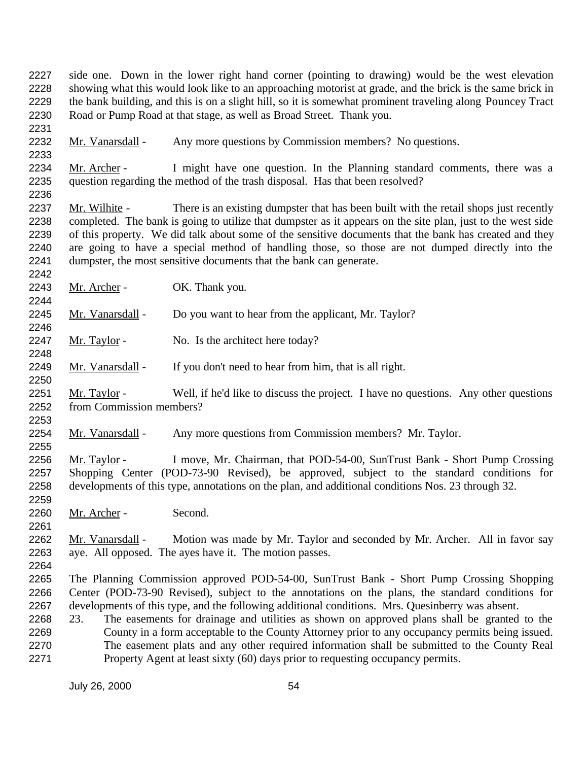July 26, 2000 54 side one. Down in the lower right hand corner (pointing to drawing) would be the west elevation showing what this would look like to an approaching motorist at grade, and the brick is the same brick in the bank building, and this is on a slight hill, so it is somewhat prominent traveling along Pouncey Tract Road or Pump Road at that stage, as well as Broad Street. Thank you. Mr. Vanarsdall - Any more questions by Commission members? No questions. 2234 Mr. Archer - I might have one question. In the Planning standard comments, there was a question regarding the method of the trash disposal. Has that been resolved? question regarding the method of the trash disposal. Has that been resolved? 2237 Mr. Wilhite - There is an existing dumpster that has been built with the retail shops just recently completed. The bank is going to utilize that dumpster as it appears on the site plan, just to the west side 2239 of this property. We did talk about some of the sensitive documents that the bank has created and they are going to have a special method of handling those, so those are not dumped directly into the dumpster, the most sensitive documents that the bank can generate. 2243 Mr. Archer - OK. Thank you. 2245 Mr. Vanarsdall - Do you want to hear from the applicant, Mr. Taylor? 2247 Mr. Taylor - No. Is the architect here today? 2249 Mr. Vanarsdall - If you don't need to hear from him, that is all right. Mr. Taylor - Well, if he'd like to discuss the project. I have no questions. Any other questions from Commission members? Mr. Vanarsdall - Any more questions from Commission members? Mr. Taylor. 2256 Mr. Taylor - I move, Mr. Chairman, that POD-54-00, SunTrust Bank - Short Pump Crossing Shopping Center (POD-73-90 Revised), be approved, subject to the standard conditions for developments of this type, annotations on the plan, and additional conditions Nos. 23 through 32. Mr. Archer - Second. 2262 Mr. Vanarsdall - Motion was made by Mr. Taylor and seconded by Mr. Archer. All in favor say aye. All opposed. The ayes have it. The motion passes. The Planning Commission approved POD-54-00, SunTrust Bank - Short Pump Crossing Shopping Center (POD-73-90 Revised), subject to the annotations on the plans, the standard conditions for developments of this type, and the following additional conditions. Mrs. Quesinberry was absent. 23. The easements for drainage and utilities as shown on approved plans shall be granted to the County in a form acceptable to the County Attorney prior to any occupancy permits being issued. The easement plats and any other required information shall be submitted to the County Real Property Agent at least sixty (60) days prior to requesting occupancy permits.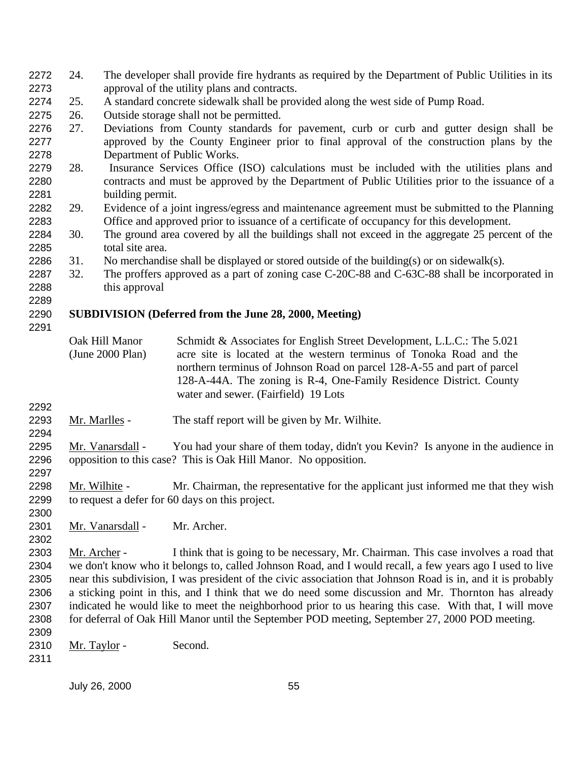- 24. The developer shall provide fire hydrants as required by the Department of Public Utilities in its approval of the utility plans and contracts.
- 25. A standard concrete sidewalk shall be provided along the west side of Pump Road.
- 26. Outside storage shall not be permitted.
- 27. Deviations from County standards for pavement, curb or curb and gutter design shall be approved by the County Engineer prior to final approval of the construction plans by the Department of Public Works.
- 28. Insurance Services Office (ISO) calculations must be included with the utilities plans and contracts and must be approved by the Department of Public Utilities prior to the issuance of a building permit.
- 29. Evidence of a joint ingress/egress and maintenance agreement must be submitted to the Planning Office and approved prior to issuance of a certificate of occupancy for this development.
- 30. The ground area covered by all the buildings shall not exceed in the aggregate 25 percent of the total site area.
- 2286 31. No merchandise shall be displayed or stored outside of the building(s) or on sidewalk(s).
- 32. The proffers approved as a part of zoning case C-20C-88 and C-63C-88 shall be incorporated in this approval

### **SUBDIVISION (Deferred from the June 28, 2000, Meeting)**

- Oak Hill Manor (June 2000 Plan) Schmidt & Associates for English Street Development, L.L.C.: The 5.021 acre site is located at the western terminus of Tonoka Road and the northern terminus of Johnson Road on parcel 128-A-55 and part of parcel 128-A-44A. The zoning is R-4, One-Family Residence District. County water and sewer. (Fairfield) 19 Lots
- 

- 2293 Mr. Marlles The staff report will be given by Mr. Wilhite.
- Mr. Vanarsdall You had your share of them today, didn't you Kevin? Is anyone in the audience in opposition to this case? This is Oak Hill Manor. No opposition.
- 2298 Mr. Wilhite Mr. Chairman, the representative for the applicant just informed me that they wish to request a defer for 60 days on this project.
- Mr. Vanarsdall Mr. Archer.
- Mr. Archer I think that is going to be necessary, Mr. Chairman. This case involves a road that we don't know who it belongs to, called Johnson Road, and I would recall, a few years ago I used to live near this subdivision, I was president of the civic association that Johnson Road is in, and it is probably a sticking point in this, and I think that we do need some discussion and Mr. Thornton has already indicated he would like to meet the neighborhood prior to us hearing this case. With that, I will move for deferral of Oak Hill Manor until the September POD meeting, September 27, 2000 POD meeting.
- 2310 Mr. Taylor Second.
-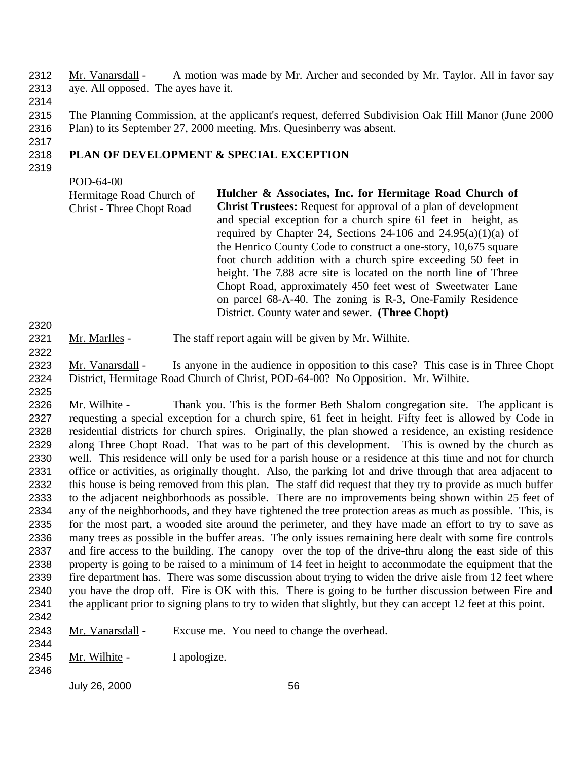Mr. Vanarsdall - A motion was made by Mr. Archer and seconded by Mr. Taylor. All in favor say aye. All opposed. The ayes have it.

 The Planning Commission, at the applicant's request, deferred Subdivision Oak Hill Manor (June 2000 Plan) to its September 27, 2000 meeting. Mrs. Quesinberry was absent.

# **PLAN OF DEVELOPMENT & SPECIAL EXCEPTION**

POD-64-00

| Hermitage Road Church of         | Hulcher & Associates, Inc. for Hermitage Road Church of               |
|----------------------------------|-----------------------------------------------------------------------|
| <b>Christ - Three Chopt Road</b> | <b>Christ Trustees:</b> Request for approval of a plan of development |
|                                  | and special exception for a church spire 61 feet in height, as        |
|                                  | required by Chapter 24, Sections 24-106 and $24.95(a)(1)(a)$ of       |
|                                  | the Henrico County Code to construct a one-story, 10,675 square       |
|                                  | foot church addition with a church spire exceeding 50 feet in         |
|                                  | height. The 7.88 acre site is located on the north line of Three      |
|                                  | Chopt Road, approximately 450 feet west of Sweetwater Lane            |
|                                  | on parcel 68-A-40. The zoning is R-3, One-Family Residence            |
|                                  | District. County water and sewer. (Three Chopt)                       |

2321 Mr. Marlles - The staff report again will be given by Mr. Wilhite.

 Mr. Vanarsdall - Is anyone in the audience in opposition to this case? This case is in Three Chopt District, Hermitage Road Church of Christ, POD-64-00? No Opposition. Mr. Wilhite. 

2326 Mr. Wilhite - Thank you. This is the former Beth Shalom congregation site. The applicant is requesting a special exception for a church spire, 61 feet in height. Fifty feet is allowed by Code in residential districts for church spires. Originally, the plan showed a residence, an existing residence along Three Chopt Road. That was to be part of this development. This is owned by the church as well. This residence will only be used for a parish house or a residence at this time and not for church office or activities, as originally thought. Also, the parking lot and drive through that area adjacent to this house is being removed from this plan. The staff did request that they try to provide as much buffer to the adjacent neighborhoods as possible. There are no improvements being shown within 25 feet of any of the neighborhoods, and they have tightened the tree protection areas as much as possible. This, is for the most part, a wooded site around the perimeter, and they have made an effort to try to save as many trees as possible in the buffer areas. The only issues remaining here dealt with some fire controls and fire access to the building. The canopy over the top of the drive-thru along the east side of this property is going to be raised to a minimum of 14 feet in height to accommodate the equipment that the fire department has. There was some discussion about trying to widen the drive aisle from 12 feet where you have the drop off. Fire is OK with this. There is going to be further discussion between Fire and the applicant prior to signing plans to try to widen that slightly, but they can accept 12 feet at this point. 

2343 Mr. Vanarsdall - Excuse me. You need to change the overhead. 

- 2345 Mr. Wilhite I apologize.
-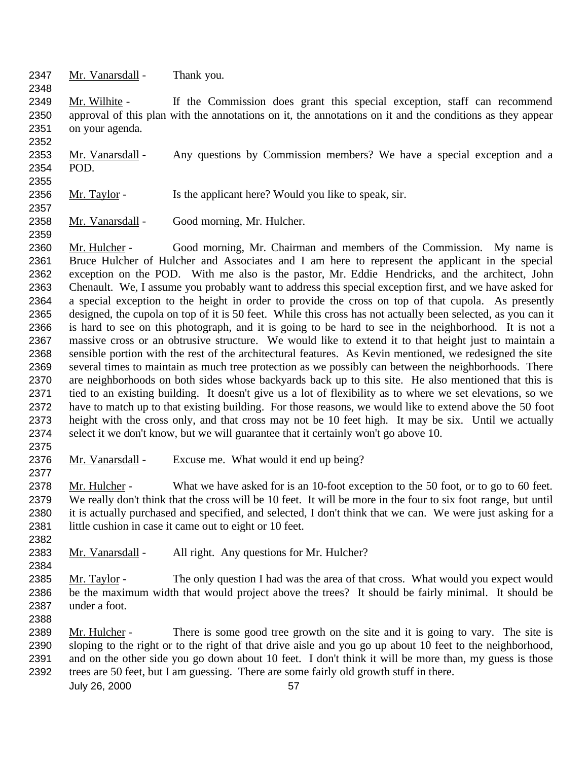Mr. Vanarsdall - Thank you.

 Mr. Wilhite - If the Commission does grant this special exception, staff can recommend approval of this plan with the annotations on it, the annotations on it and the conditions as they appear on your agenda.

2353 Mr. Vanarsdall - Any questions by Commission members? We have a special exception and a POD. 

- 2356 Mr. Taylor Is the applicant here? Would you like to speak, sir.
- 2358 Mr. Vanarsdall Good morning, Mr. Hulcher.

 Mr. Hulcher - Good morning, Mr. Chairman and members of the Commission. My name is Bruce Hulcher of Hulcher and Associates and I am here to represent the applicant in the special exception on the POD. With me also is the pastor, Mr. Eddie Hendricks, and the architect, John Chenault. We, I assume you probably want to address this special exception first, and we have asked for a special exception to the height in order to provide the cross on top of that cupola. As presently designed, the cupola on top of it is 50 feet. While this cross has not actually been selected, as you can it is hard to see on this photograph, and it is going to be hard to see in the neighborhood. It is not a massive cross or an obtrusive structure. We would like to extend it to that height just to maintain a sensible portion with the rest of the architectural features. As Kevin mentioned, we redesigned the site several times to maintain as much tree protection as we possibly can between the neighborhoods. There are neighborhoods on both sides whose backyards back up to this site. He also mentioned that this is tied to an existing building. It doesn't give us a lot of flexibility as to where we set elevations, so we have to match up to that existing building. For those reasons, we would like to extend above the 50 foot height with the cross only, and that cross may not be 10 feet high. It may be six. Until we actually select it we don't know, but we will guarantee that it certainly won't go above 10.

2376 Mr. Vanarsdall - Excuse me. What would it end up being?

 Mr. Hulcher - What we have asked for is an 10-foot exception to the 50 foot, or to go to 60 feet. We really don't think that the cross will be 10 feet. It will be more in the four to six foot range, but until it is actually purchased and specified, and selected, I don't think that we can. We were just asking for a 2381 little cushion in case it came out to eight or 10 feet.

- 2383 Mr. Vanarsdall All right. Any questions for Mr. Hulcher?
- Mr. Taylor The only question I had was the area of that cross. What would you expect would be the maximum width that would project above the trees? It should be fairly minimal. It should be under a foot.

 Mr. Hulcher - There is some good tree growth on the site and it is going to vary. The site is sloping to the right or to the right of that drive aisle and you go up about 10 feet to the neighborhood, and on the other side you go down about 10 feet. I don't think it will be more than, my guess is those trees are 50 feet, but I am guessing. There are some fairly old growth stuff in there.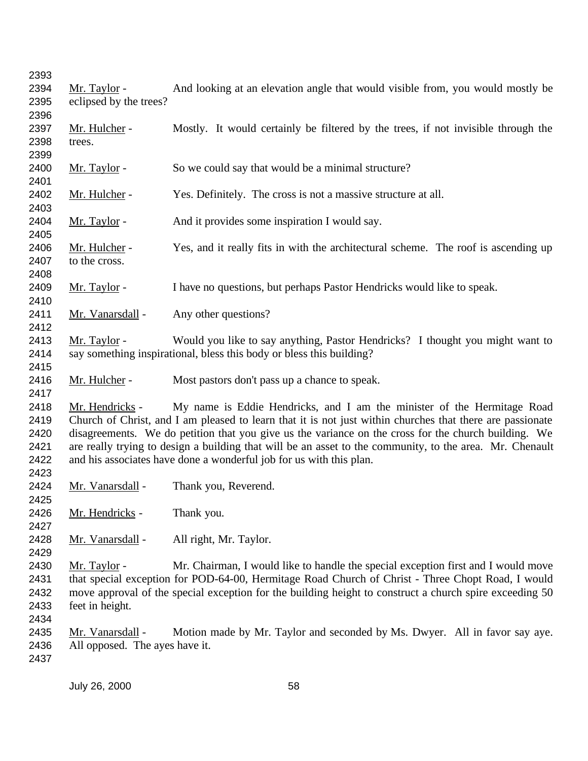2394 Mr. Taylor - And looking at an elevation angle that would visible from, you would mostly be eclipsed by the trees? 2397 Mr. Hulcher - Mostly. It would certainly be filtered by the trees, if not invisible through the trees. 2400 Mr. Taylor - So we could say that would be a minimal structure? 2402 Mr. Hulcher - Yes. Definitely. The cross is not a massive structure at all. 2404 Mr. Taylor - And it provides some inspiration I would say. 2406 Mr. Hulcher - Yes, and it really fits in with the architectural scheme. The roof is ascending up 2407 to the cross. 2409 Mr. Taylor - I have no questions, but perhaps Pastor Hendricks would like to speak. 2411 Mr. Vanarsdall - Any other questions? 2413 Mr. Taylor - Would you like to say anything, Pastor Hendricks? I thought you might want to say something inspirational, bless this body or bless this building? 2416 Mr. Hulcher - Most pastors don't pass up a chance to speak. Mr. Hendricks - My name is Eddie Hendricks, and I am the minister of the Hermitage Road Church of Christ, and I am pleased to learn that it is not just within churches that there are passionate disagreements. We do petition that you give us the variance on the cross for the church building. We are really trying to design a building that will be an asset to the community, to the area. Mr. Chenault and his associates have done a wonderful job for us with this plan. 2424 Mr. Vanarsdall - Thank you, Reverend. Mr. Hendricks - Thank you. Mr. Vanarsdall - All right, Mr. Taylor. 2430 Mr. Taylor - Mr. Chairman, I would like to handle the special exception first and I would move that special exception for POD-64-00, Hermitage Road Church of Christ - Three Chopt Road, I would move approval of the special exception for the building height to construct a church spire exceeding 50 feet in height. Mr. Vanarsdall - Motion made by Mr. Taylor and seconded by Ms. Dwyer. All in favor say aye. All opposed. The ayes have it.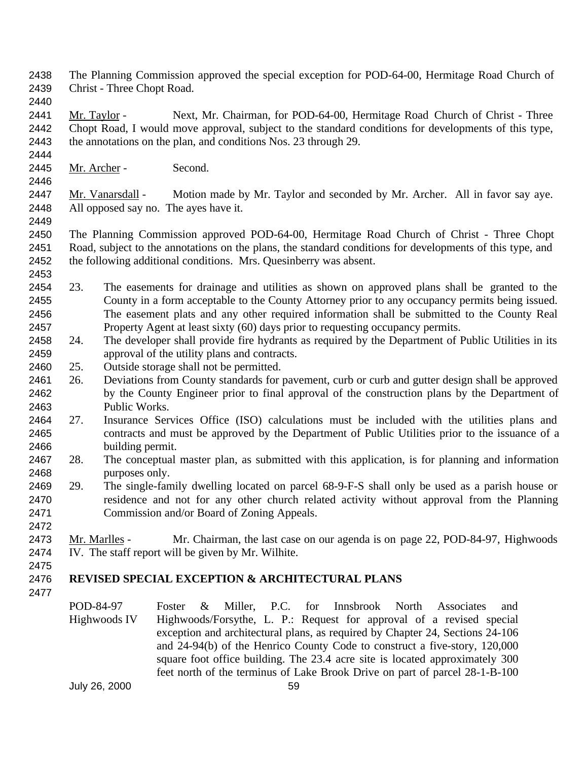- The Planning Commission approved the special exception for POD-64-00, Hermitage Road Church of Christ - Three Chopt Road.
- 

2441 Mr. Taylor - Next, Mr. Chairman, for POD-64-00, Hermitage Road Church of Christ - Three Chopt Road, I would move approval, subject to the standard conditions for developments of this type, the annotations on the plan, and conditions Nos. 23 through 29.

Mr. Archer - Second.

2447 Mr. Vanarsdall - Motion made by Mr. Taylor and seconded by Mr. Archer. All in favor say aye. All opposed say no. The ayes have it.

 The Planning Commission approved POD-64-00, Hermitage Road Church of Christ - Three Chopt Road, subject to the annotations on the plans, the standard conditions for developments of this type, and the following additional conditions. Mrs. Quesinberry was absent.

- 23. The easements for drainage and utilities as shown on approved plans shall be granted to the County in a form acceptable to the County Attorney prior to any occupancy permits being issued. The easement plats and any other required information shall be submitted to the County Real Property Agent at least sixty (60) days prior to requesting occupancy permits.
- 24. The developer shall provide fire hydrants as required by the Department of Public Utilities in its approval of the utility plans and contracts.
- 25. Outside storage shall not be permitted.
- 26. Deviations from County standards for pavement, curb or curb and gutter design shall be approved by the County Engineer prior to final approval of the construction plans by the Department of Public Works.
- 27. Insurance Services Office (ISO) calculations must be included with the utilities plans and contracts and must be approved by the Department of Public Utilities prior to the issuance of a building permit.
- 28. The conceptual master plan, as submitted with this application, is for planning and information purposes only.
- 29. The single-family dwelling located on parcel 68-9-F-S shall only be used as a parish house or residence and not for any other church related activity without approval from the Planning Commission and/or Board of Zoning Appeals.
- Mr. Marlles Mr. Chairman, the last case on our agenda is on page 22, POD-84-97, Highwoods IV. The staff report will be given by Mr. Wilhite.

# **REVISED SPECIAL EXCEPTION & ARCHITECTURAL PLANS**

POD-84-97 Highwoods IV Foster & Miller, P.C. for Innsbrook North Associates and Highwoods/Forsythe, L. P.: Request for approval of a revised special exception and architectural plans, as required by Chapter 24, Sections 24-106 and 24-94(b) of the Henrico County Code to construct a five-story, 120,000 square foot office building. The 23.4 acre site is located approximately 300 feet north of the terminus of Lake Brook Drive on part of parcel 28-1-B-100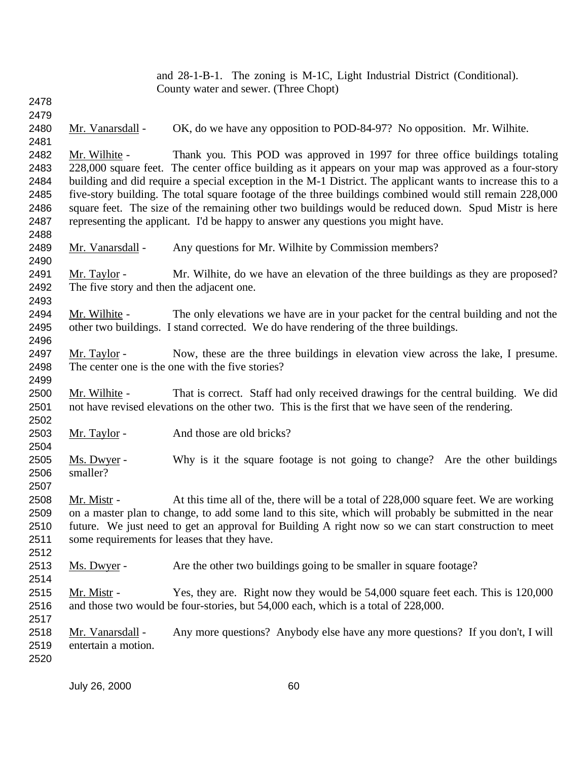|              | and 28-1-B-1. The zoning is M-1C, Light Industrial District (Conditional).                               |                                                                                                             |  |  |  |
|--------------|----------------------------------------------------------------------------------------------------------|-------------------------------------------------------------------------------------------------------------|--|--|--|
|              |                                                                                                          | County water and sewer. (Three Chopt)                                                                       |  |  |  |
| 2478         |                                                                                                          |                                                                                                             |  |  |  |
| 2479         |                                                                                                          |                                                                                                             |  |  |  |
| 2480<br>2481 | Mr. Vanarsdall -                                                                                         | OK, do we have any opposition to POD-84-97? No opposition. Mr. Wilhite.                                     |  |  |  |
| 2482         | Mr. Wilhite -                                                                                            | Thank you. This POD was approved in 1997 for three office buildings totaling                                |  |  |  |
| 2483         |                                                                                                          | 228,000 square feet. The center office building as it appears on your map was approved as a four-story      |  |  |  |
| 2484         |                                                                                                          | building and did require a special exception in the M-1 District. The applicant wants to increase this to a |  |  |  |
| 2485         | five-story building. The total square footage of the three buildings combined would still remain 228,000 |                                                                                                             |  |  |  |
| 2486         | square feet. The size of the remaining other two buildings would be reduced down. Spud Mistr is here     |                                                                                                             |  |  |  |
| 2487         |                                                                                                          | representing the applicant. I'd be happy to answer any questions you might have.                            |  |  |  |
| 2488         |                                                                                                          |                                                                                                             |  |  |  |
| 2489         | Mr. Vanarsdall -                                                                                         | Any questions for Mr. Wilhite by Commission members?                                                        |  |  |  |
| 2490         |                                                                                                          |                                                                                                             |  |  |  |
| 2491         | Mr. Taylor -                                                                                             | Mr. Wilhite, do we have an elevation of the three buildings as they are proposed?                           |  |  |  |
| 2492         | The five story and then the adjacent one.                                                                |                                                                                                             |  |  |  |
| 2493         |                                                                                                          |                                                                                                             |  |  |  |
| 2494         | Mr. Wilhite -                                                                                            | The only elevations we have are in your packet for the central building and not the                         |  |  |  |
| 2495         | other two buildings. I stand corrected. We do have rendering of the three buildings.                     |                                                                                                             |  |  |  |
| 2496         |                                                                                                          |                                                                                                             |  |  |  |
| 2497         | Mr. Taylor -                                                                                             | Now, these are the three buildings in elevation view across the lake, I presume.                            |  |  |  |
| 2498         |                                                                                                          | The center one is the one with the five stories?                                                            |  |  |  |
| 2499         |                                                                                                          |                                                                                                             |  |  |  |
| 2500         | Mr. Wilhite -                                                                                            | That is correct. Staff had only received drawings for the central building. We did                          |  |  |  |
| 2501         | not have revised elevations on the other two. This is the first that we have seen of the rendering.      |                                                                                                             |  |  |  |
| 2502         |                                                                                                          |                                                                                                             |  |  |  |
| 2503         | Mr. Taylor -                                                                                             | And those are old bricks?                                                                                   |  |  |  |
| 2504<br>2505 | Ms. Dwyer -                                                                                              | Why is it the square footage is not going to change? Are the other buildings                                |  |  |  |
| 2506         | smaller?                                                                                                 |                                                                                                             |  |  |  |
| 2507         |                                                                                                          |                                                                                                             |  |  |  |
| 2508         | Mr. Mistr -                                                                                              | At this time all of the, there will be a total of 228,000 square feet. We are working                       |  |  |  |
| 2509         |                                                                                                          | on a master plan to change, to add some land to this site, which will probably be submitted in the near     |  |  |  |
| 2510         | future. We just need to get an approval for Building A right now so we can start construction to meet    |                                                                                                             |  |  |  |
| 2511         | some requirements for leases that they have.                                                             |                                                                                                             |  |  |  |
| 2512         |                                                                                                          |                                                                                                             |  |  |  |
| 2513         | Ms. Dwyer -                                                                                              | Are the other two buildings going to be smaller in square footage?                                          |  |  |  |
| 2514         |                                                                                                          |                                                                                                             |  |  |  |
| 2515         | Mr. Mistr -                                                                                              | Yes, they are. Right now they would be 54,000 square feet each. This is 120,000                             |  |  |  |
| 2516         | and those two would be four-stories, but 54,000 each, which is a total of 228,000.                       |                                                                                                             |  |  |  |
| 2517         |                                                                                                          |                                                                                                             |  |  |  |
| 2518         | Mr. Vanarsdall -                                                                                         | Any more questions? Anybody else have any more questions? If you don't, I will                              |  |  |  |
| 2519         | entertain a motion.                                                                                      |                                                                                                             |  |  |  |
| 2520         |                                                                                                          |                                                                                                             |  |  |  |
|              |                                                                                                          |                                                                                                             |  |  |  |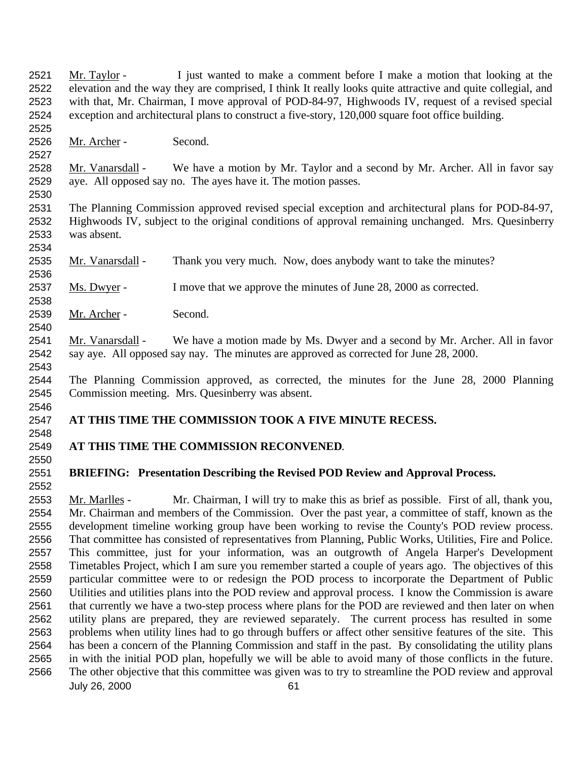Mr. Taylor - I just wanted to make a comment before I make a motion that looking at the elevation and the way they are comprised, I think It really looks quite attractive and quite collegial, and with that, Mr. Chairman, I move approval of POD-84-97, Highwoods IV, request of a revised special exception and architectural plans to construct a five-story, 120,000 square foot office building.

Mr. Archer - Second.

 Mr. Vanarsdall - We have a motion by Mr. Taylor and a second by Mr. Archer. All in favor say aye. All opposed say no. The ayes have it. The motion passes.

 The Planning Commission approved revised special exception and architectural plans for POD-84-97, Highwoods IV, subject to the original conditions of approval remaining unchanged. Mrs. Quesinberry was absent.

Mr. Vanarsdall - Thank you very much. Now, does anybody want to take the minutes?

2537 Ms. Dwyer - I move that we approve the minutes of June 28, 2000 as corrected.

Mr. Archer - Second.

 Mr. Vanarsdall - We have a motion made by Ms. Dwyer and a second by Mr. Archer. All in favor say aye. All opposed say nay. The minutes are approved as corrected for June 28, 2000.

 The Planning Commission approved, as corrected, the minutes for the June 28, 2000 Planning Commission meeting. Mrs. Quesinberry was absent.

### **AT THIS TIME THE COMMISSION TOOK A FIVE MINUTE RECESS.**

### **AT THIS TIME THE COMMISSION RECONVENED**.

#### **BRIEFING: Presentation Describing the Revised POD Review and Approval Process.**

July 26, 2000 61 Mr. Marlles - Mr. Chairman, I will try to make this as brief as possible. First of all, thank you, Mr. Chairman and members of the Commission. Over the past year, a committee of staff, known as the development timeline working group have been working to revise the County's POD review process. That committee has consisted of representatives from Planning, Public Works, Utilities, Fire and Police. This committee, just for your information, was an outgrowth of Angela Harper's Development Timetables Project, which I am sure you remember started a couple of years ago. The objectives of this particular committee were to or redesign the POD process to incorporate the Department of Public Utilities and utilities plans into the POD review and approval process. I know the Commission is aware 2561 that currently we have a two-step process where plans for the POD are reviewed and then later on when utility plans are prepared, they are reviewed separately. The current process has resulted in some problems when utility lines had to go through buffers or affect other sensitive features of the site. This has been a concern of the Planning Commission and staff in the past. By consolidating the utility plans in with the initial POD plan, hopefully we will be able to avoid many of those conflicts in the future. The other objective that this committee was given was to try to streamline the POD review and approval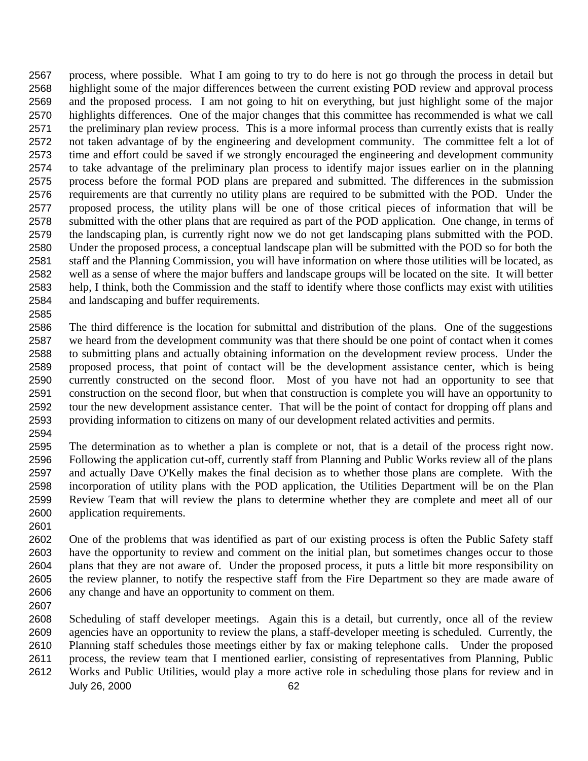process, where possible. What I am going to try to do here is not go through the process in detail but highlight some of the major differences between the current existing POD review and approval process and the proposed process. I am not going to hit on everything, but just highlight some of the major highlights differences. One of the major changes that this committee has recommended is what we call the preliminary plan review process. This is a more informal process than currently exists that is really not taken advantage of by the engineering and development community. The committee felt a lot of time and effort could be saved if we strongly encouraged the engineering and development community to take advantage of the preliminary plan process to identify major issues earlier on in the planning process before the formal POD plans are prepared and submitted. The differences in the submission requirements are that currently no utility plans are required to be submitted with the POD. Under the proposed process, the utility plans will be one of those critical pieces of information that will be submitted with the other plans that are required as part of the POD application. One change, in terms of the landscaping plan, is currently right now we do not get landscaping plans submitted with the POD. Under the proposed process, a conceptual landscape plan will be submitted with the POD so for both the staff and the Planning Commission, you will have information on where those utilities will be located, as well as a sense of where the major buffers and landscape groups will be located on the site. It will better help, I think, both the Commission and the staff to identify where those conflicts may exist with utilities and landscaping and buffer requirements.

 The third difference is the location for submittal and distribution of the plans. One of the suggestions we heard from the development community was that there should be one point of contact when it comes to submitting plans and actually obtaining information on the development review process. Under the proposed process, that point of contact will be the development assistance center, which is being currently constructed on the second floor. Most of you have not had an opportunity to see that construction on the second floor, but when that construction is complete you will have an opportunity to tour the new development assistance center. That will be the point of contact for dropping off plans and providing information to citizens on many of our development related activities and permits.

 The determination as to whether a plan is complete or not, that is a detail of the process right now. Following the application cut-off, currently staff from Planning and Public Works review all of the plans and actually Dave O'Kelly makes the final decision as to whether those plans are complete. With the incorporation of utility plans with the POD application, the Utilities Department will be on the Plan Review Team that will review the plans to determine whether they are complete and meet all of our application requirements.

 One of the problems that was identified as part of our existing process is often the Public Safety staff have the opportunity to review and comment on the initial plan, but sometimes changes occur to those plans that they are not aware of. Under the proposed process, it puts a little bit more responsibility on the review planner, to notify the respective staff from the Fire Department so they are made aware of any change and have an opportunity to comment on them.

 Scheduling of staff developer meetings. Again this is a detail, but currently, once all of the review agencies have an opportunity to review the plans, a staff-developer meeting is scheduled. Currently, the

Planning staff schedules those meetings either by fax or making telephone calls. Under the proposed

process, the review team that I mentioned earlier, consisting of representatives from Planning, Public

July 26, 2000 62 Works and Public Utilities, would play a more active role in scheduling those plans for review and in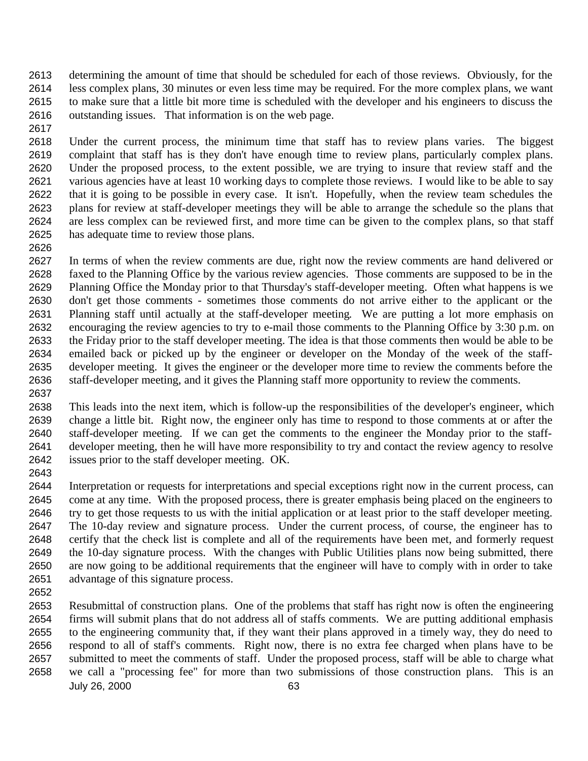determining the amount of time that should be scheduled for each of those reviews. Obviously, for the less complex plans, 30 minutes or even less time may be required. For the more complex plans, we want to make sure that a little bit more time is scheduled with the developer and his engineers to discuss the outstanding issues. That information is on the web page.

 Under the current process, the minimum time that staff has to review plans varies. The biggest complaint that staff has is they don't have enough time to review plans, particularly complex plans. Under the proposed process, to the extent possible, we are trying to insure that review staff and the various agencies have at least 10 working days to complete those reviews. I would like to be able to say that it is going to be possible in every case. It isn't. Hopefully, when the review team schedules the plans for review at staff-developer meetings they will be able to arrange the schedule so the plans that are less complex can be reviewed first, and more time can be given to the complex plans, so that staff has adequate time to review those plans.

 In terms of when the review comments are due, right now the review comments are hand delivered or faxed to the Planning Office by the various review agencies. Those comments are supposed to be in the Planning Office the Monday prior to that Thursday's staff-developer meeting. Often what happens is we don't get those comments - sometimes those comments do not arrive either to the applicant or the Planning staff until actually at the staff-developer meeting. We are putting a lot more emphasis on encouraging the review agencies to try to e-mail those comments to the Planning Office by 3:30 p.m. on the Friday prior to the staff developer meeting. The idea is that those comments then would be able to be emailed back or picked up by the engineer or developer on the Monday of the week of the staff- developer meeting. It gives the engineer or the developer more time to review the comments before the staff-developer meeting, and it gives the Planning staff more opportunity to review the comments. 

 This leads into the next item, which is follow-up the responsibilities of the developer's engineer, which change a little bit. Right now, the engineer only has time to respond to those comments at or after the staff-developer meeting. If we can get the comments to the engineer the Monday prior to the staff- developer meeting, then he will have more responsibility to try and contact the review agency to resolve issues prior to the staff developer meeting. OK.

 Interpretation or requests for interpretations and special exceptions right now in the current process, can come at any time. With the proposed process, there is greater emphasis being placed on the engineers to try to get those requests to us with the initial application or at least prior to the staff developer meeting. The 10-day review and signature process. Under the current process, of course, the engineer has to certify that the check list is complete and all of the requirements have been met, and formerly request the 10-day signature process. With the changes with Public Utilities plans now being submitted, there are now going to be additional requirements that the engineer will have to comply with in order to take advantage of this signature process.

July 26, 2000 63 Resubmittal of construction plans. One of the problems that staff has right now is often the engineering firms will submit plans that do not address all of staffs comments. We are putting additional emphasis to the engineering community that, if they want their plans approved in a timely way, they do need to respond to all of staff's comments. Right now, there is no extra fee charged when plans have to be submitted to meet the comments of staff. Under the proposed process, staff will be able to charge what we call a "processing fee" for more than two submissions of those construction plans. This is an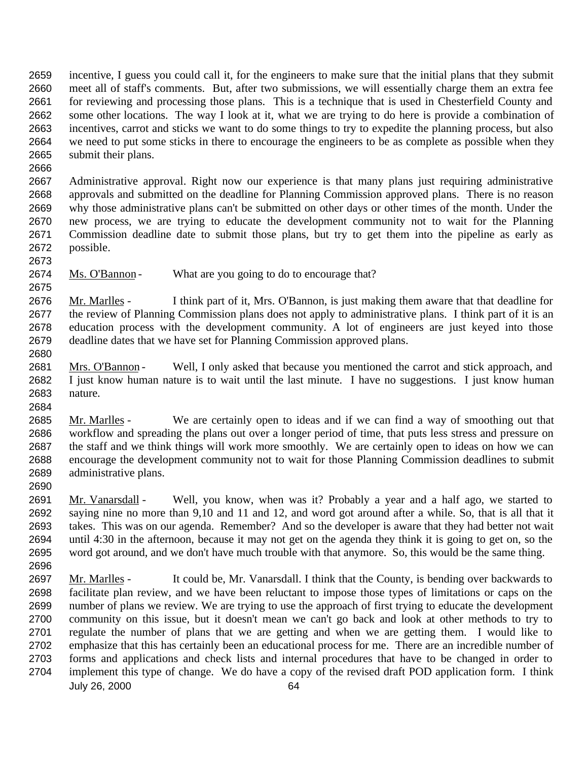incentive, I guess you could call it, for the engineers to make sure that the initial plans that they submit meet all of staff's comments. But, after two submissions, we will essentially charge them an extra fee for reviewing and processing those plans. This is a technique that is used in Chesterfield County and some other locations. The way I look at it, what we are trying to do here is provide a combination of incentives, carrot and sticks we want to do some things to try to expedite the planning process, but also we need to put some sticks in there to encourage the engineers to be as complete as possible when they submit their plans.

 Administrative approval. Right now our experience is that many plans just requiring administrative approvals and submitted on the deadline for Planning Commission approved plans. There is no reason why those administrative plans can't be submitted on other days or other times of the month. Under the new process, we are trying to educate the development community not to wait for the Planning Commission deadline date to submit those plans, but try to get them into the pipeline as early as possible.

2674 Ms. O'Bannon - What are you going to do to encourage that?

 Mr. Marlles - I think part of it, Mrs. O'Bannon, is just making them aware that that deadline for the review of Planning Commission plans does not apply to administrative plans. I think part of it is an education process with the development community. A lot of engineers are just keyed into those deadline dates that we have set for Planning Commission approved plans.

- Mrs. O'Bannon Well, I only asked that because you mentioned the carrot and stick approach, and I just know human nature is to wait until the last minute. I have no suggestions. I just know human nature.
- Mr. Marlles We are certainly open to ideas and if we can find a way of smoothing out that workflow and spreading the plans out over a longer period of time, that puts less stress and pressure on the staff and we think things will work more smoothly. We are certainly open to ideas on how we can encourage the development community not to wait for those Planning Commission deadlines to submit administrative plans.
- 

 Mr. Vanarsdall - Well, you know, when was it? Probably a year and a half ago, we started to saying nine no more than 9,10 and 11 and 12, and word got around after a while. So, that is all that it takes. This was on our agenda. Remember? And so the developer is aware that they had better not wait until 4:30 in the afternoon, because it may not get on the agenda they think it is going to get on, so the word got around, and we don't have much trouble with that anymore. So, this would be the same thing. 

July 26, 2000 64 2697 Mr. Marlles - It could be, Mr. Vanarsdall. I think that the County, is bending over backwards to facilitate plan review, and we have been reluctant to impose those types of limitations or caps on the number of plans we review. We are trying to use the approach of first trying to educate the development community on this issue, but it doesn't mean we can't go back and look at other methods to try to regulate the number of plans that we are getting and when we are getting them. I would like to emphasize that this has certainly been an educational process for me. There are an incredible number of forms and applications and check lists and internal procedures that have to be changed in order to implement this type of change. We do have a copy of the revised draft POD application form. I think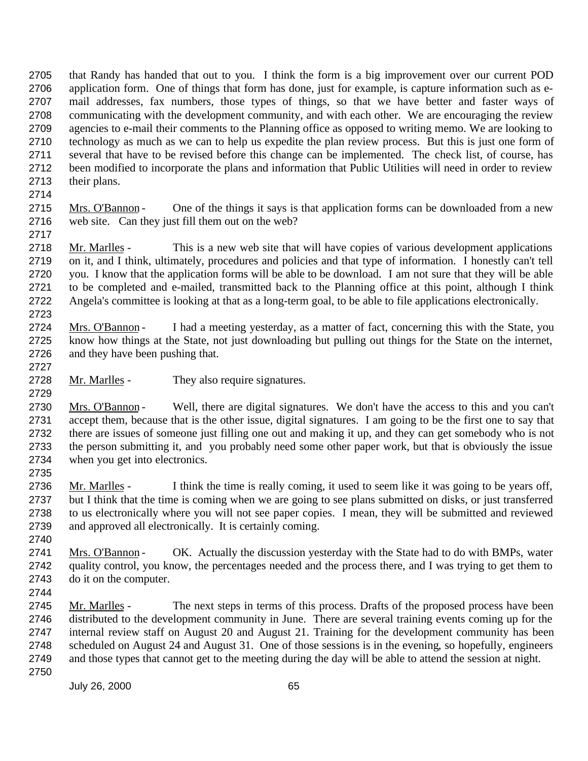that Randy has handed that out to you. I think the form is a big improvement over our current POD application form. One of things that form has done, just for example, is capture information such as e- mail addresses, fax numbers, those types of things, so that we have better and faster ways of communicating with the development community, and with each other. We are encouraging the review agencies to e-mail their comments to the Planning office as opposed to writing memo. We are looking to technology as much as we can to help us expedite the plan review process. But this is just one form of several that have to be revised before this change can be implemented. The check list, of course, has been modified to incorporate the plans and information that Public Utilities will need in order to review their plans.

2715 Mrs. O'Bannon - One of the things it says is that application forms can be downloaded from a new web site. Can they just fill them out on the web? 

2718 Mr. Marlles - This is a new web site that will have copies of various development applications on it, and I think, ultimately, procedures and policies and that type of information. I honestly can't tell you. I know that the application forms will be able to be download. I am not sure that they will be able to be completed and e-mailed, transmitted back to the Planning office at this point, although I think Angela's committee is looking at that as a long-term goal, to be able to file applications electronically. 

2724 Mrs. O'Bannon - I had a meeting yesterday, as a matter of fact, concerning this with the State, you know how things at the State, not just downloading but pulling out things for the State on the internet, and they have been pushing that.

2728 Mr. Marlles - They also require signatures.

2730 Mrs. O'Bannon - Well, there are digital signatures. We don't have the access to this and you can't accept them, because that is the other issue, digital signatures. I am going to be the first one to say that there are issues of someone just filling one out and making it up, and they can get somebody who is not the person submitting it, and you probably need some other paper work, but that is obviously the issue when you get into electronics.

2736 Mr. Marlles - I think the time is really coming, it used to seem like it was going to be years off, but I think that the time is coming when we are going to see plans submitted on disks, or just transferred to us electronically where you will not see paper copies. I mean, they will be submitted and reviewed and approved all electronically. It is certainly coming.

2741 Mrs. O'Bannon - OK. Actually the discussion yesterday with the State had to do with BMPs, water quality control, you know, the percentages needed and the process there, and I was trying to get them to do it on the computer.

 Mr. Marlles - The next steps in terms of this process. Drafts of the proposed process have been distributed to the development community in June. There are several training events coming up for the internal review staff on August 20 and August 21. Training for the development community has been scheduled on August 24 and August 31. One of those sessions is in the evening, so hopefully, engineers and those types that cannot get to the meeting during the day will be able to attend the session at night.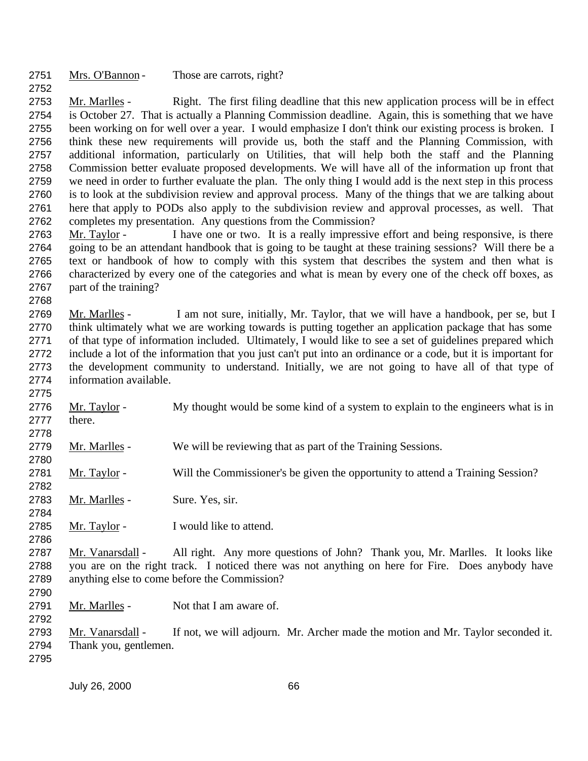Mrs. O'Bannon - Those are carrots, right?

 Mr. Marlles - Right. The first filing deadline that this new application process will be in effect is October 27. That is actually a Planning Commission deadline. Again, this is something that we have been working on for well over a year. I would emphasize I don't think our existing process is broken. I think these new requirements will provide us, both the staff and the Planning Commission, with additional information, particularly on Utilities, that will help both the staff and the Planning Commission better evaluate proposed developments. We will have all of the information up front that we need in order to further evaluate the plan. The only thing I would add is the next step in this process is to look at the subdivision review and approval process. Many of the things that we are talking about here that apply to PODs also apply to the subdivision review and approval processes, as well. That completes my presentation. Any questions from the Commission?

 Mr. Taylor - I have one or two. It is a really impressive effort and being responsive, is there going to be an attendant handbook that is going to be taught at these training sessions? Will there be a text or handbook of how to comply with this system that describes the system and then what is characterized by every one of the categories and what is mean by every one of the check off boxes, as part of the training?

 Mr. Marlles - I am not sure, initially, Mr. Taylor, that we will have a handbook, per se, but I think ultimately what we are working towards is putting together an application package that has some of that type of information included. Ultimately, I would like to see a set of guidelines prepared which include a lot of the information that you just can't put into an ordinance or a code, but it is important for the development community to understand. Initially, we are not going to have all of that type of information available.

2776 Mr. Taylor - My thought would be some kind of a system to explain to the engineers what is in there.

Mr. Marlles - We will be reviewing that as part of the Training Sessions.

 Mr. Taylor - Will the Commissioner's be given the opportunity to attend a Training Session? 

2783 Mr. Marlles - Sure. Yes, sir.

2785 Mr. Taylor - I would like to attend.

2787 Mr. Vanarsdall - All right. Any more questions of John? Thank you, Mr. Marlles. It looks like you are on the right track. I noticed there was not anything on here for Fire. Does anybody have anything else to come before the Commission?

2791 Mr. Marlles - Not that I am aware of. 

 Mr. Vanarsdall - If not, we will adjourn. Mr. Archer made the motion and Mr. Taylor seconded it. Thank you, gentlemen.